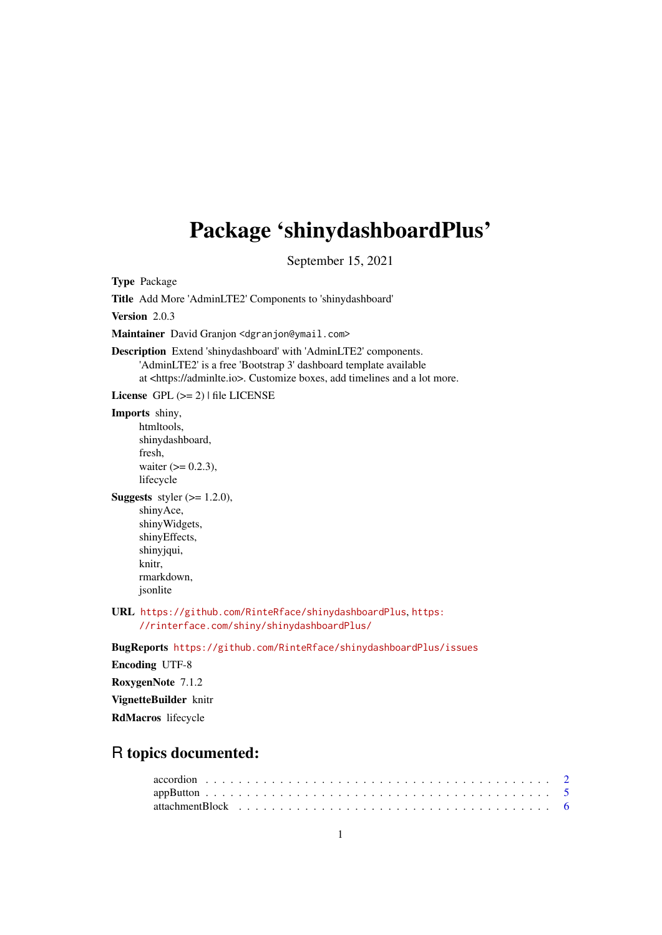# <span id="page-0-0"></span>Package 'shinydashboardPlus'

September 15, 2021

Type Package

Title Add More 'AdminLTE2' Components to 'shinydashboard'

Version 2.0.3

Maintainer David Granjon <dgranjon@ymail.com>

Description Extend 'shinydashboard' with 'AdminLTE2' components. 'AdminLTE2' is a free 'Bootstrap 3' dashboard template available at <https://adminlte.io>. Customize boxes, add timelines and a lot more.

License GPL  $(>= 2)$  | file LICENSE

Imports shiny, htmltools, shinydashboard, fresh, waiter  $(>= 0.2.3)$ , lifecycle

**Suggests** styler  $(>= 1.2.0)$ , shinyAce, shinyWidgets, shinyEffects, shinyjqui, knitr, rmarkdown, jsonlite

URL <https://github.com/RinteRface/shinydashboardPlus>, [https:](https://rinterface.com/shiny/shinydashboardPlus/) [//rinterface.com/shiny/shinydashboardPlus/](https://rinterface.com/shiny/shinydashboardPlus/)

BugReports <https://github.com/RinteRface/shinydashboardPlus/issues> Encoding UTF-8 RoxygenNote 7.1.2 VignetteBuilder knitr RdMacros lifecycle

## R topics documented: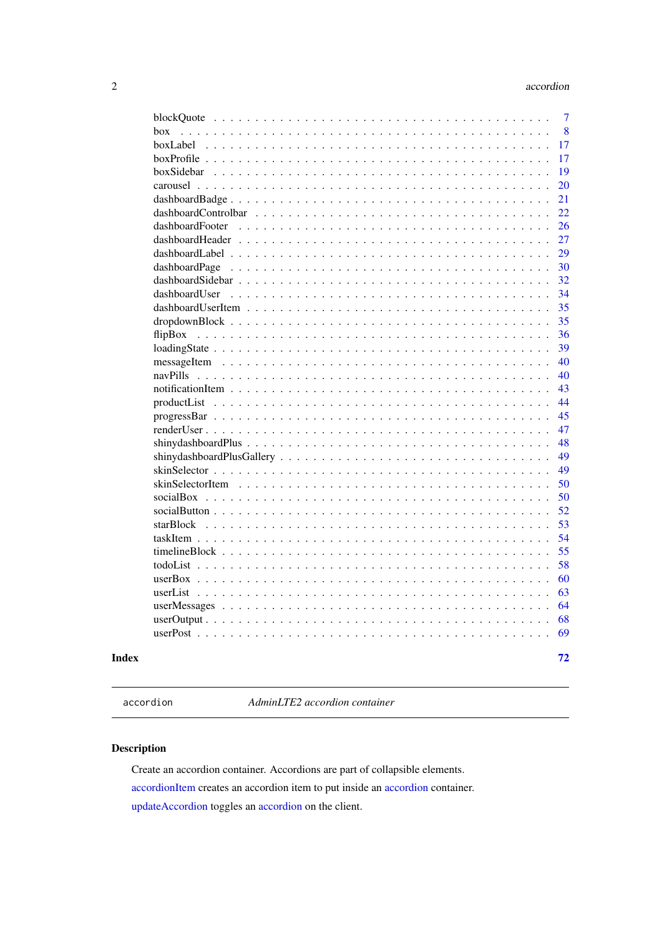#### <span id="page-1-0"></span>2 accordion and  $\alpha$  accordion and  $\alpha$  accordion and  $\alpha$  accordion

| Index |                                                  | 72             |
|-------|--------------------------------------------------|----------------|
|       |                                                  | 69             |
|       |                                                  | 68             |
|       |                                                  | 64             |
|       |                                                  | 63             |
|       |                                                  | 60             |
|       | $\text{todol.}$ ist                              | 58             |
|       | timelineBlock                                    | 55             |
|       | $taskItem \ldots \ldots$                         | 54             |
|       | starBlock                                        | 53             |
|       |                                                  | 52             |
|       | socialBox                                        | 50             |
|       | skinSelectorItem                                 | 50             |
|       |                                                  | 49             |
|       |                                                  | 49             |
|       |                                                  | 48             |
|       |                                                  | 47             |
|       |                                                  | 45             |
|       |                                                  | 44             |
|       |                                                  | 43             |
|       |                                                  | 40             |
|       |                                                  | 40             |
|       |                                                  | 39             |
|       | flipBox                                          | 36             |
|       |                                                  | 35             |
|       |                                                  | 35             |
|       | dashboardUser                                    | 34             |
|       |                                                  | 32             |
|       | dashboardPage                                    | 30             |
|       |                                                  | 29             |
|       |                                                  | 27             |
|       | dashboardFooter<br>$\mathbf{L}$ and $\mathbf{L}$ | 26             |
|       | dashboardControlbar                              | 22             |
|       |                                                  | 21             |
|       |                                                  | 20             |
|       | boxSidebar                                       | 19             |
|       |                                                  | 17             |
|       | boxLabel                                         | 17             |
|       | box<br>.                                         | 8              |
|       | blockOuote                                       | $\overline{7}$ |

<span id="page-1-2"></span>accordion *AdminLTE2 accordion container*

## <span id="page-1-1"></span>Description

Create an accordion container. Accordions are part of collapsible elements. [accordionItem](#page-1-1) creates an accordion item to put inside an [accordion](#page-1-2) container. [updateAccordion](#page-1-1) toggles an [accordion](#page-1-2) on the client.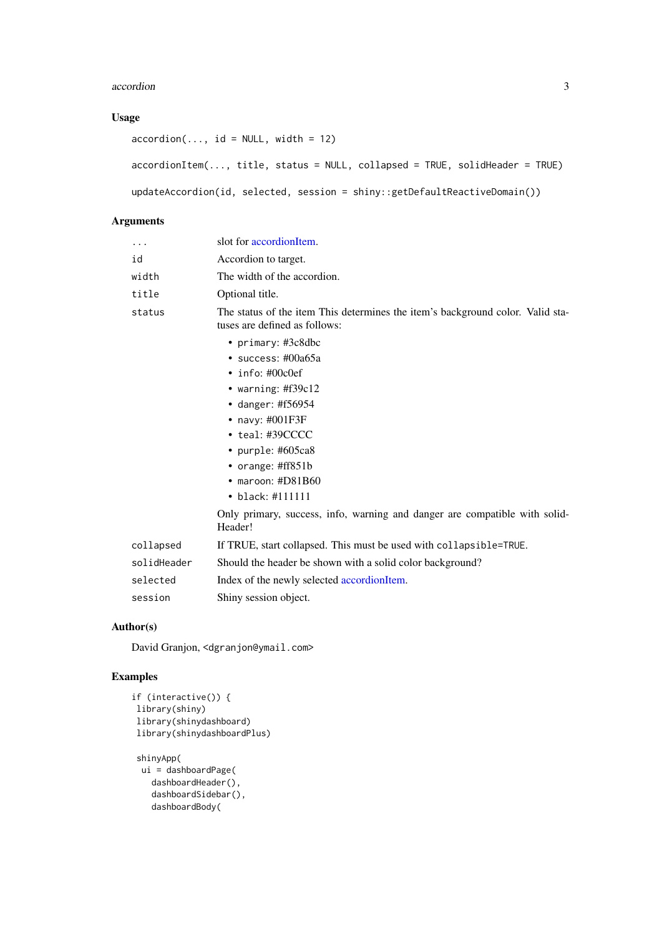#### accordion 3

## Usage

```
accordion(..., id = NULL, width = 12)accordionItem(..., title, status = NULL, collapsed = TRUE, solidHeader = TRUE)
updateAccordion(id, selected, session = shiny::getDefaultReactiveDomain())
```
#### Arguments

| .           | slot for accordionItem.                                                                                         |
|-------------|-----------------------------------------------------------------------------------------------------------------|
| id          | Accordion to target.                                                                                            |
| width       | The width of the accordion.                                                                                     |
| title       | Optional title.                                                                                                 |
| status      | The status of the item This determines the item's background color. Valid sta-<br>tuses are defined as follows: |
|             | • primary: $\#3c8dbc$                                                                                           |
|             | • success: $\#00a65a$                                                                                           |
|             | $\cdot$ info: #00 $c$ 0ef                                                                                       |
|             | • warning: $\#f39c12$                                                                                           |
|             | • danger: # $f56954$                                                                                            |
|             | • navy: $\#001F3F$                                                                                              |
|             | $\cdot$ teal: #39CCCC                                                                                           |
|             | • purple: $\#605ca8$                                                                                            |
|             | • orange: $\#ff851b$                                                                                            |
|             | · maroon: #D81B60                                                                                               |
|             | • black: $\#111111$                                                                                             |
|             | Only primary, success, info, warning and danger are compatible with solid-<br>Header!                           |
| collapsed   | If TRUE, start collapsed. This must be used with collapsible=TRUE.                                              |
| solidHeader | Should the header be shown with a solid color background?                                                       |
| selected    | Index of the newly selected accordionItem.                                                                      |
| session     | Shiny session object.                                                                                           |

## Author(s)

David Granjon, <dgranjon@ymail.com>

```
if (interactive()) {
library(shiny)
 library(shinydashboard)
 library(shinydashboardPlus)
 shinyApp(
 ui = dashboardPage(
    dashboardHeader(),
    dashboardSidebar(),
    dashboardBody(
```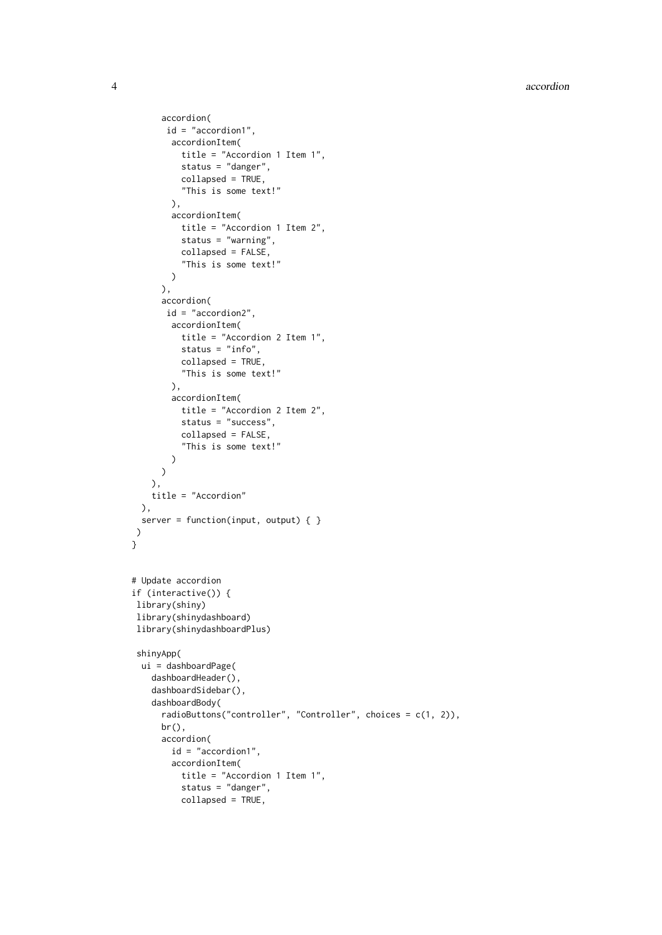```
accordion(
      id = "accordion1",
        accordionItem(
         title = "Accordion 1 Item 1",
         status = "danger",
         collapsed = TRUE,
          "This is some text!"
        ),
        accordionItem(
         title = "Accordion 1 Item 2",
         status = "warning",
         collapsed = FALSE,
          "This is some text!"
       )
      ),
      accordion(
      id = "accordion2",
       accordionItem(
         title = "Accordion 2 Item 1",
          status = "info",
          collapsed = TRUE,
          "This is some text!"
        ),
        accordionItem(
         title = "Accordion 2 Item 2",
         status = "success",
         collapsed = FALSE,
          "This is some text!"
        \lambda)
   ),
   title = "Accordion"
  ),
  server = function(input, output) \{ \})
}
# Update accordion
if (interactive()) {
library(shiny)
 library(shinydashboard)
library(shinydashboardPlus)
 shinyApp(
 ui = dashboardPage(
   dashboardHeader(),
    dashboardSidebar(),
    dashboardBody(
      radioButtons("controller", "Controller", choices = c(1, 2)),
      br(),
      accordion(
       id = "accordion1",
        accordionItem(
         title = "Accordion 1 Item 1",
         status = "danger",
         collapsed = TRUE,
```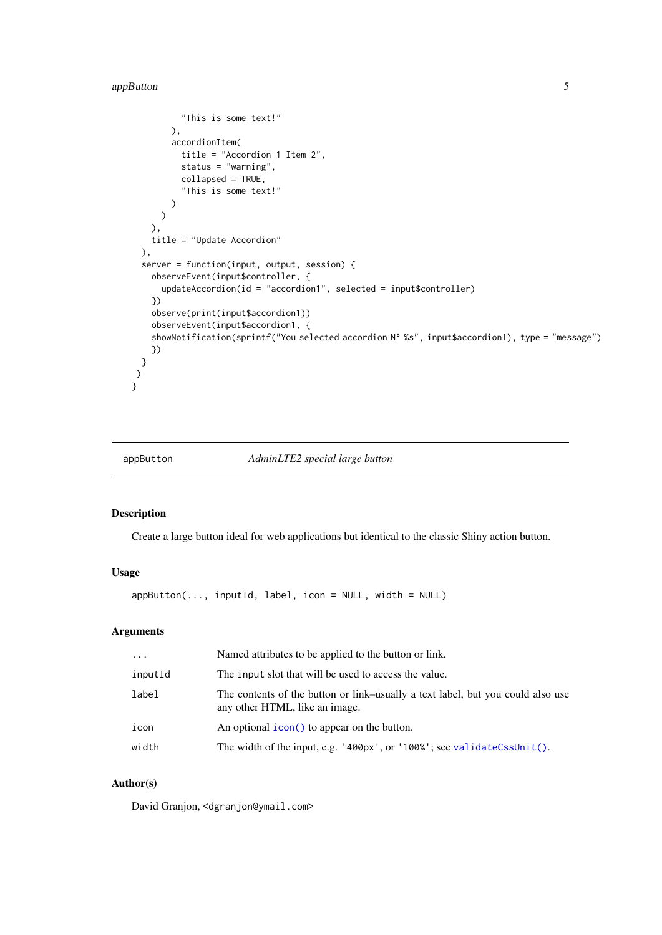```
"This is some text!"
       ),
       accordionItem(
          title = "Accordion 1 Item 2",
          status = "warning",
          collapsed = TRUE,
          "This is some text!"
       \lambda\lambda),
   title = "Update Accordion"
 ),
 server = function(input, output, session) {
   observeEvent(input$controller, {
     updateAccordion(id = "accordion1", selected = input$controller)
   })
   observe(print(input$accordion1))
   observeEvent(input$accordion1, {
   showNotification(sprintf("You selected accordion N° %s", input$accordion1), type = "message")
   })
 }
 )
}
```
#### appButton *AdminLTE2 special large button*

#### Description

Create a large button ideal for web applications but identical to the classic Shiny action button.

#### Usage

```
appButton(..., inputId, label, icon = NULL, width = NULL)
```
#### Arguments

| $\ddots$ . | Named attributes to be applied to the button or link.                                                             |
|------------|-------------------------------------------------------------------------------------------------------------------|
| inputId    | The input slot that will be used to access the value.                                                             |
| label      | The contents of the button or link–usually a text label, but you could also use<br>any other HTML, like an image. |
| icon       | An optional icon() to appear on the button.                                                                       |
| width      | The width of the input, e.g. '400px', or '100%'; see validateCssUnit().                                           |

## Author(s)

David Granjon, <dgranjon@ymail.com>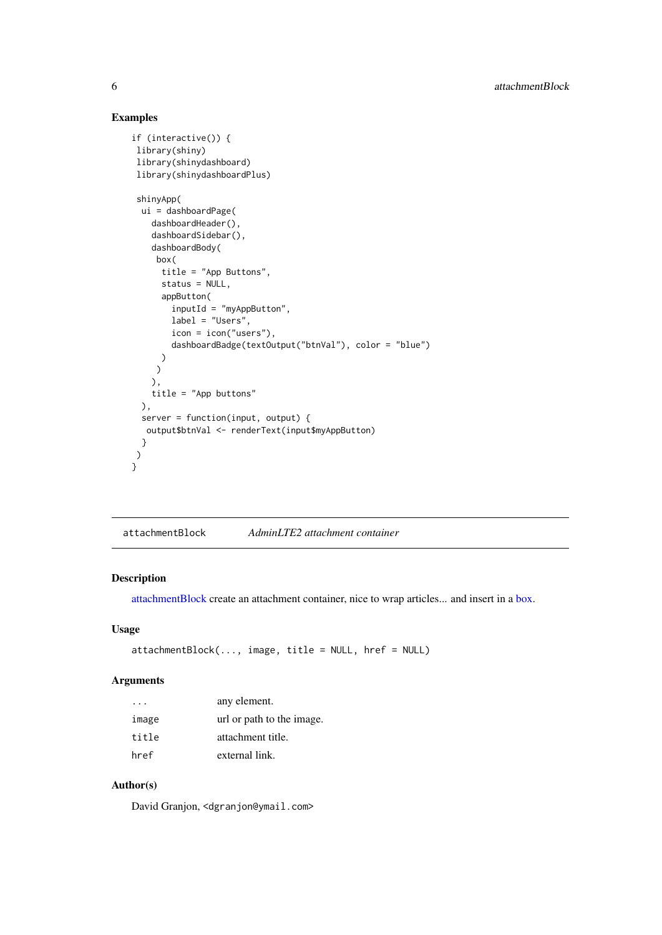## Examples

```
if (interactive()) {
library(shiny)
 library(shinydashboard)
library(shinydashboardPlus)
 shinyApp(
 ui = dashboardPage(
   dashboardHeader(),
    dashboardSidebar(),
    dashboardBody(
    box(
     title = "App Buttons",
      status = NULL,
      appButton(
       inputId = "myAppButton",
       label = "Users",
       icon = icon("users"),
        dashboardBadge(textOutput("btnVal"), color = "blue")
     )
    )
   ),
    title = "App buttons"
  ),
  server = function(input, output) {
  output$btnVal <- renderText(input$myAppButton)
 }
)
}
```
<span id="page-5-1"></span>attachmentBlock *AdminLTE2 attachment container*

## Description

[attachmentBlock](#page-5-1) create an attachment container, nice to wrap articles... and insert in a [box.](#page-7-1)

## Usage

```
attachmentBlock(..., image, title = NULL, href = NULL)
```
## Arguments

| .     | any element.              |
|-------|---------------------------|
| image | url or path to the image. |
| title | attachment title.         |
| href  | external link.            |

## Author(s)

David Granjon, <dgranjon@ymail.com>

<span id="page-5-0"></span>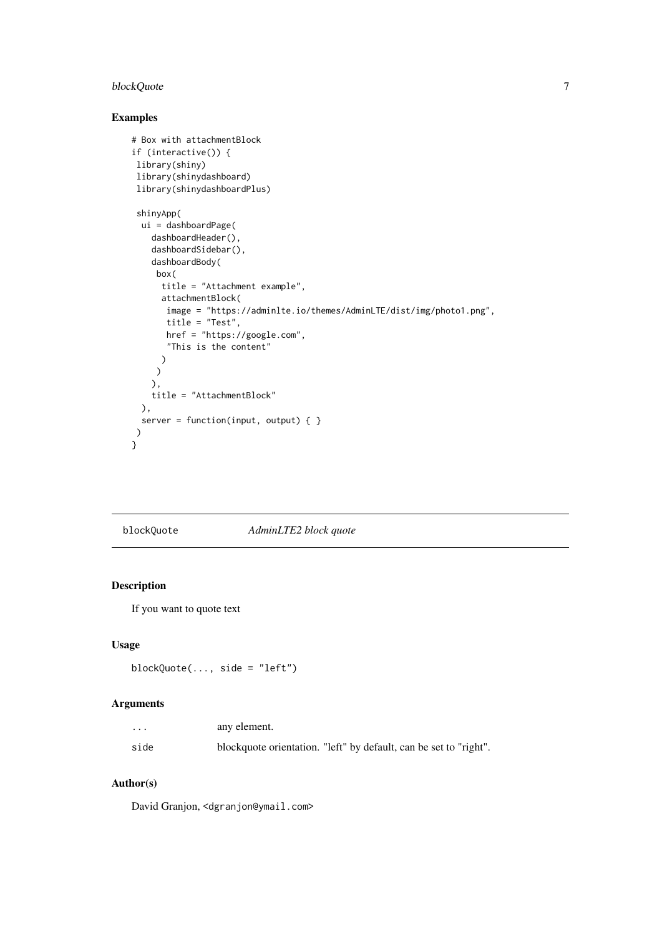## <span id="page-6-0"></span>blockQuote 7

#### Examples

```
# Box with attachmentBlock
if (interactive()) {
library(shiny)
library(shinydashboard)
library(shinydashboardPlus)
 shinyApp(
 ui = dashboardPage(
   dashboardHeader(),
   dashboardSidebar(),
   dashboardBody(
    box(
      title = "Attachment example",
      attachmentBlock(
      image = "https://adminlte.io/themes/AdminLTE/dist/img/photo1.png",
      title = "Test",
      href = "https://google.com",
       "This is the content"
      \lambda\lambda),
    title = "AttachmentBlock"
 ),
 server = function(input, output) \{ \})
}
```
blockQuote *AdminLTE2 block quote*

## Description

If you want to quote text

#### Usage

```
blockQuote(..., side = "left")
```
## Arguments

| $\cdots$ | any element.                                                      |
|----------|-------------------------------------------------------------------|
| side     | blockquote orientation. "left" by default, can be set to "right". |

## Author(s)

David Granjon, <dgranjon@ymail.com>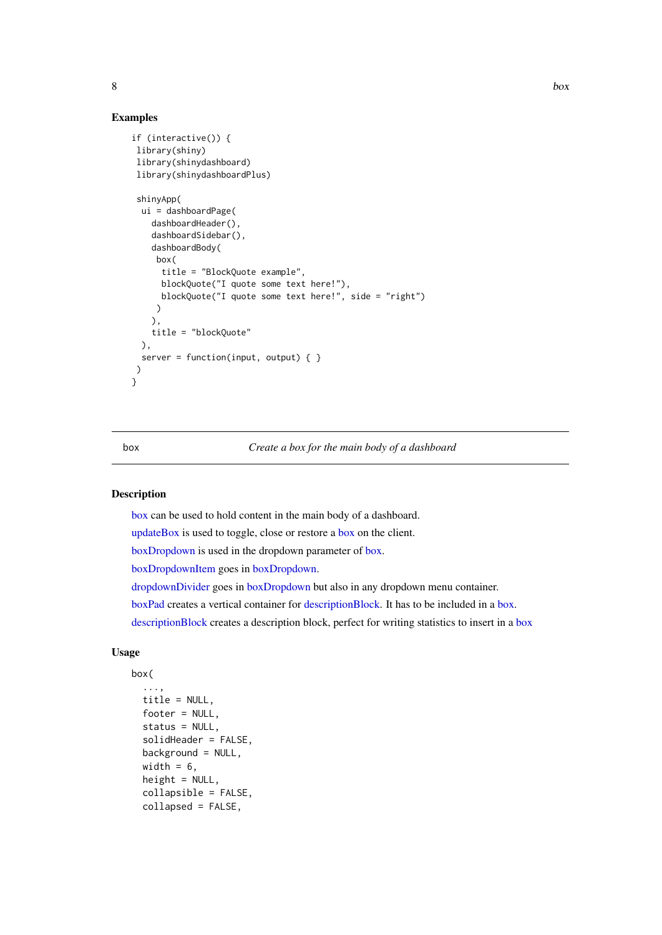## Examples

```
if (interactive()) {
library(shiny)
 library(shinydashboard)
library(shinydashboardPlus)
 shinyApp(
 ui = dashboardPage(
   dashboardHeader(),
   dashboardSidebar(),
   dashboardBody(
     box(
      title = "BlockQuote example",
      blockQuote("I quote some text here!"),
      blockQuote("I quote some text here!", side = "right")
    \lambda),
   title = "blockQuote"
 ),
 server = function(input, output) { }
)
}
```
<span id="page-7-1"></span>box *Create a box for the main body of a dashboard*

## <span id="page-7-2"></span>Description

[box](#page-7-1) can be used to hold content in the main body of a dashboard. [updateBox](#page-7-2) is used to toggle, close or restore a [box](#page-7-1) on the client. [boxDropdown](#page-7-2) is used in the dropdown parameter of [box.](#page-7-1) [boxDropdownItem](#page-7-2) goes in [boxDropdown.](#page-7-2) [dropdownDivider](#page-7-2) goes in [boxDropdown](#page-7-2) but also in any dropdown menu container. [boxPad](#page-7-2) creates a vertical container for [descriptionBlock.](#page-7-2) It has to be included in a [box.](#page-7-1) [descriptionBlock](#page-7-2) creates a description block, perfect for writing statistics to insert in a [box](#page-7-1)

## Usage

```
box(
  ...,
  title = NULL,
  footer = NULL,
  status = NULL,
  solidHeader = FALSE,
  background = NULL,
  width = 6,
  height = NULL,collapsible = FALSE,
  collapsed = FALSE,
```
<span id="page-7-0"></span>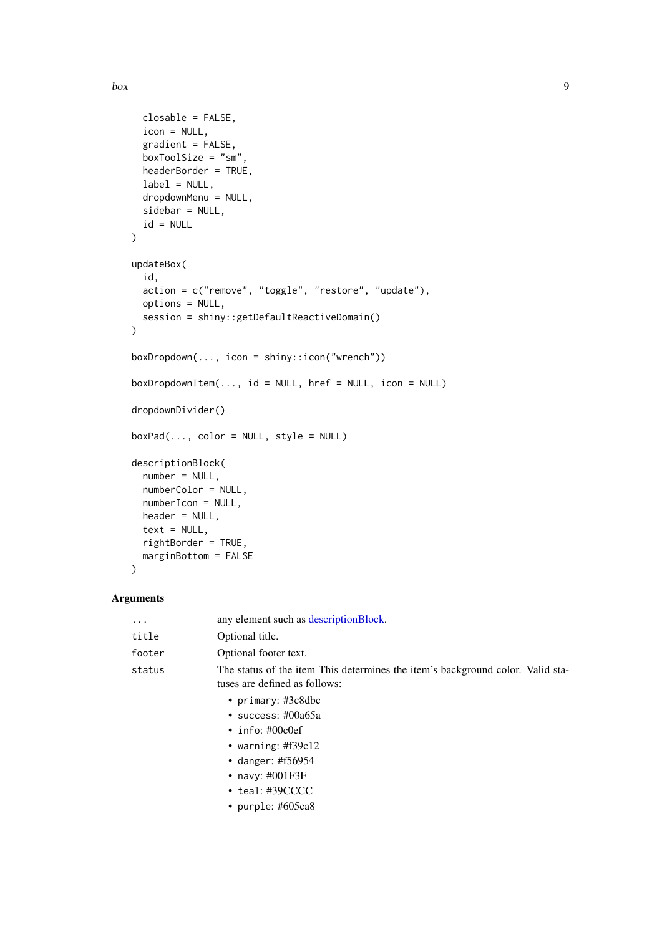```
closable = FALSE,
  icon = NULL,
  gradient = FALSE,
  boxToolSize = "sm",
  headerBorder = TRUE,
  label = NULL,dropdownMenu = NULL,
  sidebar = NULL,
  id = NULL\lambdaupdateBox(
  id,
  action = c("remove", "toggle", "restore", "update"),
  options = NULL,
  session = shiny::getDefaultReactiveDomain()
)
boxDropdown(..., icon = shiny::icon("wrench"))
boxDropdownItem(..., id = NULL, href = NULL, icon = NULL)dropdownDivider()
boxPad(..., color = NULL, style = NULL)descriptionBlock(
  number = NULL,
  numberColor = NULL,
  numberIcon = NULL,
  header = NULL,
  text = NULL,rightBorder = TRUE,
  marginBottom = FALSE
```

```
)
```
#### Arguments

|        | any element such as description Block.                                                                                                                |
|--------|-------------------------------------------------------------------------------------------------------------------------------------------------------|
| title  | Optional title.                                                                                                                                       |
| footer | Optional footer text.                                                                                                                                 |
| status | The status of the item This determines the item's background color. Valid sta-<br>tuses are defined as follows:                                       |
|        | • primary: $\#3c8dbc$<br>• success: $\text{\#}00a65a$<br>$\cdot$ info: #00c0ef<br>• warning: $\#f39c12$<br>• danger: # $f56954$<br>• navy: $\#001F3F$ |
|        | $\cdot$ teal: #39CCCC<br>• purple: $\#605ca8$                                                                                                         |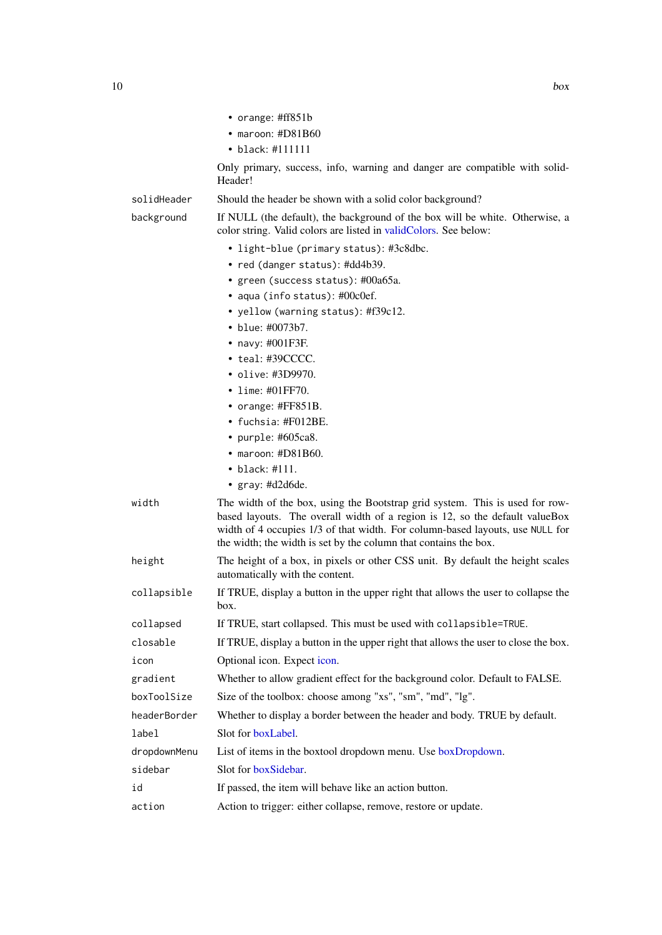|              | • orange: #ff851b                                                                                                                                                                                                                                                                                                |
|--------------|------------------------------------------------------------------------------------------------------------------------------------------------------------------------------------------------------------------------------------------------------------------------------------------------------------------|
|              | • maroon: #D81B60                                                                                                                                                                                                                                                                                                |
|              | • black: #111111                                                                                                                                                                                                                                                                                                 |
|              | Only primary, success, info, warning and danger are compatible with solid-<br>Header!                                                                                                                                                                                                                            |
| solidHeader  | Should the header be shown with a solid color background?                                                                                                                                                                                                                                                        |
| background   | If NULL (the default), the background of the box will be white. Otherwise, a<br>color string. Valid colors are listed in validColors. See below:                                                                                                                                                                 |
|              | • light-blue (primary status): #3c8dbc.                                                                                                                                                                                                                                                                          |
|              | • red (danger status): #dd4b39.                                                                                                                                                                                                                                                                                  |
|              | • green (success status): #00a65a.                                                                                                                                                                                                                                                                               |
|              | • aqua (info status): $\#00c0ef$ .                                                                                                                                                                                                                                                                               |
|              | • yellow (warning status): #f39c12.                                                                                                                                                                                                                                                                              |
|              | • blue: #0073b7.                                                                                                                                                                                                                                                                                                 |
|              | • navy: $\#001F3F$ .                                                                                                                                                                                                                                                                                             |
|              | $\bullet$ teal: #39CCCC.                                                                                                                                                                                                                                                                                         |
|              | • olive: #3D9970.                                                                                                                                                                                                                                                                                                |
|              | • lime: #01FF70.                                                                                                                                                                                                                                                                                                 |
|              | • orange: $\#FF851B$ .                                                                                                                                                                                                                                                                                           |
|              | • fuchsia: #F012BE.                                                                                                                                                                                                                                                                                              |
|              | • purple: #605ca8.                                                                                                                                                                                                                                                                                               |
|              | • maroon: # $D81B60$ .                                                                                                                                                                                                                                                                                           |
|              | $\bullet$ black: #111.                                                                                                                                                                                                                                                                                           |
|              | • gray: $\#d2d6de$ .                                                                                                                                                                                                                                                                                             |
| width        | The width of the box, using the Bootstrap grid system. This is used for row-<br>based layouts. The overall width of a region is 12, so the default valueBox<br>width of 4 occupies 1/3 of that width. For column-based layouts, use NULL for<br>the width; the width is set by the column that contains the box. |
| height       | The height of a box, in pixels or other CSS unit. By default the height scales<br>automatically with the content.                                                                                                                                                                                                |
| collapsible  | If TRUE, display a button in the upper right that allows the user to collapse the<br>box.                                                                                                                                                                                                                        |
| collapsed    | If TRUE, start collapsed. This must be used with collapsible=TRUE.                                                                                                                                                                                                                                               |
| closable     | If TRUE, display a button in the upper right that allows the user to close the box.                                                                                                                                                                                                                              |
| icon         | Optional icon. Expect icon.                                                                                                                                                                                                                                                                                      |
| gradient     | Whether to allow gradient effect for the background color. Default to FALSE.                                                                                                                                                                                                                                     |
| boxToolSize  | Size of the toolbox: choose among "xs", "sm", "md", "lg".                                                                                                                                                                                                                                                        |
| headerBorder | Whether to display a border between the header and body. TRUE by default.                                                                                                                                                                                                                                        |
| label        | Slot for boxLabel.                                                                                                                                                                                                                                                                                               |
| dropdownMenu | List of items in the boxtool dropdown menu. Use boxDropdown.                                                                                                                                                                                                                                                     |
| sidebar      | Slot for boxSidebar.                                                                                                                                                                                                                                                                                             |
| id           | If passed, the item will behave like an action button.                                                                                                                                                                                                                                                           |
| action       | Action to trigger: either collapse, remove, restore or update.                                                                                                                                                                                                                                                   |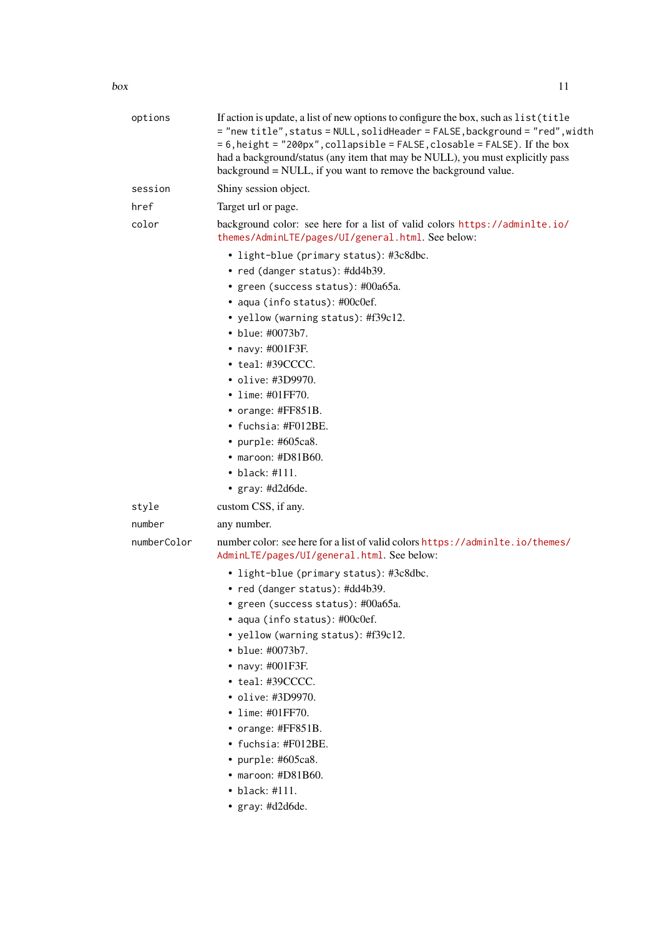| options     | If action is update, a list of new options to configure the box, such as list (title<br>= "new title", status = NULL, solidHeader = FALSE, background = "red", width<br>= 6, height = "200px", collapsible = FALSE, closable = FALSE). If the box<br>had a background/status (any item that may be NULL), you must explicitly pass<br>background = NULL, if you want to remove the background value.                                                   |
|-------------|--------------------------------------------------------------------------------------------------------------------------------------------------------------------------------------------------------------------------------------------------------------------------------------------------------------------------------------------------------------------------------------------------------------------------------------------------------|
| session     | Shiny session object.                                                                                                                                                                                                                                                                                                                                                                                                                                  |
| href        | Target url or page.                                                                                                                                                                                                                                                                                                                                                                                                                                    |
| color       | background color: see here for a list of valid colors https://adminlte.io/<br>themes/AdminLTE/pages/UI/general.html. See below:                                                                                                                                                                                                                                                                                                                        |
|             | • light-blue (primary status): #3c8dbc.<br>• red (danger status): #dd4b39.<br>• green (success status): #00a65a.<br>• aqua (info status): #00c0ef.<br>• yellow (warning status): #f39c12.<br>• blue: #0073b7.<br>• navy: $\text{\#001F3F.}$<br>$\bullet$ teal: #39CCCC.<br>• olive: #3D9970.<br>• lime: $\#01FF70$ .<br>• orange: $\#FF851B$ .<br>• fuchsia: #F012BE.<br>• purple: $#605ca8$ .<br>$\bullet$ maroon: #D81B60.<br>$\bullet$ black: #111. |
|             | • $gray: #d2d6de.$                                                                                                                                                                                                                                                                                                                                                                                                                                     |
| style       | custom CSS, if any.                                                                                                                                                                                                                                                                                                                                                                                                                                    |
| number      | any number.                                                                                                                                                                                                                                                                                                                                                                                                                                            |
| numberColor | number color: see here for a list of valid colors https://adminlte.io/themes/<br>AdminLTE/pages/UI/general.html. See below:                                                                                                                                                                                                                                                                                                                            |
|             | • light-blue (primary status): #3c8dbc.                                                                                                                                                                                                                                                                                                                                                                                                                |
|             | • red (danger status): #dd4b39.                                                                                                                                                                                                                                                                                                                                                                                                                        |
|             | · green (success status): #00a65a.                                                                                                                                                                                                                                                                                                                                                                                                                     |
|             | • aqua (info status): #00c0ef.                                                                                                                                                                                                                                                                                                                                                                                                                         |
|             | • yellow (warning status): #f39c12.                                                                                                                                                                                                                                                                                                                                                                                                                    |
|             | • blue: #0073b7.                                                                                                                                                                                                                                                                                                                                                                                                                                       |
|             | • navy: $\text{\#001F3F.}$                                                                                                                                                                                                                                                                                                                                                                                                                             |
|             | • teal: #39CCCC.                                                                                                                                                                                                                                                                                                                                                                                                                                       |
|             | • olive: #3D9970.                                                                                                                                                                                                                                                                                                                                                                                                                                      |
|             | • lime: #01FF70.                                                                                                                                                                                                                                                                                                                                                                                                                                       |
|             | • orange: #FF851B.                                                                                                                                                                                                                                                                                                                                                                                                                                     |
|             | • fuchsia: #F012BE.                                                                                                                                                                                                                                                                                                                                                                                                                                    |
|             | • purple: #605ca8.                                                                                                                                                                                                                                                                                                                                                                                                                                     |
|             | $\bullet$ maroon: #D81B60.                                                                                                                                                                                                                                                                                                                                                                                                                             |
|             | $\bullet$ black: #111.                                                                                                                                                                                                                                                                                                                                                                                                                                 |
|             | • gray: #d2d6de.                                                                                                                                                                                                                                                                                                                                                                                                                                       |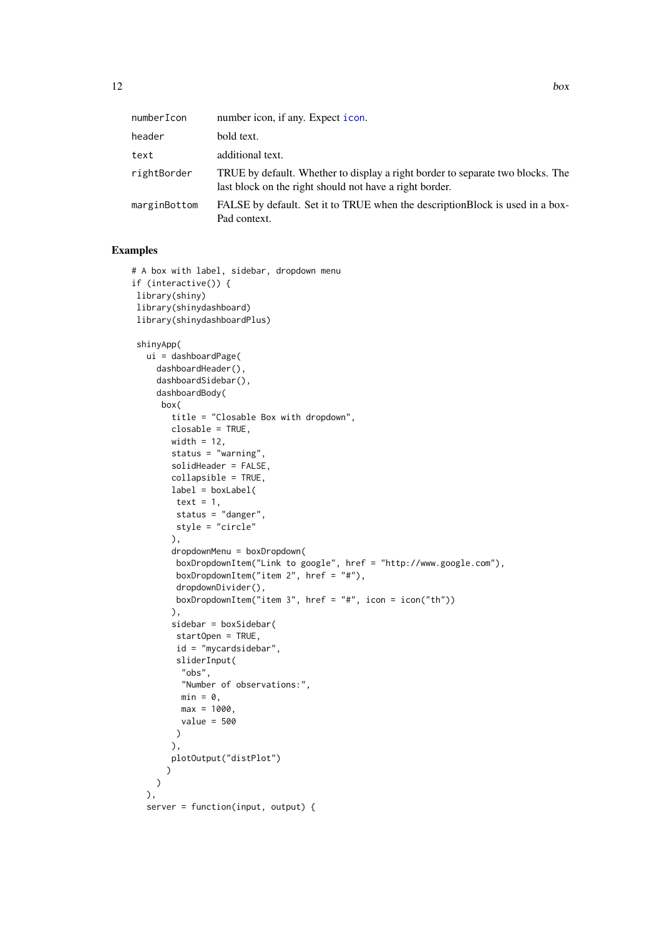| numberIcon   | number icon, if any. Expect icon.                                                                                                         |
|--------------|-------------------------------------------------------------------------------------------------------------------------------------------|
| header       | bold text.                                                                                                                                |
| text         | additional text.                                                                                                                          |
| rightBorder  | TRUE by default. Whether to display a right border to separate two blocks. The<br>last block on the right should not have a right border. |
| marginBottom | FALSE by default. Set it to TRUE when the description Block is used in a box-<br>Pad context.                                             |

```
# A box with label, sidebar, dropdown menu
if (interactive()) {
library(shiny)
library(shinydashboard)
library(shinydashboardPlus)
 shinyApp(
   ui = dashboardPage(
     dashboardHeader(),
     dashboardSidebar(),
     dashboardBody(
     box(
        title = "Closable Box with dropdown",
        closable = TRUE,
        width = 12,
        status = "warning",
        solidHeader = FALSE,
        collapsible = TRUE,
        label = boxLabel(
        text = 1,
        status = "danger",
        style = "circle"
        ),
        dropdownMenu = boxDropdown(
        boxDropdownItem("Link to google", href = "http://www.google.com"),
         boxDropdownItem("item 2", href = "#"),
         dropdownDivider(),
        boxDropdownItem("item 3", href = "#", icon = icon("th"))
        ),
        sidebar = boxSidebar(
         startOpen = TRUE,
         id = "mycardsidebar",
         sliderInput(
          "obs",
          "Number of observations:",
         min = 0,
         max = 1000,value = 500)
        ),
        plotOutput("distPlot")
       \lambda\lambda),
   server = function(input, output) {
```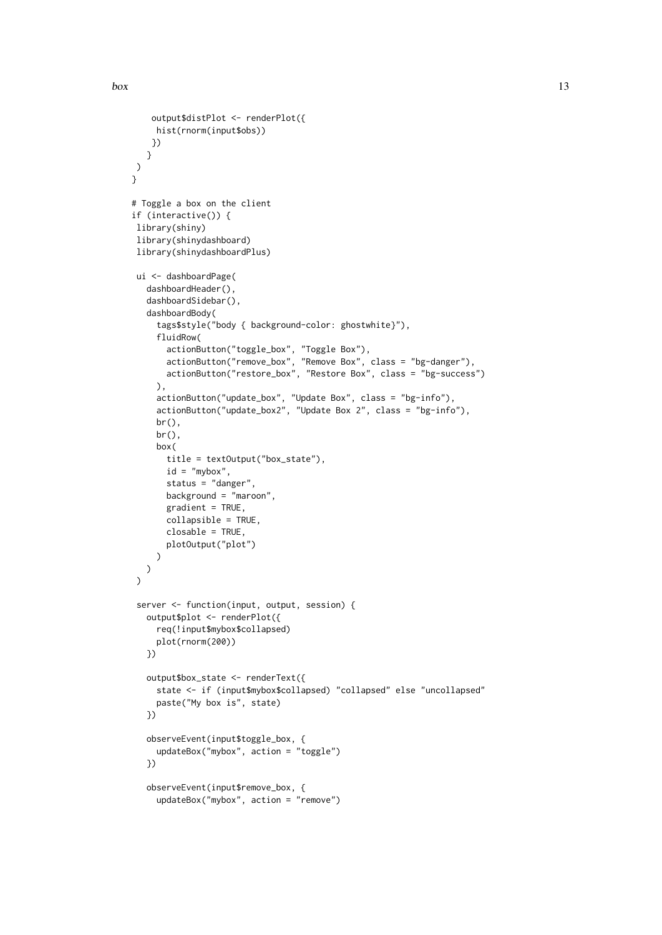```
output$distPlot <- renderPlot({
    hist(rnorm(input$obs))
    })
   }
\lambda}
# Toggle a box on the client
if (interactive()) {
library(shiny)
library(shinydashboard)
library(shinydashboardPlus)
ui <- dashboardPage(
   dashboardHeader(),
   dashboardSidebar(),
   dashboardBody(
     tags$style("body { background-color: ghostwhite}"),
     fluidRow(
       actionButton("toggle_box", "Toggle Box"),
       actionButton("remove_box", "Remove Box", class = "bg-danger"),
       actionButton("restore_box", "Restore Box", class = "bg-success")
     ),
     actionButton("update_box", "Update Box", class = "bg-info"),
     actionButton("update_box2", "Update Box 2", class = "bg-info"),
     br(),
     br(),
     box(
       title = textOutput("box_state"),
       id = "mybox",
       status = "danger",
       background = "maroon",
       gradient = TRUE,
       collapsible = TRUE,
       closable = TRUE,
       plotOutput("plot")
     )
  )
\lambdaserver <- function(input, output, session) {
   output$plot <- renderPlot({
     req(!input$mybox$collapsed)
     plot(rnorm(200))
   })
   output$box_state <- renderText({
     state <- if (input$mybox$collapsed) "collapsed" else "uncollapsed"
    paste("My box is", state)
   })
   observeEvent(input$toggle_box, {
     updateBox("mybox", action = "toggle")
   })
   observeEvent(input$remove_box, {
     updateBox("mybox", action = "remove")
```

```
\mathbf{b} \infty 13
```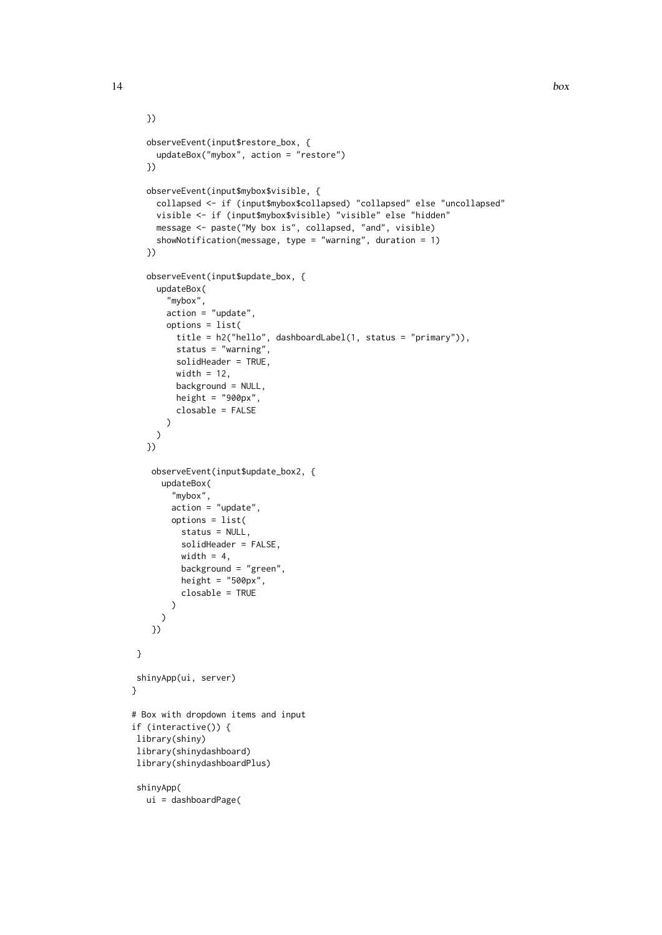```
})
   observeEvent(input$restore_box, {
     updateBox("mybox", action = "restore")
   })
  observeEvent(input$mybox$visible, {
     collapsed <- if (input$mybox$collapsed) "collapsed" else "uncollapsed"
     visible <- if (input$mybox$visible) "visible" else "hidden"
    message <- paste("My box is", collapsed, "and", visible)
     showNotification(message, type = "warning", duration = 1)
  })
   observeEvent(input$update_box, {
    updateBox(
       "mybox",
       action = "update",
       options = list(
         title = h2("hello", dashboardLabel(1, status = "primary")),
         status = "warning",
         solidHeader = TRUE,
         width = 12,
        background = NULL,
        height = "900px",
         closable = FALSE
       \lambda\lambda})
   observeEvent(input$update_box2, {
      updateBox(
        "mybox",
        action = "update",
        options = list(
          status = NULL,
          solidHeader = FALSE,
         width = 4,
         background = "green",
          height = "500px",
          closable = TRUE
        )
      )
   })
 }
 shinyApp(ui, server)
}
# Box with dropdown items and input
if (interactive()) {
library(shiny)
library(shinydashboard)
library(shinydashboardPlus)
 shinyApp(
  ui = dashboardPage(
```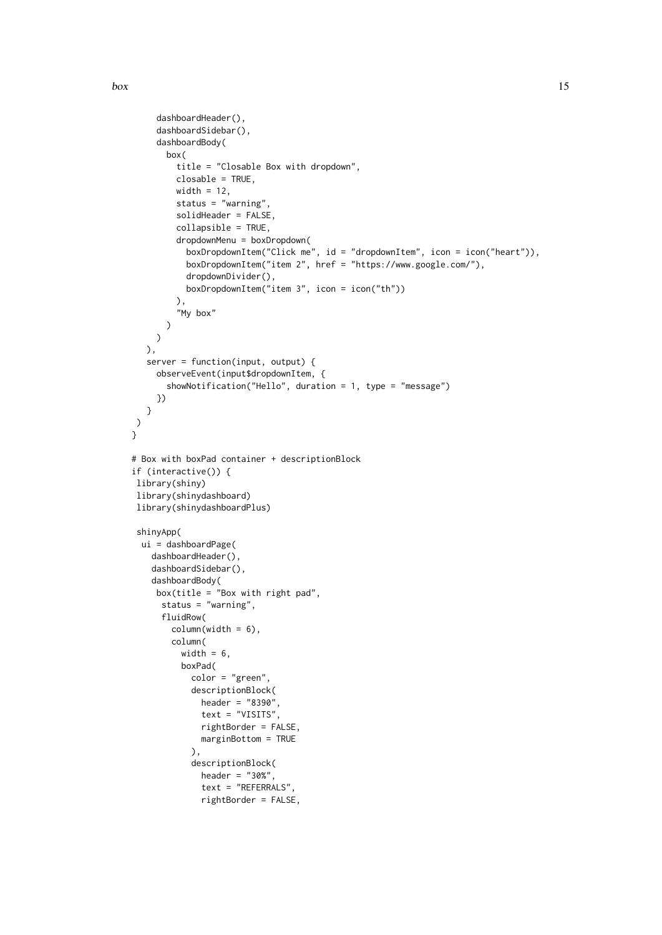$\lambda$ }

),

descriptionBlock( header = "30%", text = "REFERRALS", rightBorder = FALSE,

```
\mathbf{b} \infty 15
        dashboardHeader(),
        dashboardSidebar(),
        dashboardBody(
          box(
            title = "Closable Box with dropdown",
            closable = TRUE,
            width = 12.
           status = "warning",
            solidHeader = FALSE,
            collapsible = TRUE,
            dropdownMenu = boxDropdown(
             boxDropdownItem("Click me", id = "dropdownItem", icon = icon("heart")),
             boxDropdownItem("item 2", href = "https://www.google.com/"),
             dropdownDivider(),
             boxDropdownItem("item 3", icon = icon("th"))
            ),
            "My box"
          \lambda)
      ),
      server = function(input, output) {
        observeEvent(input$dropdownItem, {
          showNotification("Hello", duration = 1, type = "message")
        })
      }
   # Box with boxPad container + descriptionBlock
   if (interactive()) {
    library(shiny)
    library(shinydashboard)
    library(shinydashboardPlus)
    shinyApp(
     ui = dashboardPage(
       dashboardHeader(),
       dashboardSidebar(),
       dashboardBody(
        box(title = "Box with right pad",
         status = "warning",
         fluidRow(
           column(width = 6),
           column(
             width = 6,
             boxPad(
              color = "green",
              descriptionBlock(
                header = "8390",
                text = "VISITS",
                rightBorder = FALSE,
                marginBottom = TRUE
```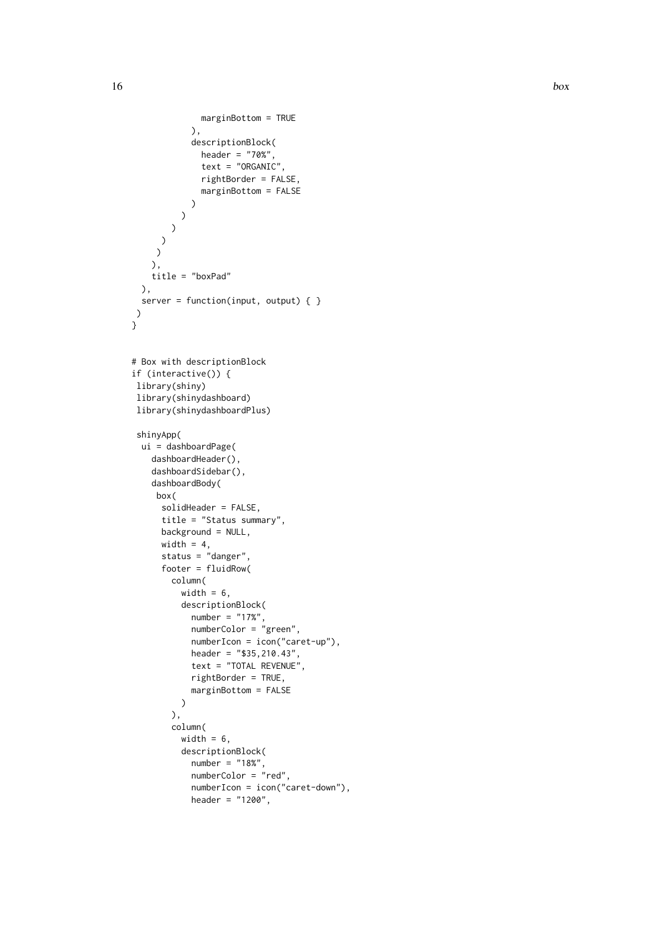```
marginBottom = TRUE
            ),
            descriptionBlock(
              header = "70%",
              text = "ORGANIC",rightBorder = FALSE,
              marginBottom = FALSE
            \lambda\lambda)
     )
    )
    ),
    title = "boxPad"
 ),
 server = function(input, output) \{ \})
}
# Box with descriptionBlock
if (interactive()) {
library(shiny)
 library(shinydashboard)
 library(shinydashboardPlus)
 shinyApp(
 ui = dashboardPage(
    dashboardHeader(),
    dashboardSidebar(),
    dashboardBody(
    box(
      solidHeader = FALSE,
      background = NULL,
      width = 4,
      status = idanger",
      footer = fluidRow(
```

```
title = "Status summary",
 column(
    width = 6,
    descriptionBlock(
      number = "17%",
      numberColor = "green",
      numberIcon = icon("caret-up"),
      header = "$35,210.43",
      text = "TOTAL REVENUE",
      rightBorder = TRUE,
      marginBottom = FALSE
   \lambda),
  column(
   width = 6.
    descriptionBlock(
      number = "18%",
      numberColor = "red",
      numberIcon = icon("caret-down"),
```
header =  $"1200"$ ,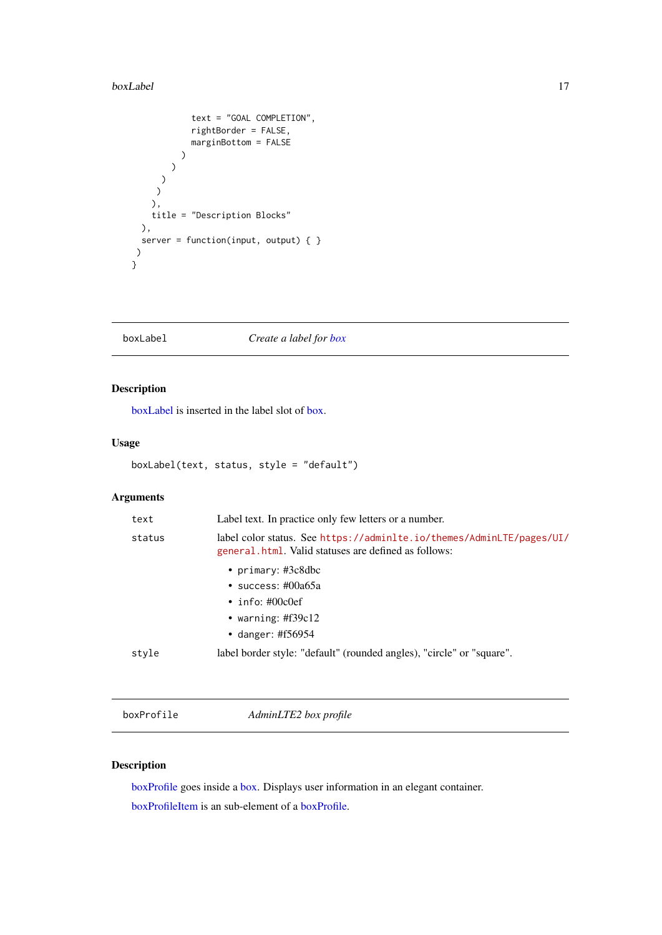#### <span id="page-16-0"></span>boxLabel 17

```
text = "GOAL COMPLETION",
            rightBorder = FALSE,
            marginBottom = FALSE
          )
        \lambda)
     )
    ),
   title = "Description Blocks"
 ),
 server = function(input, output) \{ \})
}
```
## <span id="page-16-1"></span>boxLabel *Create a label for [box](#page-7-1)*

## Description

[boxLabel](#page-16-1) is inserted in the label slot of [box.](#page-7-1)

## Usage

boxLabel(text, status, style = "default")

## Arguments

| text   | Label text. In practice only few letters or a number.                                                                          |
|--------|--------------------------------------------------------------------------------------------------------------------------------|
| status | label color status. See https://adminlte.io/themes/AdminLTE/pages/UI/<br>general, html. Valid statuses are defined as follows: |
|        | • primary: $\#3c8dbc$                                                                                                          |
|        | • success: $\#00a65a$                                                                                                          |
|        | $\cdot$ info: #00c0ef                                                                                                          |
|        | • warning: #f39c12                                                                                                             |
|        | • danger: # $f56954$                                                                                                           |
| style  | label border style: "default" (rounded angles), "circle" or "square".                                                          |
|        |                                                                                                                                |

<span id="page-16-2"></span>boxProfile *AdminLTE2 box profile*

## <span id="page-16-3"></span>Description

[boxProfile](#page-16-2) goes inside a [box.](#page-7-1) Displays user information in an elegant container. [boxProfileItem](#page-16-3) is an sub-element of a [boxProfile.](#page-16-2)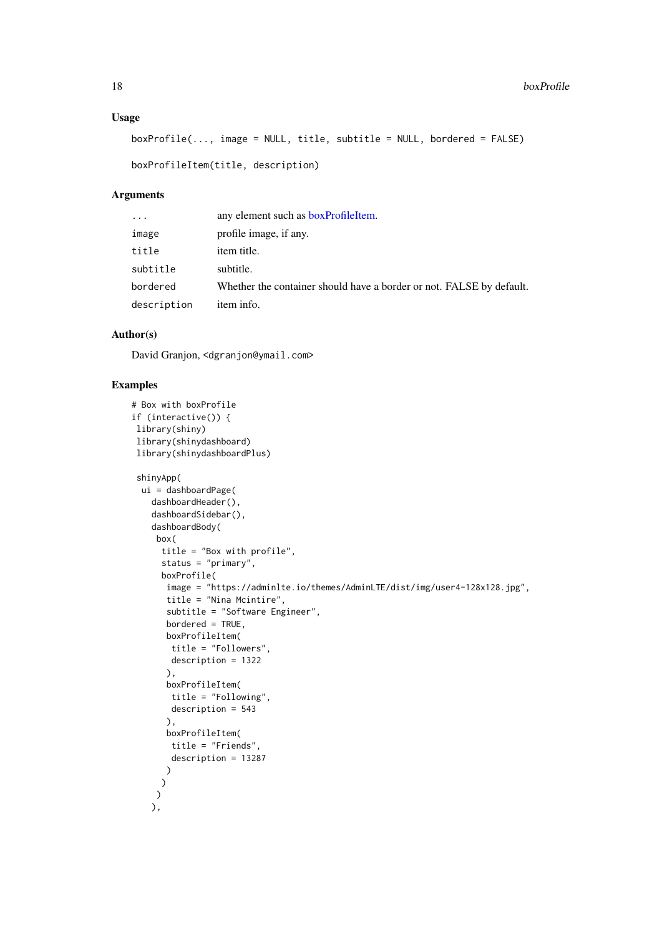## Usage

```
boxProfile(..., image = NULL, title, subtitle = NULL, bordered = FALSE)
```

```
boxProfileItem(title, description)
```
## Arguments

| $\cdots$    | any element such as <b>boxProfileItem</b> .                          |
|-------------|----------------------------------------------------------------------|
| image       | profile image, if any.                                               |
| title       | item title.                                                          |
| subtitle    | subtitle.                                                            |
| bordered    | Whether the container should have a border or not. FALSE by default. |
| description | item info.                                                           |

## Author(s)

David Granjon, <dgranjon@ymail.com>

```
# Box with boxProfile
if (interactive()) {
library(shiny)
library(shinydashboard)
library(shinydashboardPlus)
 shinyApp(
 ui = dashboardPage(
   dashboardHeader(),
   dashboardSidebar(),
   dashboardBody(
    box(
     title = "Box with profile",
     status = "primary",
     boxProfile(
      image = "https://adminlte.io/themes/AdminLTE/dist/img/user4-128x128.jpg",
      title = "Nina Mcintire",
      subtitle = "Software Engineer",
       bordered = TRUE,
      boxProfileItem(
       title = "Followers",
       description = 1322
       ),
       boxProfileItem(
       title = "Following",
       description = 543
       ),
       boxProfileItem(
       title = "Friends",
       description = 13287
      )
     )
    \lambda),
```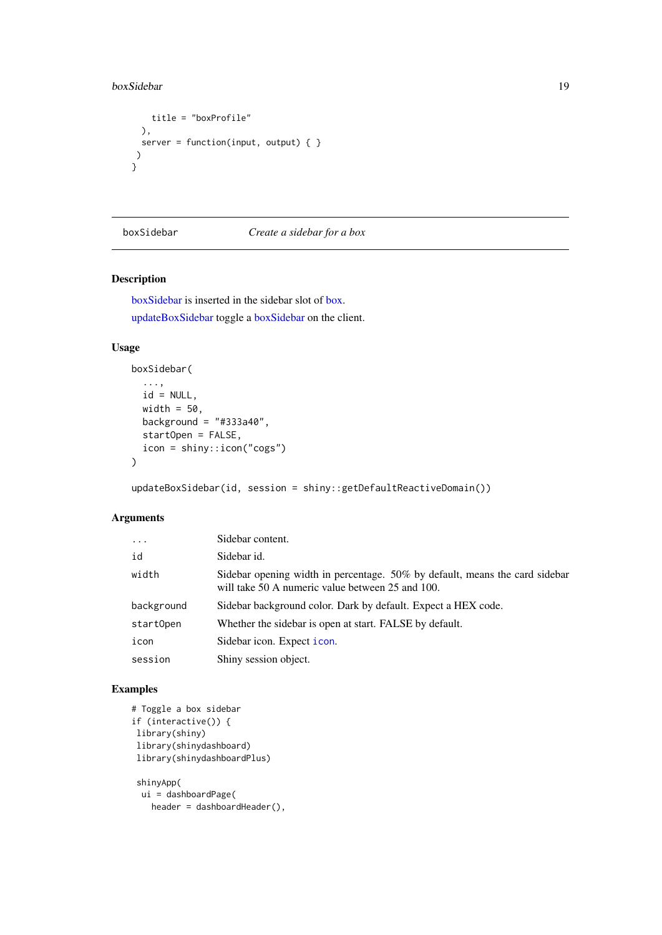```
title = "boxProfile"
  ),
  server = function(input, output) \{ \})
}
```
## <span id="page-18-1"></span>boxSidebar *Create a sidebar for a box*

## <span id="page-18-2"></span>Description

[boxSidebar](#page-18-1) is inserted in the sidebar slot of [box.](#page-7-1) [updateBoxSidebar](#page-18-2) toggle a [boxSidebar](#page-18-1) on the client.

## Usage

```
boxSidebar(
  ...,
  id = NULL,width = 50.
  background = "#333a40",
  startOpen = FALSE,
  icon = shiny::icon("cogs")
)
```
updateBoxSidebar(id, session = shiny::getDefaultReactiveDomain())

#### Arguments

| $\cdot$    | Sidebar content.                                                                                                                |  |
|------------|---------------------------------------------------------------------------------------------------------------------------------|--|
| id         | Sidebar id.                                                                                                                     |  |
| width      | Sidebar opening width in percentage. 50% by default, means the card sidebar<br>will take 50 A numeric value between 25 and 100. |  |
| background | Sidebar background color. Dark by default. Expect a HEX code.                                                                   |  |
| startOpen  | Whether the sidebar is open at start. FALSE by default.                                                                         |  |
| icon       | Sidebar icon. Expect icon.                                                                                                      |  |
| session    | Shiny session object.                                                                                                           |  |

```
# Toggle a box sidebar
if (interactive()) {
library(shiny)
 library(shinydashboard)
 library(shinydashboardPlus)
 shinyApp(
  ui = dashboardPage(
    header = dashboardHeader(),
```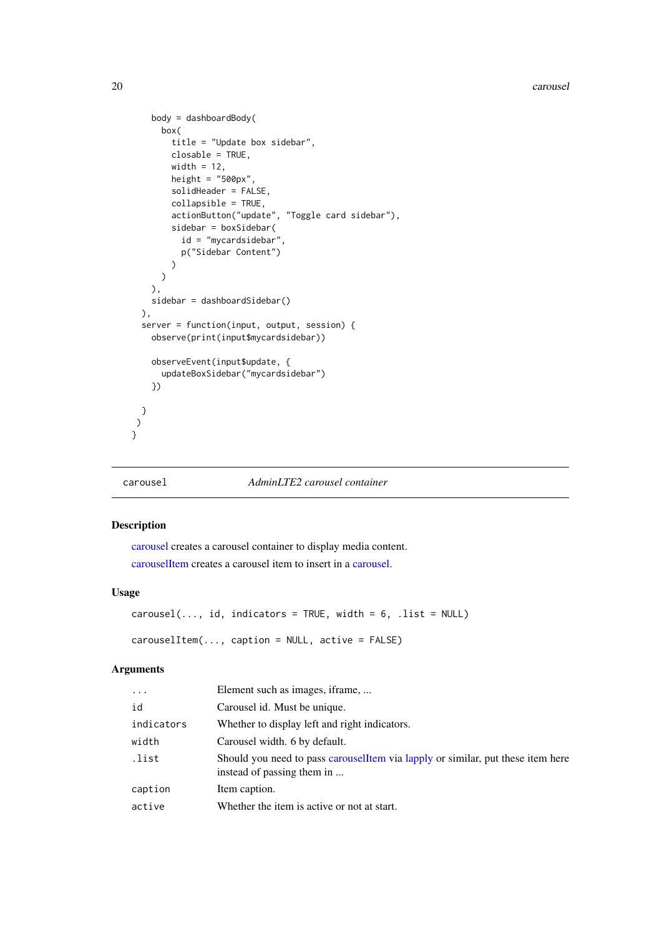```
body = dashboardBody(
      box(
        title = "Update box sidebar",
        closable = TRUE,
        width = 12,
        height = "500px",
        solidHeader = FALSE,
        collapsible = TRUE,
        actionButton("update", "Toggle card sidebar"),
        sidebar = boxSidebar(
           id = "mycardsidebar",
          p("Sidebar Content")
        \lambda)
    ),
    sidebar = dashboardSidebar()
  ),
  server = function(input, output, session) {
    observe(print(input$mycardsidebar))
    observeEvent(input$update, {
      updateBoxSidebar("mycardsidebar")
    })
  }
\overline{\phantom{a}}}<sup>1</sup>
```
#### <span id="page-19-1"></span>carousel *AdminLTE2 carousel container*

## <span id="page-19-2"></span>Description

[carousel](#page-19-1) creates a carousel container to display media content. [carouselItem](#page-19-2) creates a carousel item to insert in a [carousel.](#page-19-1)

## Usage

```
carousel(..., id, indicators = TRUE, width = 6, .list = NULL)
```
 $carcuselItem(..., caption = NULL, active = FALSE)$ 

#### Arguments

| $\ddotsc$  | Element such as images, if rame,                                                                              |
|------------|---------------------------------------------------------------------------------------------------------------|
| id         | Carousel id. Must be unique.                                                                                  |
| indicators | Whether to display left and right indicators.                                                                 |
| width      | Carousel width. 6 by default.                                                                                 |
| .list      | Should you need to pass carouselltem via lapply or similar, put these item here<br>instead of passing them in |
| caption    | Item caption.                                                                                                 |
| active     | Whether the item is active or not at start.                                                                   |
|            |                                                                                                               |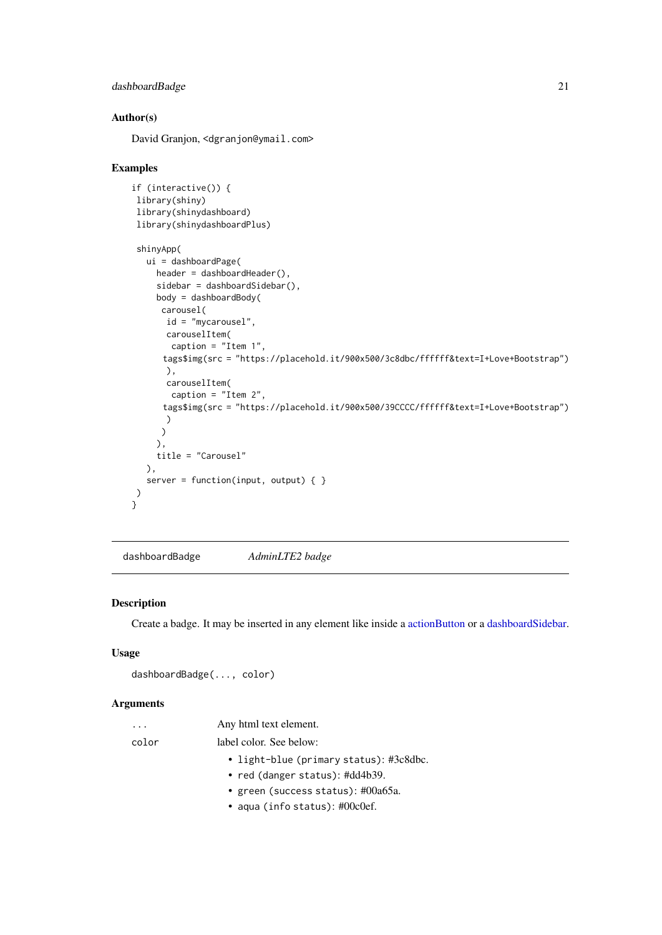#### <span id="page-20-0"></span>dashboardBadge 21

## Author(s)

David Granjon, <dgranjon@ymail.com>

## Examples

```
if (interactive()) {
library(shiny)
 library(shinydashboard)
library(shinydashboardPlus)
 shinyApp(
  ui = dashboardPage(
    header = dashboardHeader(),
     sidebar = dashboardSidebar(),
    body = dashboardBody(
     carousel(
      id = "mycarousel",
      carouselItem(
       caption = "Item 1",
      tags$img(src = "https://placehold.it/900x500/3c8dbc/ffffff&text=I+Love+Bootstrap")
      ),
      carouselItem(
        caption = "Item 2",
      tags$img(src = "https://placehold.it/900x500/39CCCC/ffffff&text=I+Love+Bootstrap")
       )
      )
     ),
    title = "Carousel"
   ),
   server = function(input, output) \{ \}\lambda}
```
dashboardBadge *AdminLTE2 badge*

#### Description

Create a badge. It may be inserted in any element like inside a [actionButton](#page-0-0) or a [dashboardSidebar.](#page-31-1)

## Usage

```
dashboardBadge(..., color)
```
#### Arguments

| $\cdot$ $\cdot$ $\cdot$ | Any html text element.                        |  |
|-------------------------|-----------------------------------------------|--|
| color                   | label color. See below:                       |  |
|                         | • light-blue (primary status): $\#3c8dbc$ .   |  |
|                         | • red (danger status): #dd4b39.               |  |
|                         | • green (success status): $\text{\#}00a65a$ . |  |
|                         | • aqua (info status): $\text{\#00c0ef.}$      |  |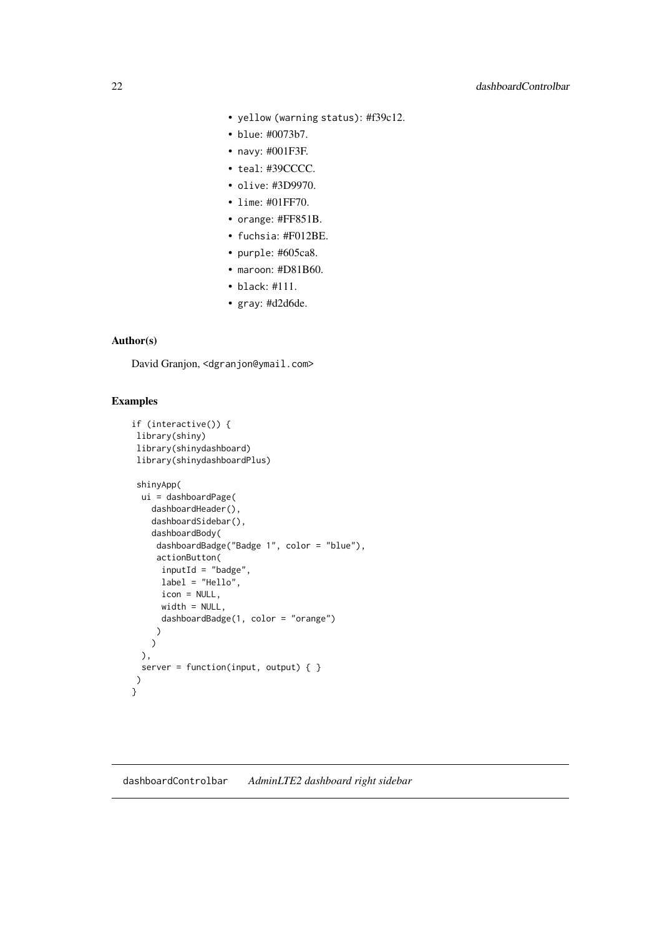- <span id="page-21-0"></span>• yellow (warning status): #f39c12.
- blue: #0073b7.
- navy: #001F3F.
- teal: #39CCCC.
- olive: #3D9970.
- lime: #01FF70.
- orange: #FF851B.
- fuchsia: #F012BE.
- purple: #605ca8.
- maroon: #D81B60.
- black: #111.
- gray: #d2d6de.

## Author(s)

David Granjon, <dgranjon@ymail.com>

```
if (interactive()) {
 library(shiny)
 library(shinydashboard)
 library(shinydashboardPlus)
 shinyApp(
 ui = dashboardPage(
   dashboardHeader(),
   dashboardSidebar(),
   dashboardBody(
    dashboardBadge("Badge 1", color = "blue"),
     actionButton(
     inputId = "badge",label = "Hello",
     icon = NULL,
     width = NULL,
      dashboardBadge(1, color = "orange")
    )
   )
  ),
 server = function(input, output) \{ \})
}
```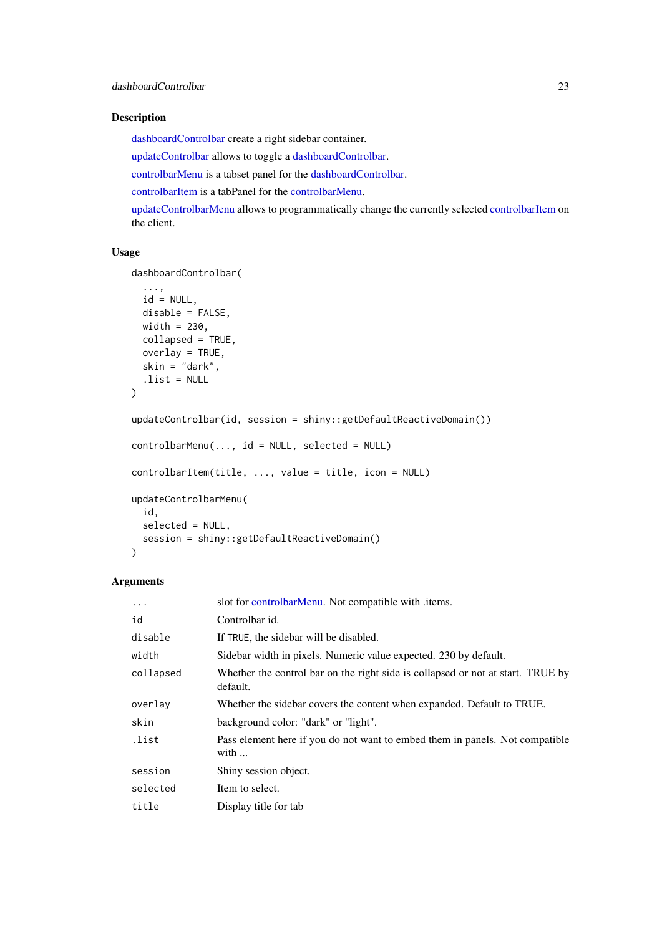#### Description

[dashboardControlbar](#page-21-1) create a right sidebar container.

[updateControlbar](#page-21-2) allows to toggle a [dashboardControlbar.](#page-21-1)

[controlbarMenu](#page-21-2) is a tabset panel for the [dashboardControlbar.](#page-21-1)

[controlbarItem](#page-21-2) is a tabPanel for the [controlbarMenu.](#page-21-2)

[updateControlbarMenu](#page-21-2) allows to programmatically change the currently selected [controlbarItem](#page-21-2) on the client.

## Usage

```
dashboardControlbar(
  ...,
  id = NULL,disable = FALSE,
  width = 230,
  collapsed = TRUE,
  overlay = TRUE,
  skin = "dark",
  .list = NULL
)
updateControlbar(id, session = shiny::getDefaultReactiveDomain())
controlbarMenu(..., id = NULL, selected = NULL)controlbarItem(title, ..., value = title, icon = NULL)
updateControlbarMenu(
  id,
  selected = NULL,
  session = shiny::getDefaultReactiveDomain()
\lambda
```
## Arguments

| $\ddotsc$ | slot for controlbarMenu. Not compatible with .items.                                        |
|-----------|---------------------------------------------------------------------------------------------|
| id        | Controlbar id.                                                                              |
| disable   | If TRUE, the sidebar will be disabled.                                                      |
| width     | Sidebar width in pixels. Numeric value expected. 230 by default.                            |
| collapsed | Whether the control bar on the right side is collapsed or not at start. TRUE by<br>default. |
| overlay   | Whether the sidebar covers the content when expanded. Default to TRUE.                      |
| skin      | background color: "dark" or "light".                                                        |
| .list     | Pass element here if you do not want to embed them in panels. Not compatible<br>with        |
| session   | Shiny session object.                                                                       |
| selected  | Item to select.                                                                             |
| title     | Display title for tab                                                                       |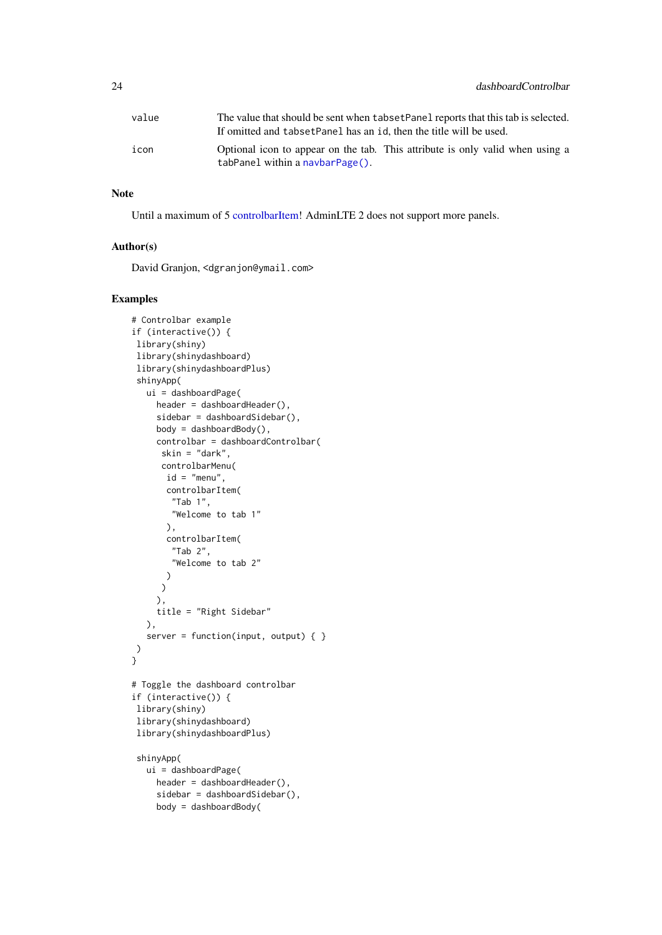| value | The value that should be sent when tabset Panel reports that this tab is selected.<br>If omitted and tabset Panel has an id, then the title will be used. |  |
|-------|-----------------------------------------------------------------------------------------------------------------------------------------------------------|--|
| icon  | Optional icon to appear on the tab. This attribute is only valid when using a<br>tabPanel within a navbarPage().                                          |  |

## Note

Until a maximum of 5 [controlbarItem!](#page-21-2) AdminLTE 2 does not support more panels.

#### Author(s)

David Granjon, <dgranjon@ymail.com>

```
# Controlbar example
if (interactive()) {
library(shiny)
library(shinydashboard)
library(shinydashboardPlus)
 shinyApp(
   ui = dashboardPage(
     header = dashboardHeader(),
     sidebar = dashboardSidebar(),
    body = dashboardBody(),
    controlbar = dashboardControlbar(
     skin = "dark",
     controlbarMenu(
      id = "menu",
      controlbarItem(
        "Tab 1",
       "Welcome to tab 1"
      ),
      controlbarItem(
       "Tab 2",
        "Welcome to tab 2"
      )
     )
    ),
    title = "Right Sidebar"
   ),
   server = function(input, output) { }
)
}
# Toggle the dashboard controlbar
if (interactive()) {
library(shiny)
library(shinydashboard)
library(shinydashboardPlus)
 shinyApp(
   ui = dashboardPage(
    header = dashboardHeader(),
     sidebar = dashboardSidebar(),
     body = dashboardBody(
```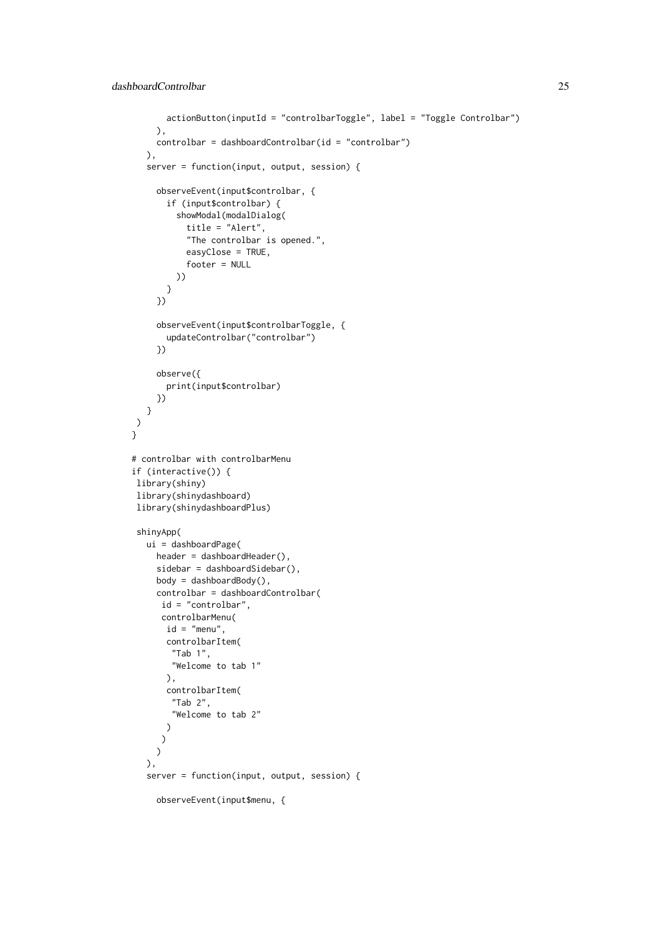```
actionButton(inputId = "controlbarToggle", label = "Toggle Controlbar")
     ),
     controlbar = dashboardControlbar(id = "controlbar")
   ),
   server = function(input, output, session) {
     observeEvent(input$controlbar, {
       if (input$controlbar) {
         showModal(modalDialog(
           title = "Alert",
           "The controlbar is opened.",
           easyClose = TRUE,
           footer = NULL
         ))
       }
     })
     observeEvent(input$controlbarToggle, {
       updateControlbar("controlbar")
     })
     observe({
       print(input$controlbar)
     })
   }
\lambda}
# controlbar with controlbarMenu
if (interactive()) {
library(shiny)
library(shinydashboard)
library(shinydashboardPlus)
 shinyApp(
  ui = dashboardPage(
    header = dashboardHeader(),
     sidebar = dashboardSidebar(),
     body = dashboardBody(),
     controlbar = dashboardControlbar(
      id = "controlbar",
      controlbarMenu(
      id = "menu",
       controlbarItem(
       "Tab 1",
        "Welcome to tab 1"
       ),
       controlbarItem(
        "Tab 2",
        "Welcome to tab 2"
       )
      \lambda)
   ),
   server = function(input, output, session) {
     observeEvent(input$menu, {
```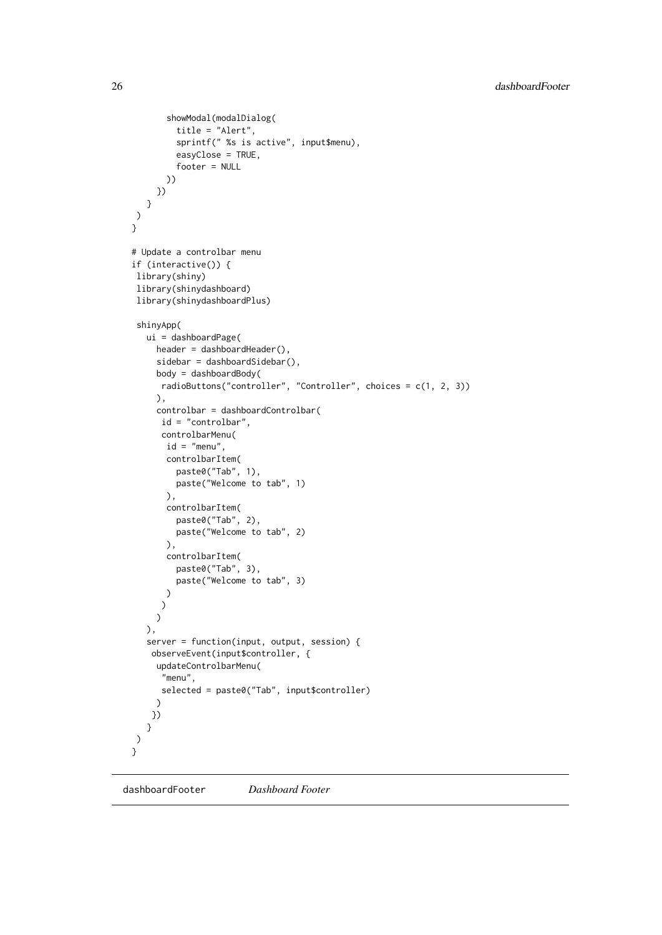```
showModal(modalDialog(
         title = "Alert",
         sprintf(" %s is active", input$menu),
         easyClose = TRUE,
         footer = NULL
       ))
    })
  }
)
}
# Update a controlbar menu
if (interactive()) {
library(shiny)
library(shinydashboard)
library(shinydashboardPlus)
 shinyApp(
  ui = dashboardPage(
    header = dashboardHeader(),
     sidebar = dashboardSidebar(),
     body = dashboardBody(
     radioButtons("controller", "Controller", choices = c(1, 2, 3))
     ),
     controlbar = dashboardControlbar(
      id = "controlbar",
      controlbarMenu(
       id = "menu",
       controlbarItem(
         paste0("Tab", 1),
        paste("Welcome to tab", 1)
       ),
       controlbarItem(
         paste0("Tab", 2),
        paste("Welcome to tab", 2)
       ),
       controlbarItem(
         paste0("Tab", 3),
         paste("Welcome to tab", 3)
       )
      )
    )
   ),
   server = function(input, output, session) {
    observeEvent(input$controller, {
     updateControlbarMenu(
      "menu",
      selected = paste0("Tab", input$controller)
    \lambda})
  }
\lambda}
```
<span id="page-25-1"></span>dashboardFooter *Dashboard Footer*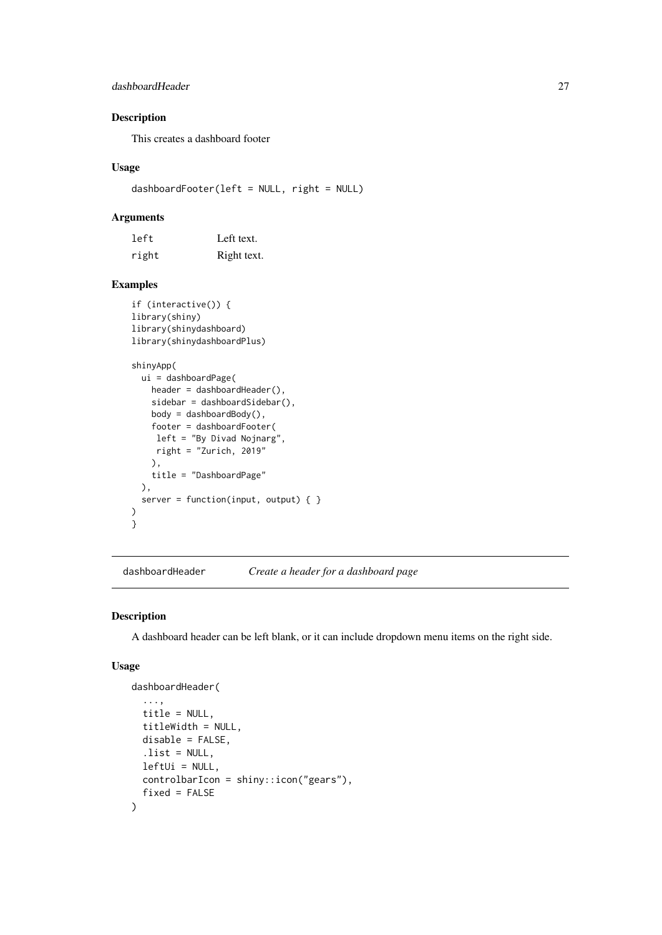#### <span id="page-26-0"></span>dashboardHeader 27

## Description

This creates a dashboard footer

## Usage

dashboardFooter(left = NULL, right = NULL)

#### Arguments

| left  | Left text.  |
|-------|-------------|
| right | Right text. |

## Examples

```
if (interactive()) {
library(shiny)
library(shinydashboard)
library(shinydashboardPlus)
shinyApp(
  ui = dashboardPage(
    header = dashboardHeader(),
    sidebar = dashboardSidebar(),
    body = dashboardBody(),
    footer = dashboardFooter(
    left = "By Divad Nojnarg",
    right = "Zurich, 2019"
    ),
    title = "DashboardPage"
  ),
  server = function(input, output) { }
)
}
```
<span id="page-26-1"></span>dashboardHeader *Create a header for a dashboard page*

## Description

A dashboard header can be left blank, or it can include dropdown menu items on the right side.

#### Usage

```
dashboardHeader(
  ...,
  title = NULL,
  titleWidth = NULL,
  disable = FALSE,
  .list = NULL,
  leftUI = NULL,controlbarIcon = shiny::icon("gears"),
  fixed = FALSE)
```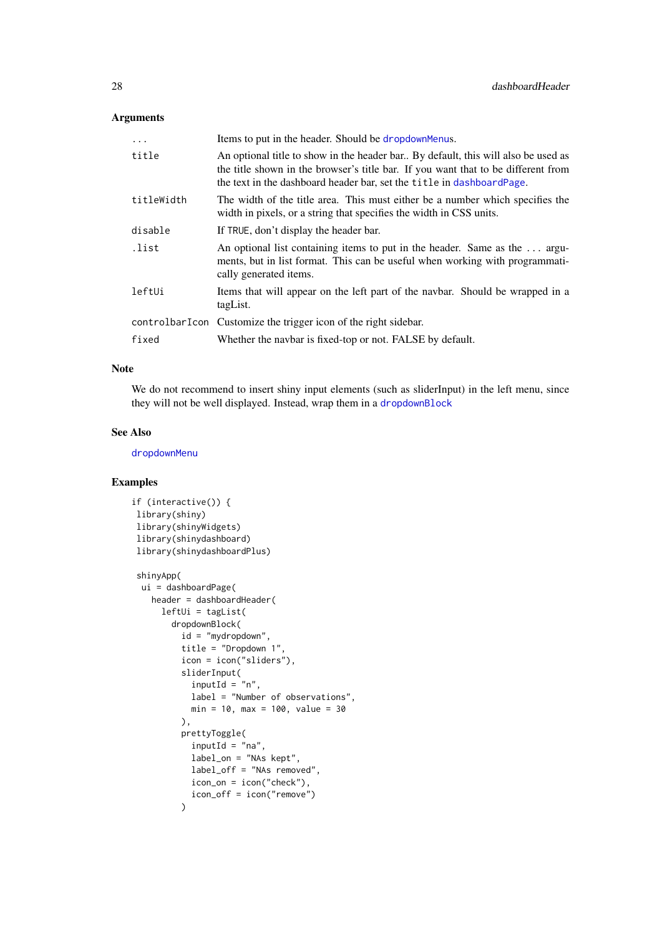## Arguments

| $\ddotsc$  | Items to put in the header. Should be dropdown Menus.                                                                                                                                                                                           |  |
|------------|-------------------------------------------------------------------------------------------------------------------------------------------------------------------------------------------------------------------------------------------------|--|
| title      | An optional title to show in the header bar By default, this will also be used as<br>the title shown in the browser's title bar. If you want that to be different from<br>the text in the dashboard header bar, set the title in dashboardPage. |  |
| titleWidth | The width of the title area. This must either be a number which specifies the<br>width in pixels, or a string that specifies the width in CSS units.                                                                                            |  |
| disable    | If TRUE, don't display the header bar.                                                                                                                                                                                                          |  |
| .list      | An optional list containing items to put in the header. Same as the  argu-<br>ments, but in list format. This can be useful when working with programmati-<br>cally generated items.                                                            |  |
| leftUi     | Items that will appear on the left part of the navbar. Should be wrapped in a<br>tagList.                                                                                                                                                       |  |
|            | controlbarIcon Customize the trigger icon of the right sidebar.                                                                                                                                                                                 |  |
| fixed      | Whether the navbar is fixed-top or not. FALSE by default.                                                                                                                                                                                       |  |
|            |                                                                                                                                                                                                                                                 |  |

#### Note

We do not recommend to insert shiny input elements (such as sliderInput) in the left menu, since they will not be well displayed. Instead, wrap them in a [dropdownBlock](#page-34-1)

## See Also

[dropdownMenu](#page-0-0)

```
if (interactive()) {
library(shiny)
library(shinyWidgets)
library(shinydashboard)
library(shinydashboardPlus)
 shinyApp(
 ui = dashboardPage(
   header = dashboardHeader(
     leftUi = tagList(
       dropdownBlock(
         id = "mydropdown",
         title = "Dropdown 1",
         icon = icon("sliders"),
         sliderInput(
           inputId = "n",label = "Number of observations",
           min = 10, max = 100, value = 30
         ),
         prettyToggle(
           inputId = "na",label_on = "NAs kept",
           label_off = "NAs removed",
           icon_on = icon("check"),
           icon_off = icon("remove")
         )
```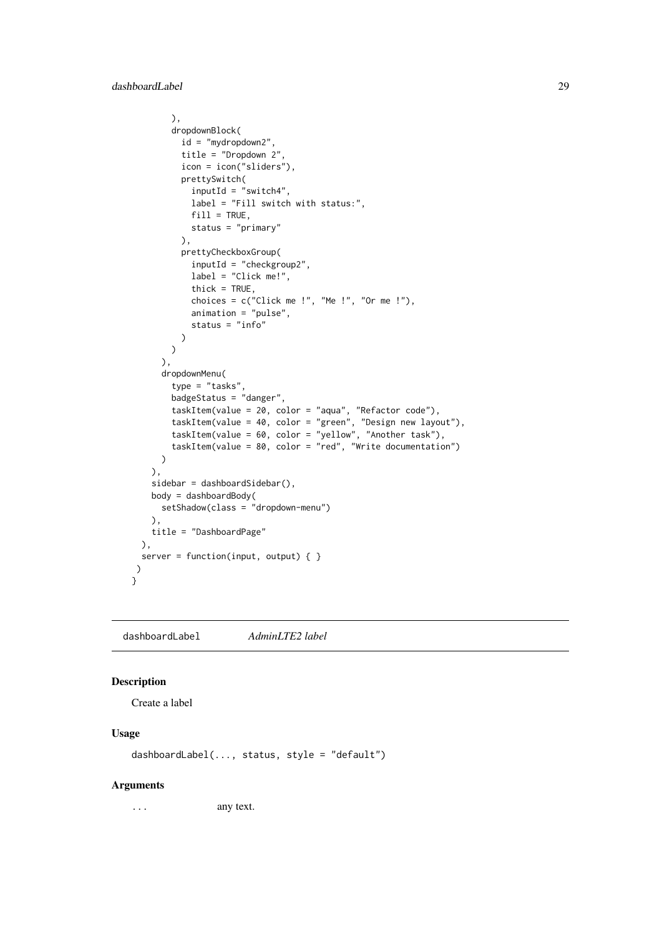```
),
      dropdownBlock(
       id = "mydropdown2",
        title = "Dropdown 2",
       icon = icon("sliders"),
        prettySwitch(
          inputId = "switch4",
         label = "Fill switch with status:",
         fill = TRUE.
          status = "primary"
        ),
        prettyCheckboxGroup(
          inputId = "checkgroup2",
          label = "Click me!",
          thick = TRUE,
          choices = c("Click me!", "Me!", "Or me!"),animation = "pulse",
          status = "info"
       )
      \lambda),
    dropdownMenu(
      type = "tasks",badgeStatus = "danger",
      taskItem(value = 20, color = "aqua", "Refactor code"),
      taskItem(value = 40, color = "green", "Design new layout"),
      taskItem(value = 60, color = "yellow", "Another task"),
      taskItem(value = 80, color = "red", "Write documentation")
    \lambda),
  sidebar = dashboardSidebar(),
  body = dashboardBody(
   setShadow(class = "dropdown-menu")
 ),
 title = "DashboardPage"
),
server = function(input, output) { }
```

```
dashboardLabel AdminLTE2 label
```
#### Description

) }

Create a label

#### Usage

```
dashboardLabel(..., status, style = "default")
```
#### Arguments

... any text.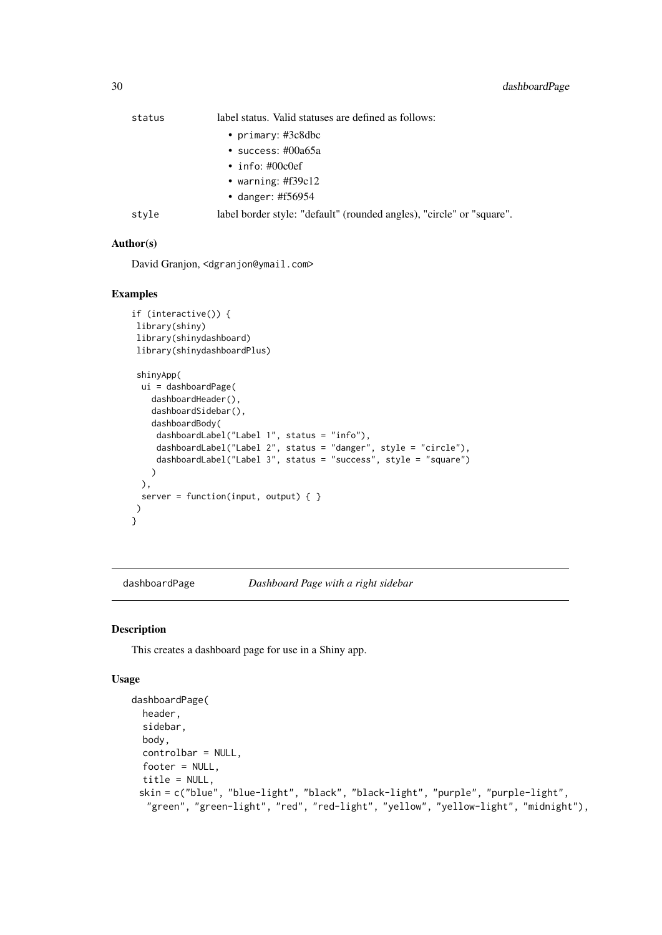<span id="page-29-0"></span>

| status | label status. Valid statuses are defined as follows:                  |  |
|--------|-----------------------------------------------------------------------|--|
|        | • primary: $\#3c8dbc$                                                 |  |
|        | • success: $\#00a65a$                                                 |  |
|        | $\cdot$ info: #00c0ef                                                 |  |
|        | • warning: $\text{\#f39c12}$                                          |  |
|        | • danger: # $f56954$                                                  |  |
| style  | label border style: "default" (rounded angles), "circle" or "square". |  |

#### Author(s)

David Granjon, <dgranjon@ymail.com>

#### Examples

```
if (interactive()) {
library(shiny)
library(shinydashboard)
library(shinydashboardPlus)
 shinyApp(
 ui = dashboardPage(
    dashboardHeader(),
    dashboardSidebar(),
    dashboardBody(
     dashboardLabel("Label 1", status = "info"),
     dashboardLabel("Label 2", status = "danger", style = "circle"),
     dashboardLabel("Label 3", status = "success", style = "square")
   )
 ),
  server = function(input, output) { }
)
}
```
<span id="page-29-1"></span>dashboardPage *Dashboard Page with a right sidebar*

## Description

This creates a dashboard page for use in a Shiny app.

## Usage

```
dashboardPage(
  header,
  sidebar,
  body,
  controlbar = NULL,
  footer = NULL,
  title = NULL,
 skin = c("blue", "blue-light", "black", "black-light", "purple", "purple-light",
  "green", "green-light", "red", "red-light", "yellow", "yellow-light", "midnight"),
```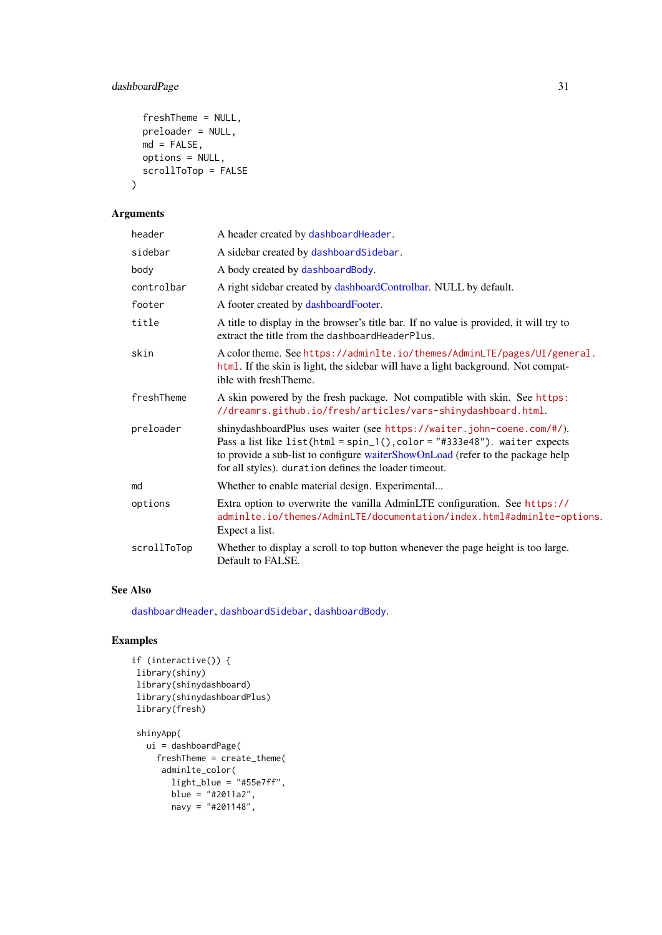## dashboardPage 31

```
freshTheme = NULL,
 preloader = NULL,
 md = FALSE,options = NULL,
 scrollToTop = FALSE
)
```
## Arguments

| header      | A header created by dashboardHeader.                                                                                                                                                                                                                                                              |  |
|-------------|---------------------------------------------------------------------------------------------------------------------------------------------------------------------------------------------------------------------------------------------------------------------------------------------------|--|
| sidebar     | A sidebar created by dashboardSidebar.                                                                                                                                                                                                                                                            |  |
| body        | A body created by dashboardBody.                                                                                                                                                                                                                                                                  |  |
| controlbar  | A right sidebar created by dashboardControlbar. NULL by default.                                                                                                                                                                                                                                  |  |
| footer      | A footer created by dashboardFooter.                                                                                                                                                                                                                                                              |  |
| title       | A title to display in the browser's title bar. If no value is provided, it will try to<br>extract the title from the dashboardHeaderPlus.                                                                                                                                                         |  |
| skin        | A color theme. See https://adminlte.io/themes/AdminLTE/pages/UI/general.<br>html. If the skin is light, the sidebar will have a light background. Not compat-<br>ible with fresh Theme.                                                                                                           |  |
| freshTheme  | A skin powered by the fresh package. Not compatible with skin. See https:<br>//dreamrs.github.io/fresh/articles/vars-shinydashboard.html.                                                                                                                                                         |  |
| preloader   | shinydashboardPlus uses waiter (see https://waiter.john-coene.com/#/).<br>Pass a list like $list$ (html = spin_1(), color = "#333e48"). waiter expects<br>to provide a sub-list to configure waiterShowOnLoad (refer to the package help<br>for all styles). duration defines the loader timeout. |  |
| md          | Whether to enable material design. Experimental                                                                                                                                                                                                                                                   |  |
| options     | Extra option to overwrite the vanilla AdminLTE configuration. See https://<br>adminlte.io/themes/AdminLTE/documentation/index.html#adminlte-options.<br>Expect a list.                                                                                                                            |  |
| scrollToTop | Whether to display a scroll to top button whenever the page height is too large.<br>Default to FALSE.                                                                                                                                                                                             |  |

## See Also

[dashboardHeader](#page-26-1), [dashboardSidebar](#page-31-1), [dashboardBody](#page-0-0).

```
if (interactive()) {
library(shiny)
library(shinydashboard)
library(shinydashboardPlus)
library(fresh)
```

```
shinyApp(
 ui = dashboardPage(
   freshTheme = create_theme(
     adminlte_color(
       light\_blue = "#55e7ff",blue = "#2011a2",
      navy = "#201148",
```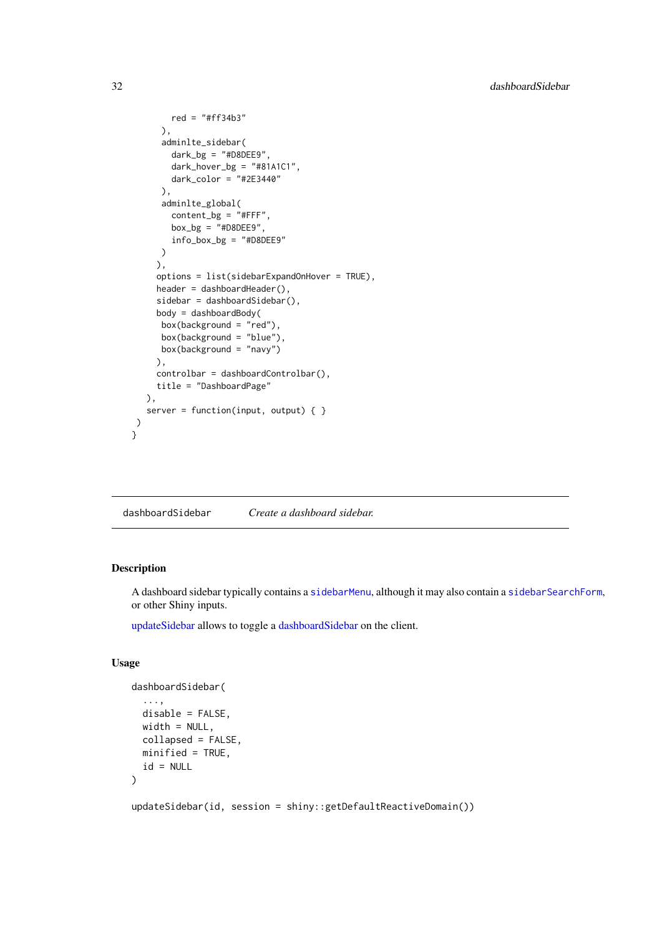```
red = "#ff34b3"),
  adminlte_sidebar(
    dark_bg = "#D8DEE9",dark\_hover_bg = "#81A1C1",dark\_color = "#2E3440"),
  adminlte_global(
    content_bg = "#FFF",
    box bg = "#D8DEE9".
    info_box_bg = "#D8DEE9")
 ),
 options = list(sidebarExpandOnHover = TRUE),
 header = dashboardHeader(),
 sidebar = dashboardSidebar(),
 body = dashboardBody(
  box(background = "red"),
  box(background = "blue"),
  box(background = "navy")
 ),
 controlbar = dashboardControlbar(),
 title = "DashboardPage"
),
server = function(input, output) \{ \}
```
<span id="page-31-1"></span>dashboardSidebar *Create a dashboard sidebar.*

## <span id="page-31-2"></span>Description

) }

A dashboard sidebar typically contains a [sidebarMenu](#page-0-0), although it may also contain a [sidebarSearchForm](#page-0-0), or other Shiny inputs.

[updateSidebar](#page-31-2) allows to toggle a [dashboardSidebar](#page-31-1) on the client.

## Usage

```
dashboardSidebar(
  ...,
  disable = FALSE,
  width = NULL,collapsed = FALSE,
  minified = TRUE,
  id = NULL)
```
updateSidebar(id, session = shiny::getDefaultReactiveDomain())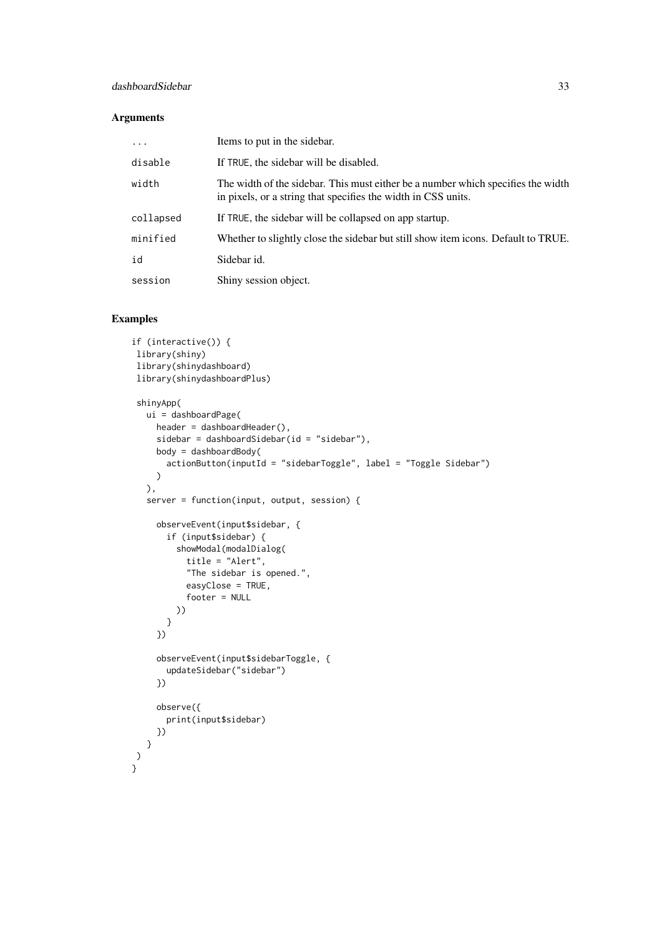#### dashboardSidebar 33

#### Arguments

| $\cdots$  | Items to put in the sidebar.                                                                                                                      |
|-----------|---------------------------------------------------------------------------------------------------------------------------------------------------|
| disable   | If TRUE, the sidebar will be disabled.                                                                                                            |
| width     | The width of the sidebar. This must either be a number which specifies the width<br>in pixels, or a string that specifies the width in CSS units. |
| collapsed | If TRUE, the sidebar will be collapsed on app startup.                                                                                            |
| minified  | Whether to slightly close the sidebar but still show item icons. Default to TRUE.                                                                 |
| id        | Sidebar id.                                                                                                                                       |
| session   | Shiny session object.                                                                                                                             |

## Examples

}

```
if (interactive()) {
library(shiny)
library(shinydashboard)
library(shinydashboardPlus)
shinyApp(
  ui = dashboardPage(
    header = dashboardHeader(),
    sidebar = dashboardSidebar(id = "sidebar"),
    body = dashboardBody(
      actionButton(inputId = "sidebarToggle", label = "Toggle Sidebar")
    )
  ),
  server = function(input, output, session) {
    observeEvent(input$sidebar, {
      if (input$sidebar) {
        showModal(modalDialog(
          title = "Alert",
          "The sidebar is opened.",
          easyClose = TRUE,
          footer = NULL
        ))
      }
    })
    observeEvent(input$sidebarToggle, {
      updateSidebar("sidebar")
    })
    observe({
      print(input$sidebar)
    })
  }
 )
```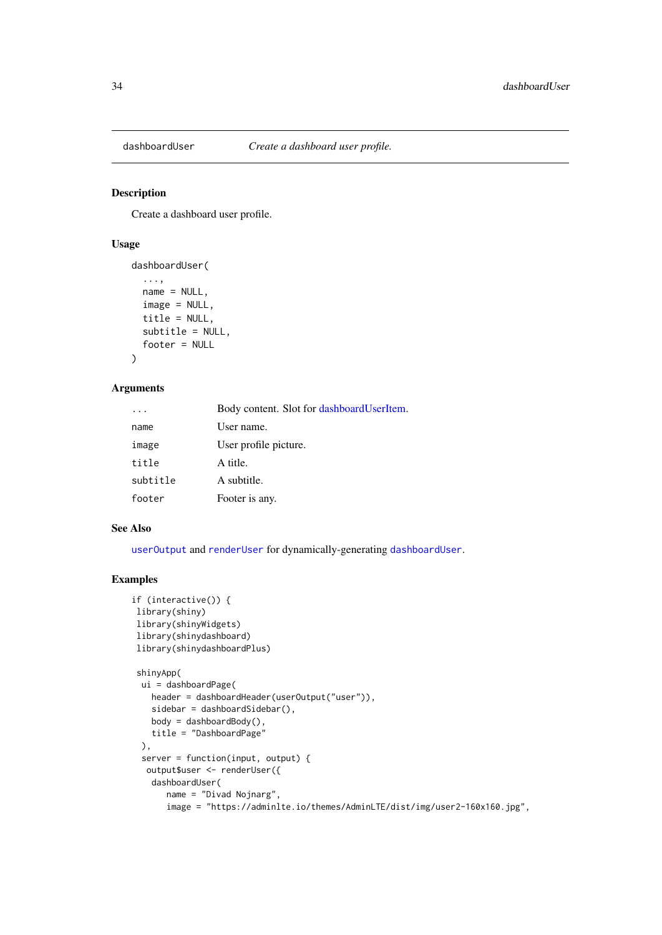<span id="page-33-1"></span><span id="page-33-0"></span>

#### Description

Create a dashboard user profile.

## Usage

```
dashboardUser(
  ...,
  name = NULL,image = NULL,
  title = NULL,
  subtitle = NULL,
  footer = NULL
)
```
## Arguments

|          | Body content. Slot for dashboard UserItem. |
|----------|--------------------------------------------|
| name     | User name.                                 |
| image    | User profile picture.                      |
| title    | A title.                                   |
| subtitle | A subtitle.                                |
| footer   | Footer is any.                             |

## See Also

[userOutput](#page-67-1) and [renderUser](#page-46-1) for dynamically-generating [dashboardUser](#page-33-1).

```
if (interactive()) {
library(shiny)
library(shinyWidgets)
library(shinydashboard)
library(shinydashboardPlus)
 shinyApp(
 ui = dashboardPage(
   header = dashboardHeader(userOutput("user")),
   sidebar = dashboardSidebar(),
   body = dashboardBody(),
   title = "DashboardPage"
  ),
  server = function(input, output) {
  output$user <- renderUser({
   dashboardUser(
      name = "Divad Nojnarg",
      image = "https://adminlte.io/themes/AdminLTE/dist/img/user2-160x160.jpg",
```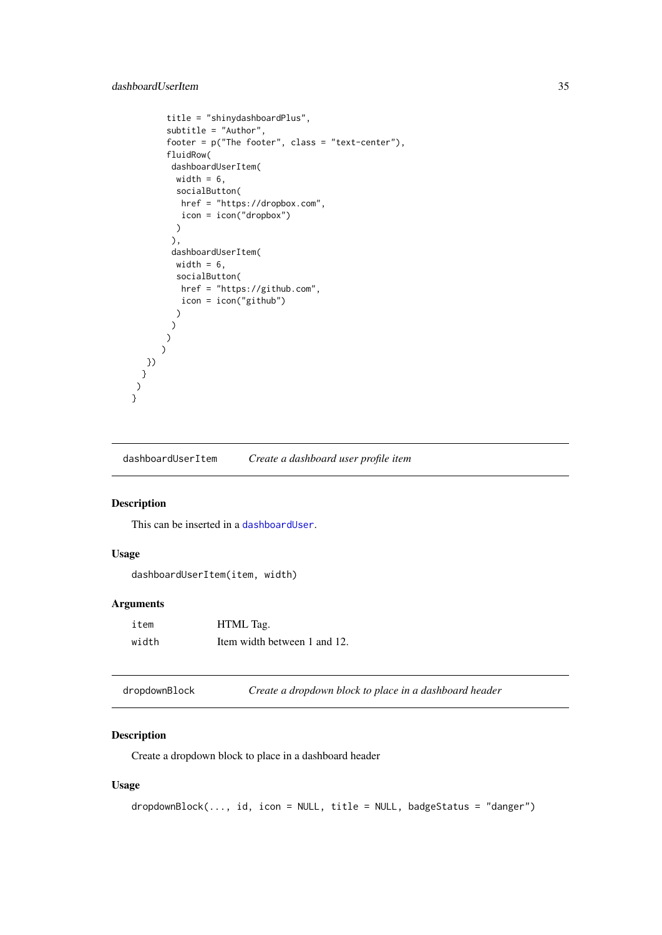#### <span id="page-34-0"></span>dashboardUserItem 35

```
title = "shinydashboardPlus",
    subtitle = "Author",
    footer = p("The footer", class = "text-center"),fluidRow(
     dashboardUserItem(
      width = 6,
      socialButton(
       href = "https://dropbox.com",
       icon = icon("dropbox")
      \rightarrow),
     dashboardUserItem(
      width = 6,
      socialButton(
       href = "https://github.com",
       icon = icon("github")
      )
      )
     )
    )
 })
}
```
<span id="page-34-2"></span>dashboardUserItem *Create a dashboard user profile item*

## Description

) }

This can be inserted in a [dashboardUser](#page-33-1).

## Usage

```
dashboardUserItem(item, width)
```
## Arguments

| item  | HTML Tag.                    |
|-------|------------------------------|
| width | Item width between 1 and 12. |

```
dropdownBlock Create a dropdown block to place in a dashboard header
```
#### Description

Create a dropdown block to place in a dashboard header

## Usage

```
dropdownBlock(..., id, icon = NULL, title = NULL, badgeStatus = "danger")
```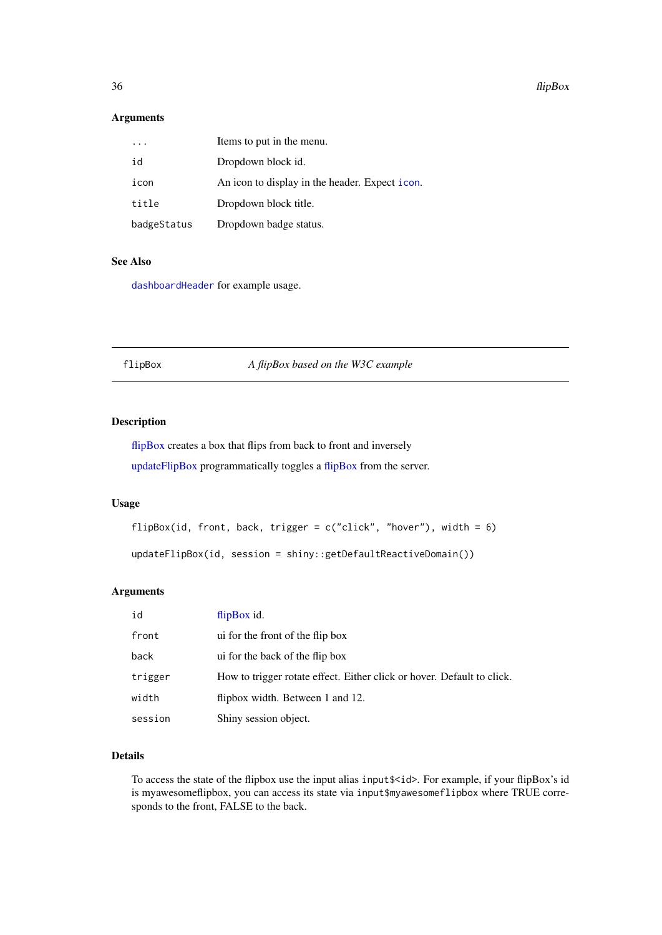<span id="page-35-0"></span> $36$  flipBox  $flipBox$ 

#### Arguments

|             | Items to put in the menu.                      |
|-------------|------------------------------------------------|
| id          | Dropdown block id.                             |
| icon        | An icon to display in the header. Expect icon. |
| title       | Dropdown block title.                          |
| badgeStatus | Dropdown badge status.                         |

## See Also

[dashboardHeader](#page-26-1) for example usage.

<span id="page-35-1"></span>flipBox *A flipBox based on the W3C example*

## <span id="page-35-2"></span>Description

[flipBox](#page-35-1) creates a box that flips from back to front and inversely [updateFlipBox](#page-35-2) programmatically toggles a [flipBox](#page-35-1) from the server.

## Usage

```
flipBox(id, front, back, trigger = c("click", "hover"), width = 6)
```
updateFlipBox(id, session = shiny::getDefaultReactiveDomain())

## Arguments

| id      | flipBox id.                                                            |
|---------|------------------------------------------------------------------------|
| front   | ui for the front of the flip box                                       |
| back    | ui for the back of the flip box                                        |
| trigger | How to trigger rotate effect. Either click or hover. Default to click. |
| width   | flipbox width. Between 1 and 12.                                       |
| session | Shiny session object.                                                  |

## Details

To access the state of the flipbox use the input alias input\$<id>. For example, if your flipBox's id is myawesomeflipbox, you can access its state via input\$myawesomeflipbox where TRUE corresponds to the front, FALSE to the back.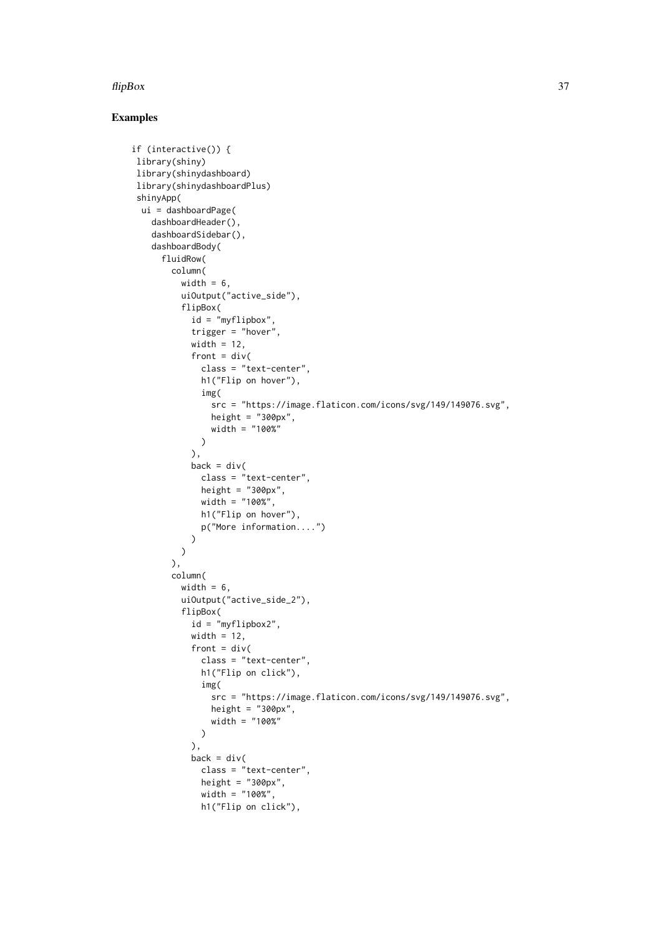#### flipBox 37

```
if (interactive()) {
library(shiny)
library(shinydashboard)
library(shinydashboardPlus)
 shinyApp(
 ui = dashboardPage(
   dashboardHeader(),
   dashboardSidebar(),
   dashboardBody(
     fluidRow(
       column(
          width = 6,
          uiOutput("active_side"),
          flipBox(
           id = "myflipbox",
           trigger = "hover",
           width = 12,
           front = div(class = "text-center",
             h1("Flip on hover"),
             img(
               src = "https://image.flaticon.com/icons/svg/149/149076.svg",
               height = "300px",
               width = "100%")
           ),
           back = div(class = "text-center",
             height = "300px",
             width = "100%",
             h1("Flip on hover"),
             p("More information....")
           \lambda)
       ),
       column(
         width = 6,
         uiOutput("active_side_2"),
         flipBox(
           id = "myflipbox2",
           width = 12,
           front = div(class = "text-center",
              h1("Flip on click"),
              img(
               src = "https://image.flaticon.com/icons/svg/149/149076.svg",
               height = "300px",
               width = "100%"
             )
           ),
           back = div(class = "text-center",
             height = "300px",
             width = "100%",
             h1("Flip on click"),
```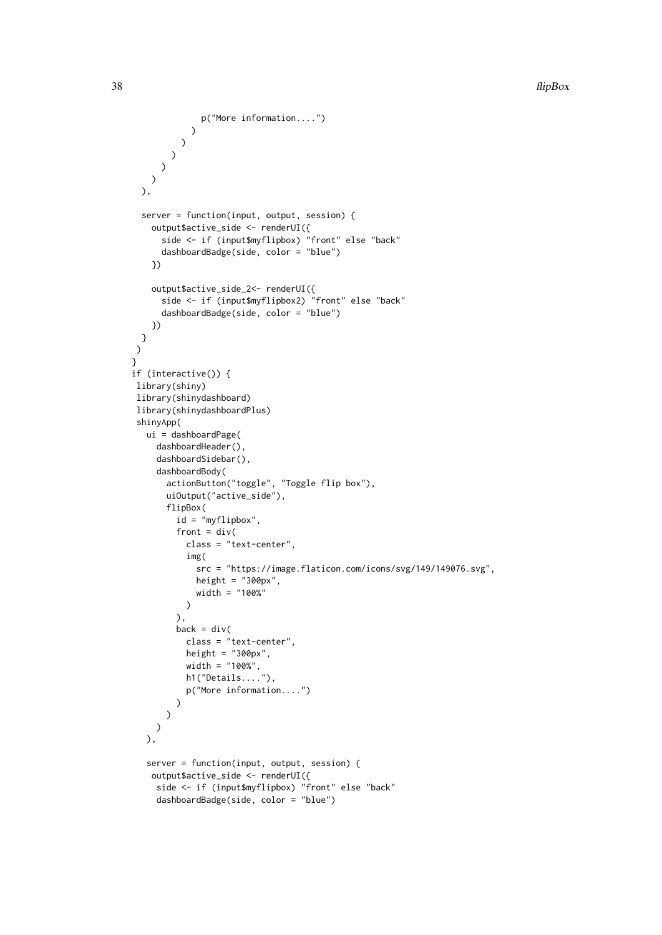```
p("More information....")
            \lambda\lambda)
     \lambda\lambda),
  server = function(input, output, session) {
    output$active_side <- renderUI({
      side <- if (input$myflipbox) "front" else "back"
      dashboardBadge(side, color = "blue")
    })
    output$active_side_2<- renderUI({
      side <- if (input$myflipbox2) "front" else "back"
      dashboardBadge(side, color = "blue")
    })
 }
)
}
if (interactive()) {
library(shiny)
library(shinydashboard)
library(shinydashboardPlus)
 shinyApp(
  ui = dashboardPage(
     dashboardHeader(),
     dashboardSidebar(),
     dashboardBody(
       actionButton("toggle", "Toggle flip box"),
       uiOutput("active_side"),
       flipBox(
         id = "myflipbox",
         front = div(class = "text-center",
           img(
             src = "https://image.flaticon.com/icons/svg/149/149076.svg",
             height = "300px",
             width = "100%"
           )
         ),
         back = div(class = "text-center",
           height = "300px",
           width = "100%",
           h1("Details...."),
           p("More information....")
        \rightarrow\lambda)
  ),
   server = function(input, output, session) {
   output$active_side <- renderUI({
     side <- if (input$myflipbox) "front" else "back"
     dashboardBadge(side, color = "blue")
```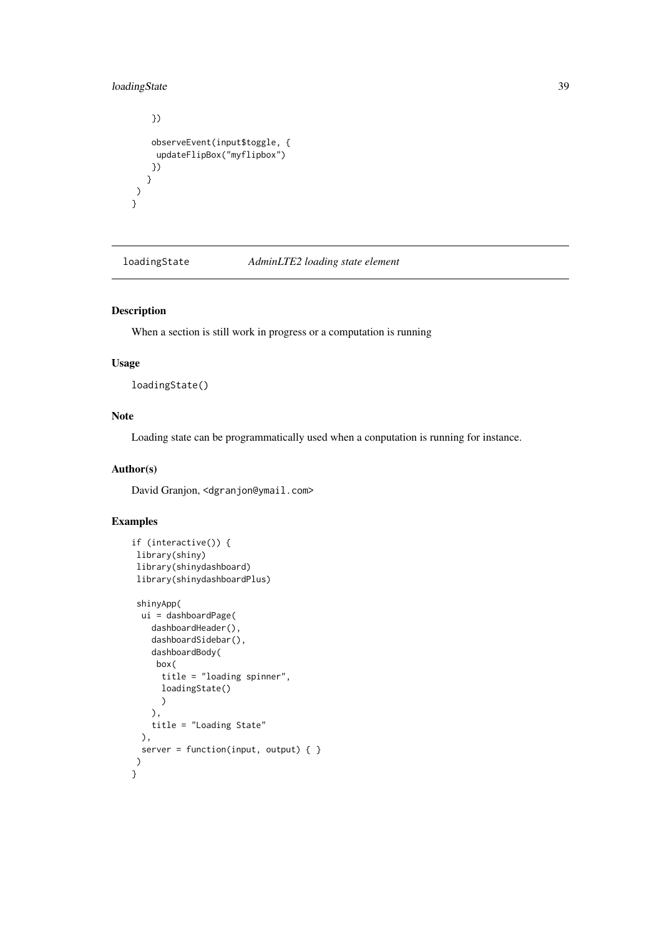#### <span id="page-38-0"></span>loadingState 39

```
})
    observeEvent(input$toggle, {
     updateFlipBox("myflipbox")
    })
   }
)
}
```
loadingState *AdminLTE2 loading state element*

# Description

When a section is still work in progress or a computation is running

#### Usage

loadingState()

## Note

Loading state can be programmatically used when a conputation is running for instance.

#### Author(s)

David Granjon, <dgranjon@ymail.com>

```
if (interactive()) {
library(shiny)
 library(shinydashboard)
library(shinydashboardPlus)
 shinyApp(
 ui = dashboardPage(
   dashboardHeader(),
   dashboardSidebar(),
   dashboardBody(
    box(
     title = "loading spinner",
     loadingState()
      )
   ),
    title = "Loading State"
 ),
 server = function(input, output) \{ \})
}
```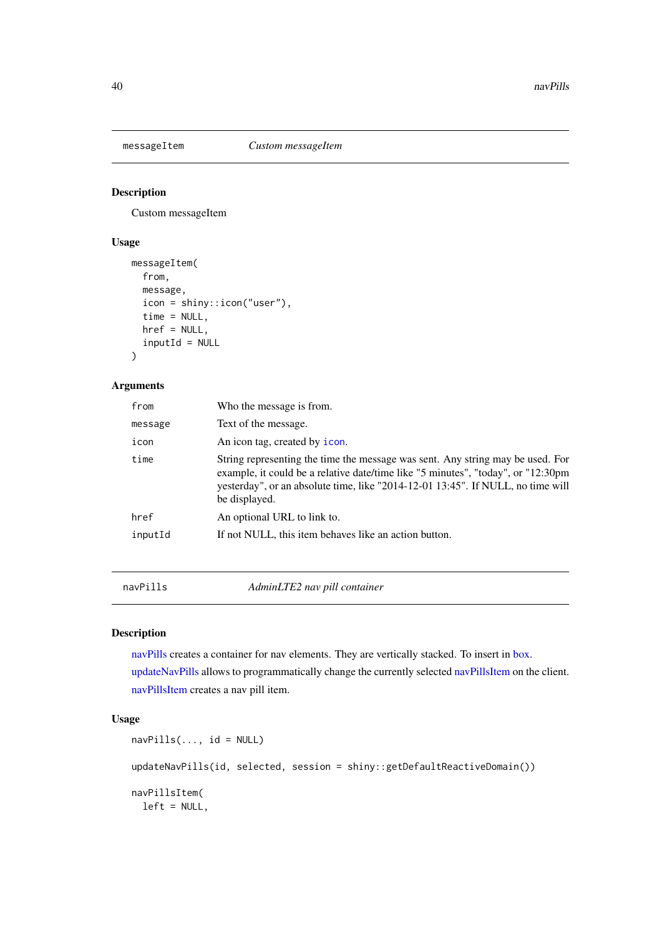<span id="page-39-2"></span>

## Description

Custom messageItem

## Usage

```
messageItem(
  from,
  message,
  icon = shiny::icon("user"),
  time = NULL,
  href = NULL,
  inputId = NULL)
```
## Arguments

| from    | Who the message is from.                                                                                                                                                                                                                                               |
|---------|------------------------------------------------------------------------------------------------------------------------------------------------------------------------------------------------------------------------------------------------------------------------|
| message | Text of the message.                                                                                                                                                                                                                                                   |
| icon    | An icon tag, created by icon.                                                                                                                                                                                                                                          |
| time    | String representing the time the message was sent. Any string may be used. For<br>example, it could be a relative date/time like "5 minutes", "today", or "12:30pm<br>yesterday", or an absolute time, like "2014-12-01 13:45". If NULL, no time will<br>be displayed. |
| href    | An optional URL to link to.                                                                                                                                                                                                                                            |
| inputId | If not NULL, this item behaves like an action button.                                                                                                                                                                                                                  |
|         |                                                                                                                                                                                                                                                                        |

<span id="page-39-0"></span>navPills *AdminLTE2 nav pill container*

## <span id="page-39-1"></span>Description

[navPills](#page-39-0) creates a container for nav elements. They are vertically stacked. To insert in [box.](#page-7-0) [updateNavPills](#page-39-1) allows to programmatically change the currently selected [navPillsItem](#page-39-1) on the client. [navPillsItem](#page-39-1) creates a nav pill item.

## Usage

```
navPills(..., id = NULL)updateNavPills(id, selected, session = shiny::getDefaultReactiveDomain())
navPillsItem(
  left = NULL,
```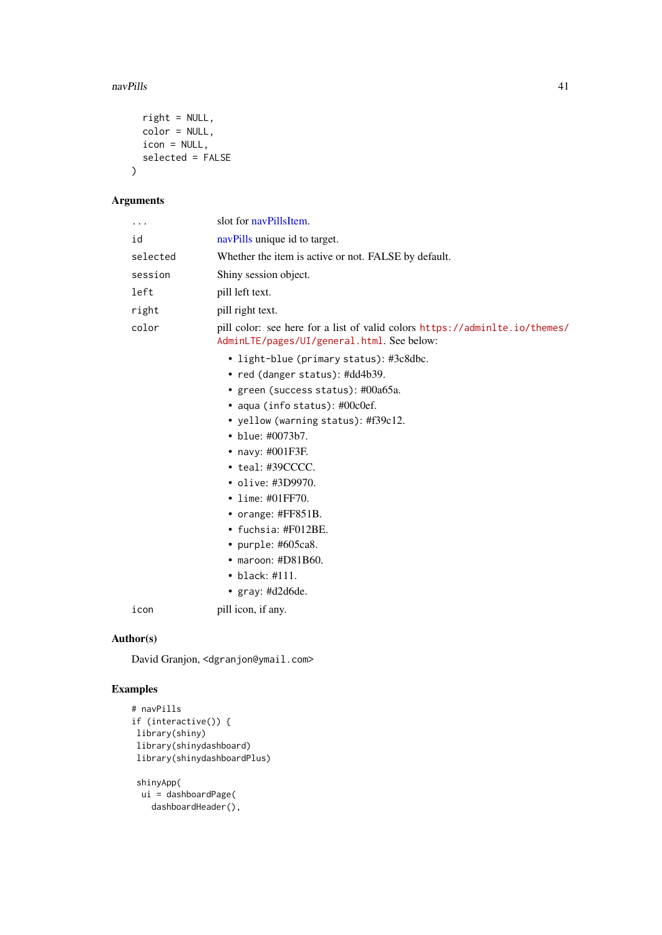#### <span id="page-40-0"></span>navPills 41

```
right = NULL,
  color = NULL,
  icon = NULL,
  selected = FALSE
)
```
# Arguments

| $\cdots$ | slot for navPillsItem.                                                                                                    |
|----------|---------------------------------------------------------------------------------------------------------------------------|
| id       | navPills unique id to target.                                                                                             |
| selected | Whether the item is active or not. FALSE by default.                                                                      |
| session  | Shiny session object.                                                                                                     |
| left     | pill left text.                                                                                                           |
| right    | pill right text.                                                                                                          |
| color    | pill color: see here for a list of valid colors https://adminlte.io/themes/<br>AdminLTE/pages/UI/general.html. See below: |
|          | • light-blue (primary status): #3c8dbc.                                                                                   |
|          | • red (danger status): #dd4b39.                                                                                           |
|          | • green (success status): #00a65a.                                                                                        |
|          | • aqua (info status): #00c0ef.                                                                                            |
|          | • yellow (warning status): #f39c12.                                                                                       |
|          | • blue: #0073b7.                                                                                                          |
|          | • navy: $\#001F3F$ .                                                                                                      |
|          | $\cdot$ teal: #39CCCC.                                                                                                    |
|          | • olive: #3D9970.                                                                                                         |
|          | • lime: $\#01FF70$ .                                                                                                      |
|          | • orange: $\#FF851B$ .                                                                                                    |
|          | • fuchsia: $\#F012BE$ .                                                                                                   |
|          | • purple: $#605ca8$ .                                                                                                     |
|          | $\bullet$ maroon: #D81B60.                                                                                                |
|          | • black: #111.                                                                                                            |
|          | • $gray: #d2d6de.$                                                                                                        |
| icon     | pill icon, if any.                                                                                                        |
|          |                                                                                                                           |

## Author(s)

David Granjon, <dgranjon@ymail.com>

```
# navPills
if (interactive()) {
library(shiny)
library(shinydashboard)
library(shinydashboardPlus)
shinyApp(
 ui = dashboardPage(
   dashboardHeader(),
```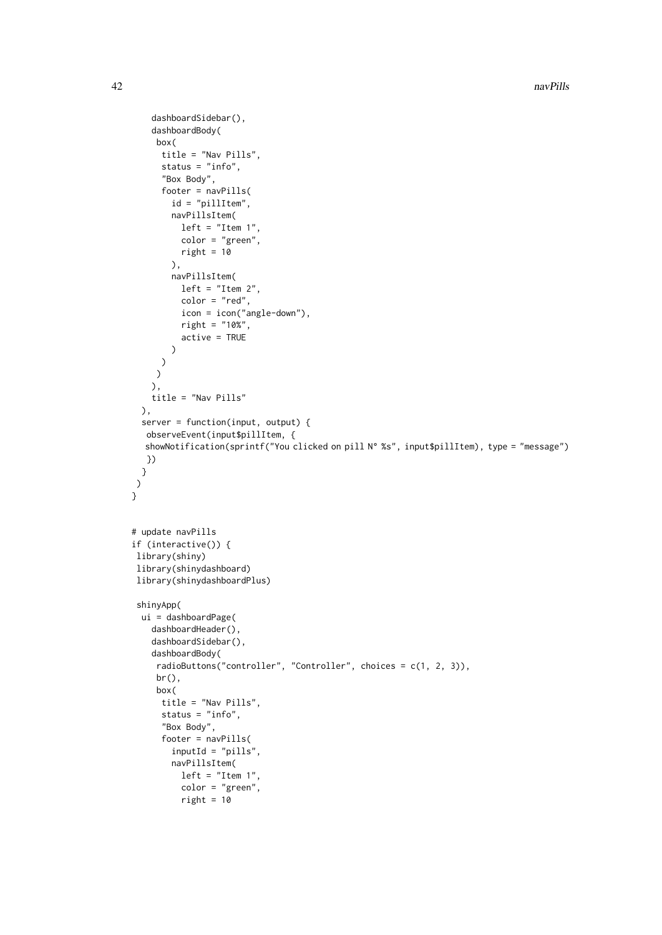```
dashboardSidebar(),
    dashboardBody(
    box(
     title = "Nav Pills",
      status = "info",
      "Box Body",
      footer = navPills(
       id = "pillItem",
       navPillsItem(
         left = "Item 1".color = "green",
         right = 10),
        navPillsItem(
         left = "Item 2",color = "red",
          icon = icon("angle-down"),
         right = "10%",
          active = TRUE
       )
     )
    )
    ),
    title = "Nav Pills"
  ),
  server = function(input, output) {
  observeEvent(input$pillItem, {
  showNotification(sprintf("You clicked on pill N° %s", input$pillItem), type = "message")
  })
 }
\lambda}
# update navPills
if (interactive()) {
library(shiny)
library(shinydashboard)
library(shinydashboardPlus)
 shinyApp(
 ui = dashboardPage(
    dashboardHeader(),
    dashboardSidebar(),
    dashboardBody(
     radioButtons("controller", "Controller", choices = c(1, 2, 3)),
    br(),
    box(
     title = "Nav Pills",
      status = "info",
      "Box Body",
      footer = navPills(
       inputId = "pills",
       navPillsItem(
         left = "Item 1",color = "green",
         right = 10
```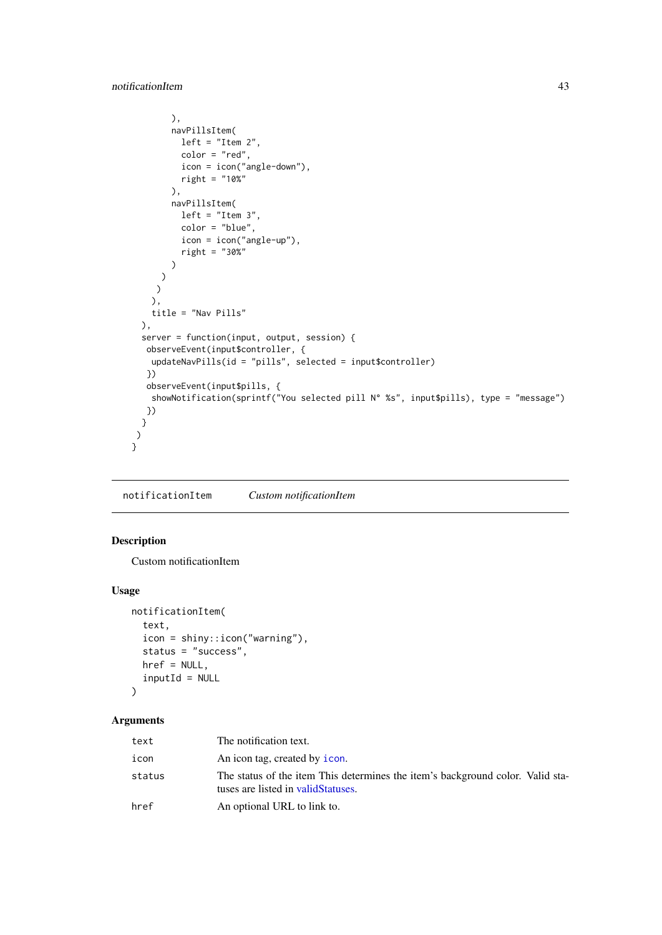```
),
        navPillsItem(
         left = "Item 2",color = "red",icon = icon("angle-down"),
         right = "10%"
        ),
        navPillsItem(
         left = "Item 3",color = "blue",
          icon = icon("angle-up"),
         right = "30%"
        )
     )
    \lambda),
    title = "Nav Pills"
  ),
  server = function(input, output, session) {
  observeEvent(input$controller, {
   updateNavPills(id = "pills", selected = input$controller)
   })
   observeEvent(input$pills, {
    showNotification(sprintf("You selected pill N° %s", input$pills), type = "message")
   })
  }
)
}
```
notificationItem *Custom notificationItem*

## Description

Custom notificationItem

## Usage

```
notificationItem(
  text,
  icon = shiny::icon("warning"),
  status = "success",
  href = NULL,
  inputId = NULL)
```

| text   | The notification text.                                                                                               |
|--------|----------------------------------------------------------------------------------------------------------------------|
| icon   | An icon tag, created by icon.                                                                                        |
| status | The status of the item This determines the item's background color. Valid sta-<br>tuses are listed in validStatuses. |
| href   | An optional URL to link to.                                                                                          |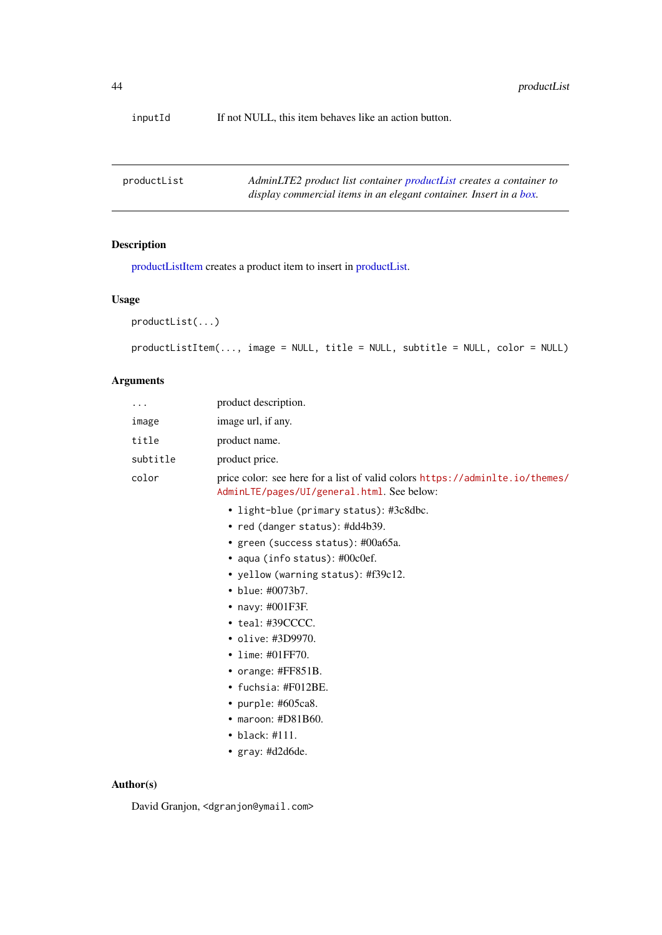<span id="page-43-2"></span>inputId If not NULL, this item behaves like an action button.

<span id="page-43-0"></span>

| productList | AdminLTE2 product list container productList creates a container to |  |
|-------------|---------------------------------------------------------------------|--|
|             | display commercial items in an elegant container. Insert in a box.  |  |

## <span id="page-43-1"></span>Description

[productListItem](#page-43-1) creates a product item to insert in [productList.](#page-43-0)

## Usage

```
productList(...)
```

```
productListItem(..., image = NULL, title = NULL, subtitle = NULL, color = NULL)
```
## Arguments

| $\cdots$ | product description.                                                                                                       |
|----------|----------------------------------------------------------------------------------------------------------------------------|
| image    | image url, if any.                                                                                                         |
| title    | product name.                                                                                                              |
| subtitle | product price.                                                                                                             |
| color    | price color: see here for a list of valid colors https://adminlte.io/themes/<br>AdminLTE/pages/UI/general.html. See below: |
|          | • light-blue (primary status): #3c8dbc.                                                                                    |
|          | • red (danger status): #dd4b39.                                                                                            |
|          | • green (success status): #00a65a.                                                                                         |
|          | • aqua (info status): $\#00c0ef$ .                                                                                         |
|          | • yellow (warning status): #f39c12.                                                                                        |
|          | • blue: #0073b7.                                                                                                           |
|          | • navy: $\text{\#001F3F.}$                                                                                                 |
|          | $\cdot$ teal: #39CCCC.                                                                                                     |
|          | • olive: #3D9970.                                                                                                          |
|          | • lime: $\#01FF70$ .                                                                                                       |
|          | • orange: $\#FF851B$ .                                                                                                     |
|          | • fuchsia: $#F012BE$ .                                                                                                     |
|          | • purple: $#605ca8$ .                                                                                                      |
|          | $\bullet$ maroon: #D81B60.                                                                                                 |
|          | • black: #111.                                                                                                             |
|          | • $gray: #d2d6de.$                                                                                                         |

# Author(s)

David Granjon, <dgranjon@ymail.com>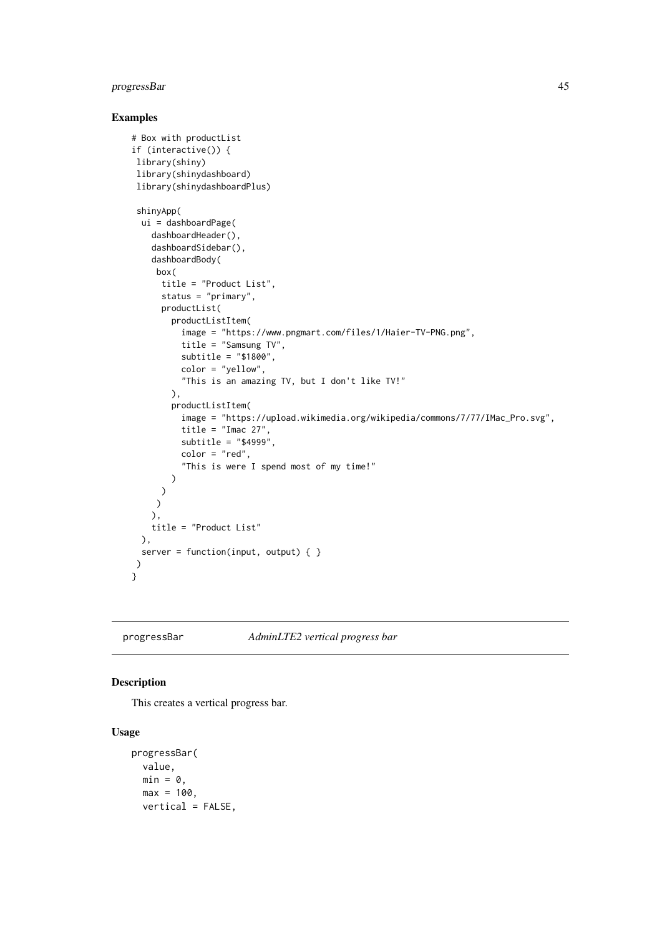#### <span id="page-44-0"></span>progressBar 45

#### Examples

```
# Box with productList
if (interactive()) {
library(shiny)
 library(shinydashboard)
 library(shinydashboardPlus)
 shinyApp(
 ui = dashboardPage(
    dashboardHeader(),
    dashboardSidebar(),
    dashboardBody(
     box(
      title = "Product List",
      status = "primary",
      productList(
        productListItem(
          image = "https://www.pngmart.com/files/1/Haier-TV-PNG.png",
          title = "Samsung TV",
          subtitle = "$1800",
          color = "yellow",
          "This is an amazing TV, but I don't like TV!"
        ),
        productListItem(
          image = "https://upload.wikimedia.org/wikipedia/commons/7/77/IMac_Pro.svg",
          title = "Imac 27",subtitle = "$4999",
          color = "red",
          "This is were I spend most of my time!"
        )
      \lambda\lambda),
   title = "Product List"
 ),
 server = function(input, output) \{ \})
}
```
progressBar *AdminLTE2 vertical progress bar*

#### Description

This creates a vertical progress bar.

#### Usage

```
progressBar(
  value,
  min = 0,
  max = 100,vertical = FALSE,
```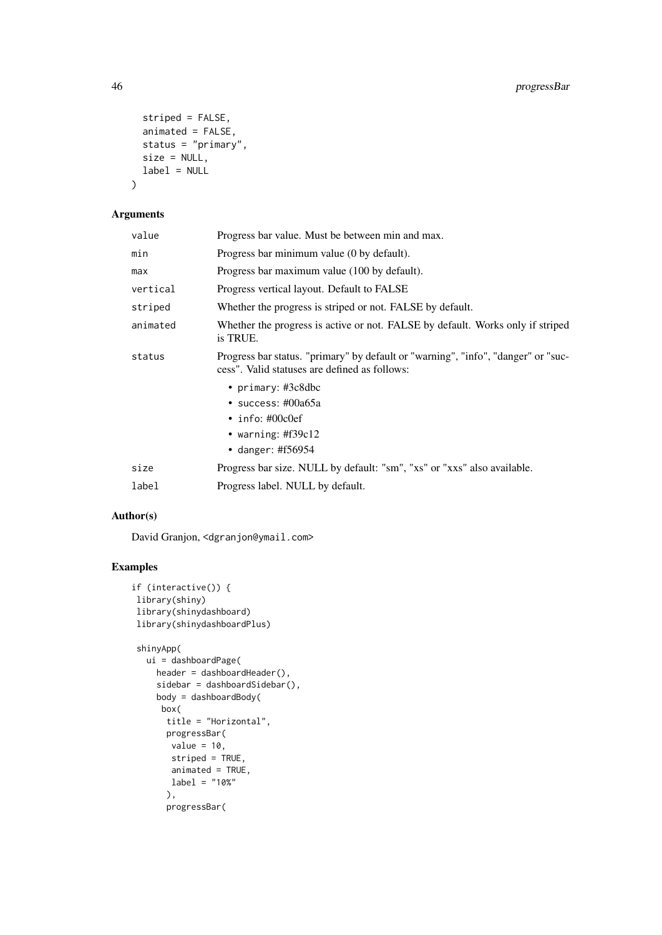```
striped = FALSE,
  animated = FALSE,
  status = "primary",
  size = NULL,
  label = NULL
)
```
## Arguments

| value    | Progress bar value. Must be between min and max.                                                                                   |
|----------|------------------------------------------------------------------------------------------------------------------------------------|
| min      | Progress bar minimum value (0 by default).                                                                                         |
| max      | Progress bar maximum value (100 by default).                                                                                       |
| vertical | Progress vertical layout. Default to FALSE                                                                                         |
| striped  | Whether the progress is striped or not. FALSE by default.                                                                          |
| animated | Whether the progress is active or not. FALSE by default. Works only if striped<br>is TRUE.                                         |
| status   | Progress bar status. "primary" by default or "warning", "info", "danger" or "suc-<br>cess". Valid statuses are defined as follows: |
|          | • primary: #3 $c8dbc$<br>• success: $\#00a65a$<br>$\cdot$ info: #00c0ef<br>• warning: #f39c12<br>• danger: #f56954                 |
| size     | Progress bar size. NULL by default: "sm", "xs" or "xxs" also available.                                                            |
| label    | Progress label. NULL by default.                                                                                                   |

# Author(s)

David Granjon, <dgranjon@ymail.com>

```
if (interactive()) {
library(shiny)
 library(shinydashboard)
 library(shinydashboardPlus)
 shinyApp(
   ui = dashboardPage(
    header = dashboardHeader(),
     sidebar = dashboardSidebar(),
     body = dashboardBody(
     box(
      title = "Horizontal",
       progressBar(
       value = 10,
       striped = TRUE,
       animated = TRUE,
       label = "10%"
       ),
       progressBar(
```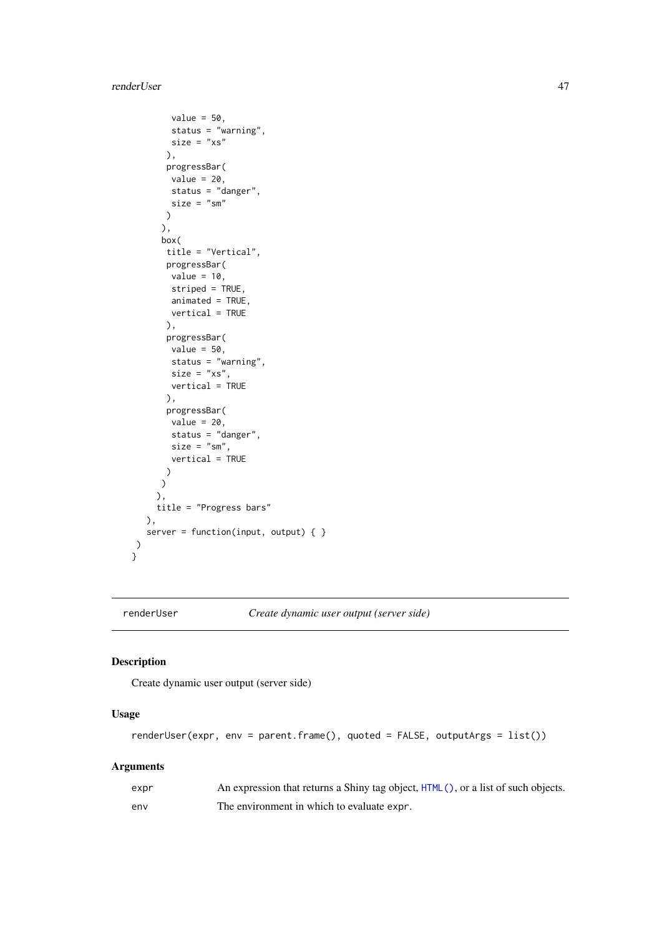#### <span id="page-46-1"></span>renderUser 47

```
value = 50.
        status = \sqrt{n} warning",
       size = "xs"),
       progressBar(
       value = 20,
       status = "danger",
       size = "sm"
      )),
      box(
      title = "Vertical",
      progressBar(
       value = 10,
       striped = TRUE,
       animated = TRUE,
       vertical = TRUE
       ),
       progressBar(
       value = 50,
        status = "warning",
       size = "xs".vertical = TRUE),
       progressBar(
       value = 20,
        status = "danger",
       size = "sm",vertical = TRUE
       )
      \lambda),
    title = "Progress bars"
   ),
   server = function(input, output) \{ \})
}
```
<span id="page-46-0"></span>renderUser *Create dynamic user output (server side)*

## Description

Create dynamic user output (server side)

#### Usage

```
renderUser(expr, env = parent.frame(), quoted = FALSE, outputArgs = list())
```

| expr | An expression that returns a Shiny tag object, $HTML($ ), or a list of such objects. |
|------|--------------------------------------------------------------------------------------|
| env  | The environment in which to evaluate expr.                                           |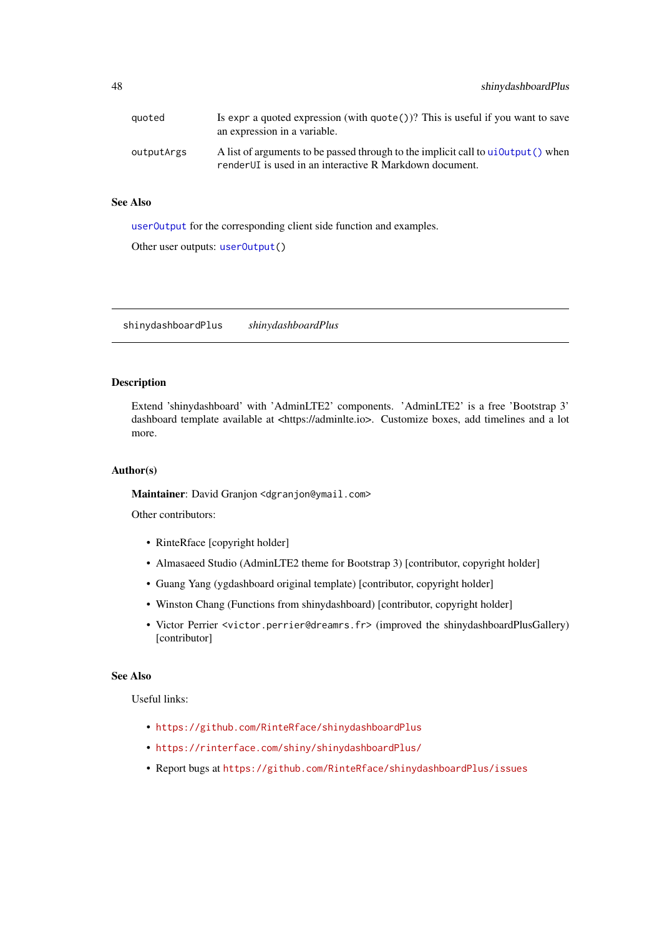<span id="page-47-0"></span>

| quoted     | Is expr a quoted expression (with $\text{quote}()$ )? This is useful if you want to save<br>an expression in a variable.                      |
|------------|-----------------------------------------------------------------------------------------------------------------------------------------------|
| outputArgs | A list of arguments to be passed through to the implicit call to ui0utput () when<br>render UI is used in an interactive R Markdown document. |

## See Also

[userOutput](#page-67-0) for the corresponding client side function and examples.

```
Other user outputs: userOutput()
```
shinydashboardPlus *shinydashboardPlus*

#### Description

Extend 'shinydashboard' with 'AdminLTE2' components. 'AdminLTE2' is a free 'Bootstrap 3' dashboard template available at <https://adminlte.io>. Customize boxes, add timelines and a lot more.

#### Author(s)

Maintainer: David Granjon <dgranjon@ymail.com>

Other contributors:

- RinteRface [copyright holder]
- Almasaeed Studio (AdminLTE2 theme for Bootstrap 3) [contributor, copyright holder]
- Guang Yang (ygdashboard original template) [contributor, copyright holder]
- Winston Chang (Functions from shinydashboard) [contributor, copyright holder]
- Victor Perrier <victor.perrier@dreamrs.fr> (improved the shinydashboardPlusGallery) [contributor]

#### See Also

Useful links:

- <https://github.com/RinteRface/shinydashboardPlus>
- <https://rinterface.com/shiny/shinydashboardPlus/>
- Report bugs at <https://github.com/RinteRface/shinydashboardPlus/issues>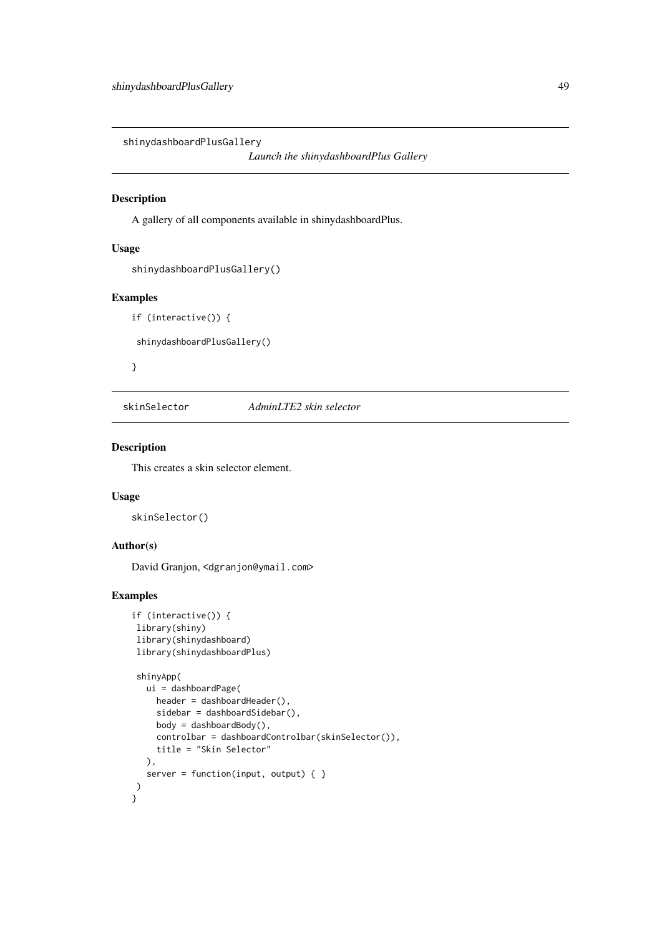<span id="page-48-0"></span>shinydashboardPlusGallery

*Launch the shinydashboardPlus Gallery*

#### Description

A gallery of all components available in shinydashboardPlus.

## Usage

```
shinydashboardPlusGallery()
```
## Examples

```
if (interactive()) {
```
shinydashboardPlusGallery()

}

skinSelector *AdminLTE2 skin selector*

## Description

This creates a skin selector element.

#### Usage

```
skinSelector()
```
#### Author(s)

David Granjon, <dgranjon@ymail.com>

```
if (interactive()) {
library(shiny)
library(shinydashboard)
library(shinydashboardPlus)
 shinyApp(
   ui = dashboardPage(
    header = dashboardHeader(),
    sidebar = dashboardSidebar(),
    body = dashboardBody(),
    controlbar = dashboardControlbar(skinSelector()),
    title = "Skin Selector"
   ),
   server = function(input, output) \{ \})
}
```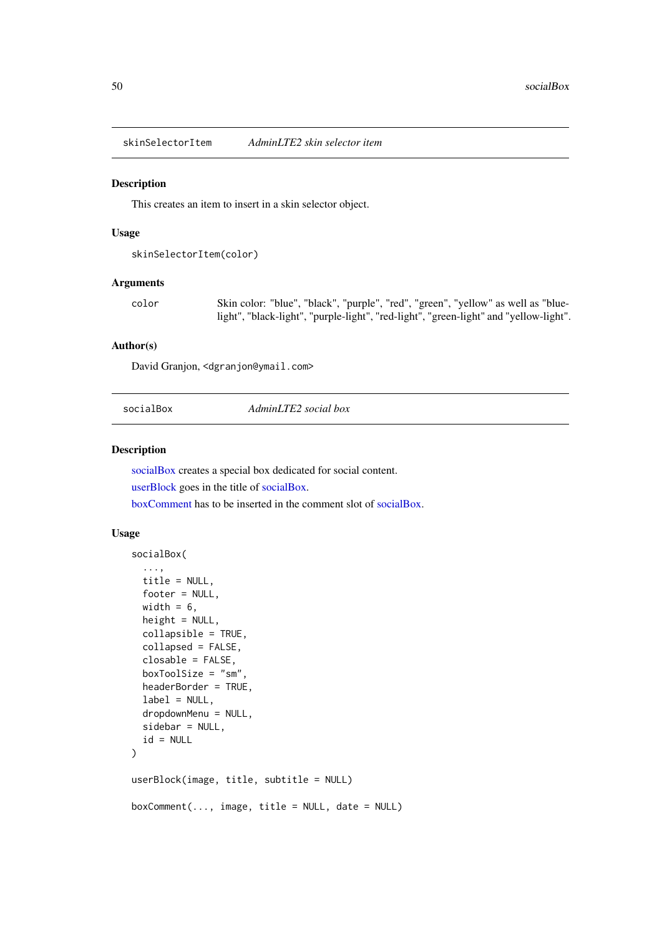<span id="page-49-2"></span>skinSelectorItem *AdminLTE2 skin selector item*

## Description

This creates an item to insert in a skin selector object.

#### Usage

```
skinSelectorItem(color)
```
#### Arguments

color Skin color: "blue", "black", "purple", "red", "green", "yellow" as well as "bluelight", "black-light", "purple-light", "red-light", "green-light" and "yellow-light".

## Author(s)

David Granjon, <dgranjon@ymail.com>

<span id="page-49-0"></span>

| socialBox | AdminLTE2 social box |  |
|-----------|----------------------|--|
|           |                      |  |

#### <span id="page-49-1"></span>Description

[socialBox](#page-49-0) creates a special box dedicated for social content.

[userBlock](#page-49-1) goes in the title of [socialBox.](#page-49-0)

[boxComment](#page-49-1) has to be inserted in the comment slot of [socialBox.](#page-49-0)

## Usage

```
socialBox(
  ...,
 title = NULL,
 footer = NULL,
 width = 6,
 height = NULL,collapsible = TRUE,
 collapsed = FALSE,
 closable = FALSE,
 boxToolSize = "sm",
 headerBorder = TRUE,
 label = NULL,dropdownMenu = NULL,
 sidebar = NULL,
  id = NULL)
userBlock(image, title, subtitle = NULL)
boxComment(..., image, title = NULL, date = NULL)
```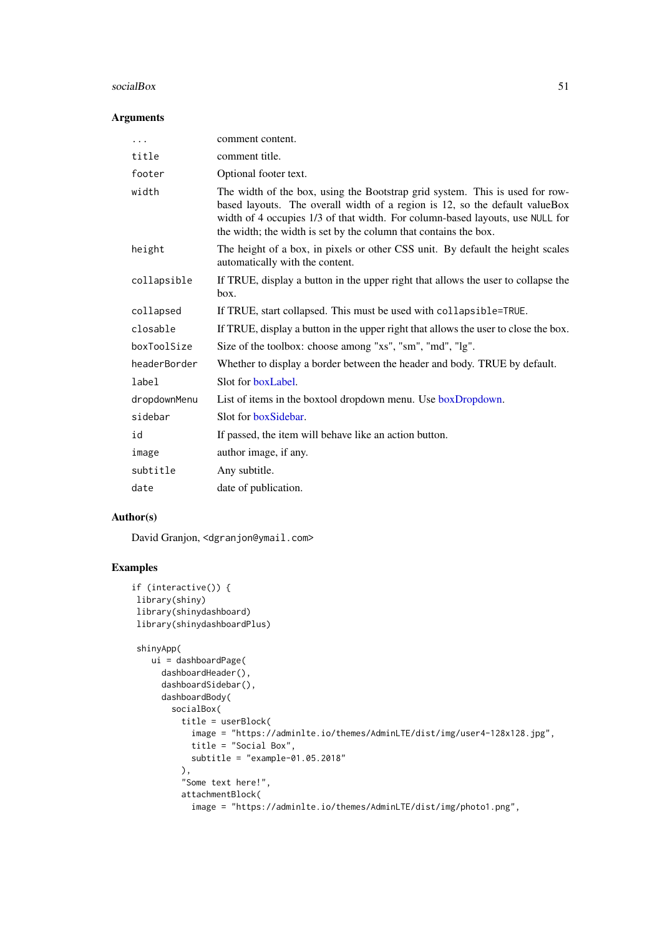#### <span id="page-50-0"></span>socialBox 51

#### Arguments

| $\cdots$     | comment content.                                                                                                                                                                                                                                                                                                 |
|--------------|------------------------------------------------------------------------------------------------------------------------------------------------------------------------------------------------------------------------------------------------------------------------------------------------------------------|
| title        | comment title.                                                                                                                                                                                                                                                                                                   |
| footer       | Optional footer text.                                                                                                                                                                                                                                                                                            |
| width        | The width of the box, using the Bootstrap grid system. This is used for row-<br>based layouts. The overall width of a region is 12, so the default valueBox<br>width of 4 occupies 1/3 of that width. For column-based layouts, use NULL for<br>the width; the width is set by the column that contains the box. |
| height       | The height of a box, in pixels or other CSS unit. By default the height scales<br>automatically with the content.                                                                                                                                                                                                |
| collapsible  | If TRUE, display a button in the upper right that allows the user to collapse the<br>box.                                                                                                                                                                                                                        |
| collapsed    | If TRUE, start collapsed. This must be used with collapsible=TRUE.                                                                                                                                                                                                                                               |
| closable     | If TRUE, display a button in the upper right that allows the user to close the box.                                                                                                                                                                                                                              |
| boxToolSize  | Size of the toolbox: choose among "xs", "sm", "md", "lg".                                                                                                                                                                                                                                                        |
| headerBorder | Whether to display a border between the header and body. TRUE by default.                                                                                                                                                                                                                                        |
| label        | Slot for boxLabel.                                                                                                                                                                                                                                                                                               |
| dropdownMenu | List of items in the boxtool dropdown menu. Use boxDropdown.                                                                                                                                                                                                                                                     |
| sidebar      | Slot for boxSidebar.                                                                                                                                                                                                                                                                                             |
| id           | If passed, the item will behave like an action button.                                                                                                                                                                                                                                                           |
| image        | author image, if any.                                                                                                                                                                                                                                                                                            |
| subtitle     | Any subtitle.                                                                                                                                                                                                                                                                                                    |
| date         | date of publication.                                                                                                                                                                                                                                                                                             |

## Author(s)

David Granjon, <dgranjon@ymail.com>

```
if (interactive()) {
library(shiny)
 library(shinydashboard)
 library(shinydashboardPlus)
 shinyApp(
   ui = dashboardPage(
     dashboardHeader(),
      dashboardSidebar(),
      dashboardBody(
        socialBox(
         title = userBlock(
            image = "https://adminlte.io/themes/AdminLTE/dist/img/user4-128x128.jpg",
            title = "Social Box",
            subtitle = "example-01.05.2018"
          ),
          "Some text here!",
          attachmentBlock(
            image = "https://adminlte.io/themes/AdminLTE/dist/img/photo1.png",
```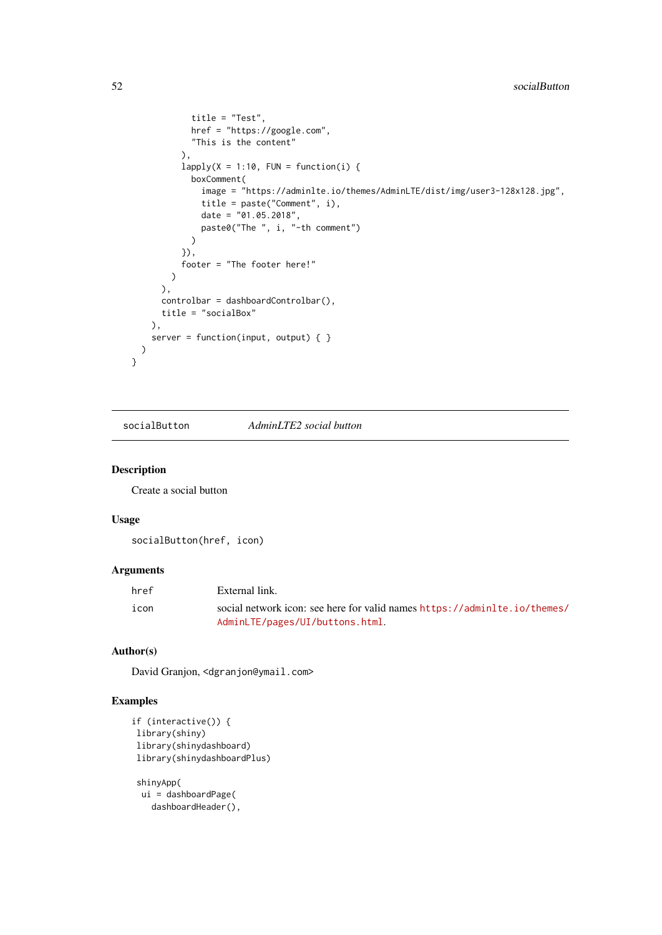```
title = "Test",
            href = "https://google.com",
            "This is the content"
          ),
          lapply(X = 1:10, FUN = function(i)boxComment(
              image = "https://adminlte.io/themes/AdminLTE/dist/img/user3-128x128.jpg",
              title = paste("Comment", i),
             date = "01.05.2018",
             paste0("The ", i, "-th comment")
           \lambda}),
          footer = "The footer here!"
        )
      ),
      controlbar = dashboardControlbar(),
     title = "socialBox"
   ),
    server = function(input, output) \{ \})
}
```
socialButton *AdminLTE2 social button*

## Description

Create a social button

#### Usage

```
socialButton(href, icon)
```
## Arguments

| href | External link.                                                            |
|------|---------------------------------------------------------------------------|
| icon | social network icon: see here for valid names https://adminlte.io/themes/ |
|      | AdminLTE/pages/UI/buttons.html.                                           |

# Author(s)

David Granjon, <dgranjon@ymail.com>

```
if (interactive()) {
library(shiny)
library(shinydashboard)
library(shinydashboardPlus)
 shinyApp(
 ui = dashboardPage(
    dashboardHeader(),
```
<span id="page-51-0"></span>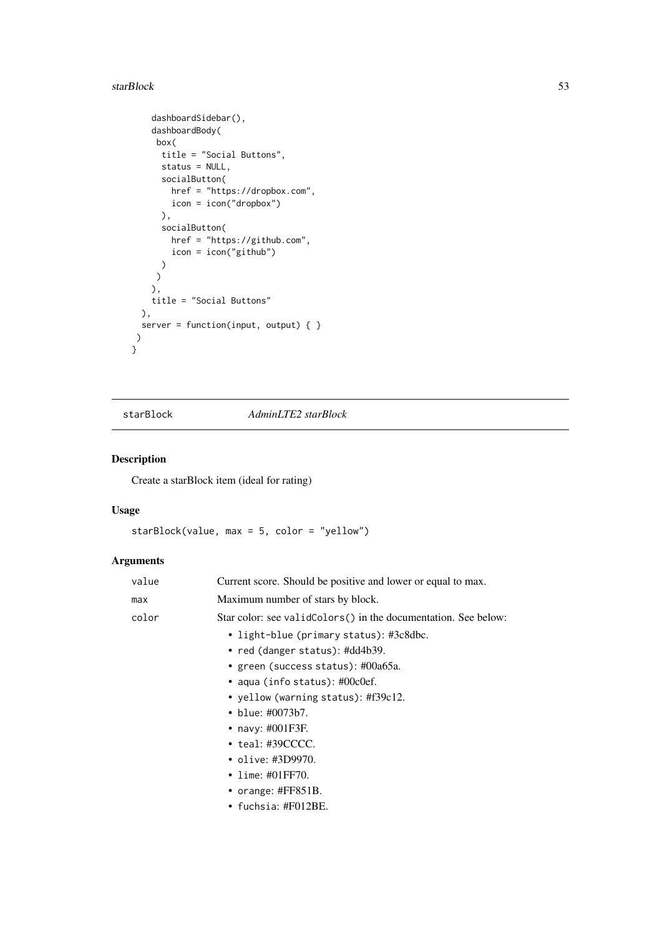#### <span id="page-52-0"></span>starBlock 53

```
dashboardSidebar(),
    dashboardBody(
     box(
     title = "Social Buttons",
      status = NULL,
      socialButton(
       href = "https://dropbox.com",
       icon = icon("dropbox")
      ),
      socialButton(
       href = "https://github.com",
        icon = icon("github")
      )
     \lambda),
    title = "Social Buttons"
  ),
 server = function(input, output) \{ \}\, \,}
```
starBlock *AdminLTE2 starBlock*

## Description

Create a starBlock item (ideal for rating)

## Usage

```
starBlock(value, max = 5, color = "yellow")
```

| value | Current score. Should be positive and lower or equal to max.   |
|-------|----------------------------------------------------------------|
| max   | Maximum number of stars by block.                              |
| color | Star color: see validColors() in the documentation. See below: |
|       | • light-blue (primary status): #3c8dbc.                        |
|       | • red (danger status): #dd4b39.                                |
|       | • green (success status): $\#00a65a$ .                         |
|       | • aqua (info status): $\text{\#00c0ef.}$                       |
|       | • yellow (warning status): #f39c12.                            |
|       | • blue: $\#0073b7$ .                                           |
|       | • navy: $\text{\#001F3F}$ .                                    |
|       | $\bullet$ teal: #39CCCC.                                       |
|       | • olive: #3D9970.                                              |
|       | • lime: $\#01FF70$ .                                           |
|       | • orange: $\#FF851B$ .                                         |
|       | • fuchsia: $\#F012BE$ .                                        |
|       |                                                                |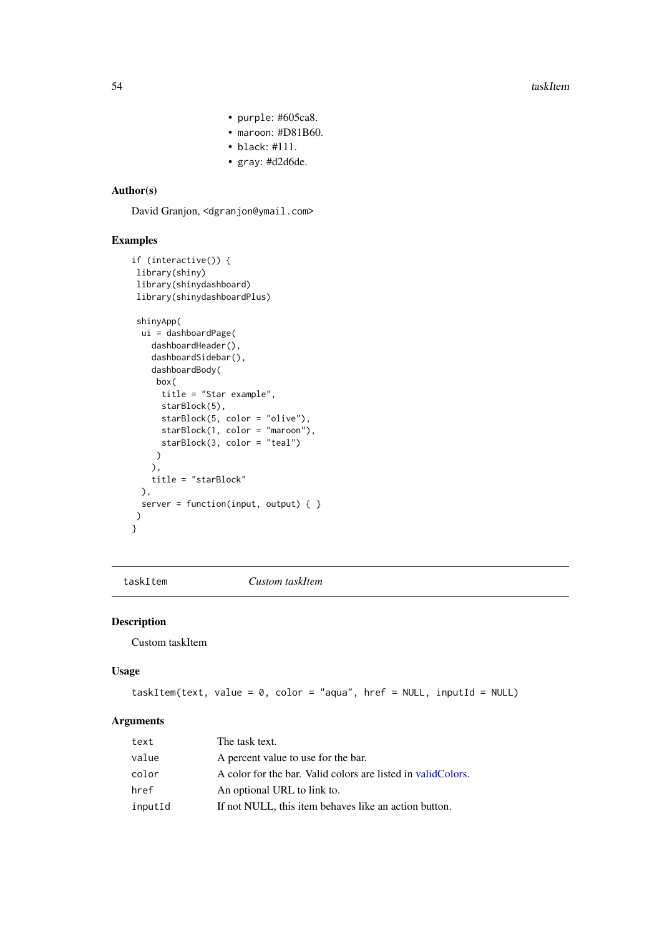<span id="page-53-0"></span>54 taskItem

- purple: #605ca8.
- maroon: #D81B60.
- black: #111.
- gray: #d2d6de.

# Author(s)

David Granjon, <dgranjon@ymail.com>

## Examples

```
if (interactive()) {
library(shiny)
library(shinydashboard)
library(shinydashboardPlus)
 shinyApp(
 ui = dashboardPage(
   dashboardHeader(),
   dashboardSidebar(),
   dashboardBody(
    box(
     title = "Star example",
     starBlock(5),
     starBlock(5, color = "olive"),
     starBlock(1, color = "maroon"),
     starBlock(3, color = "teal")
    )
   ),
   title = "starBlock"
  ),
 server = function(input, output) { }
)
}
```
taskItem *Custom taskItem*

## Description

Custom taskItem

## Usage

```
taskItem(text, value = 0, color = "aqua", href = NULL, inputId = NULL)
```

| The task text.                                                |
|---------------------------------------------------------------|
| A percent value to use for the bar.                           |
| A color for the bar. Valid colors are listed in valid Colors. |
| An optional URL to link to.                                   |
| If not NULL, this item behaves like an action button.         |
|                                                               |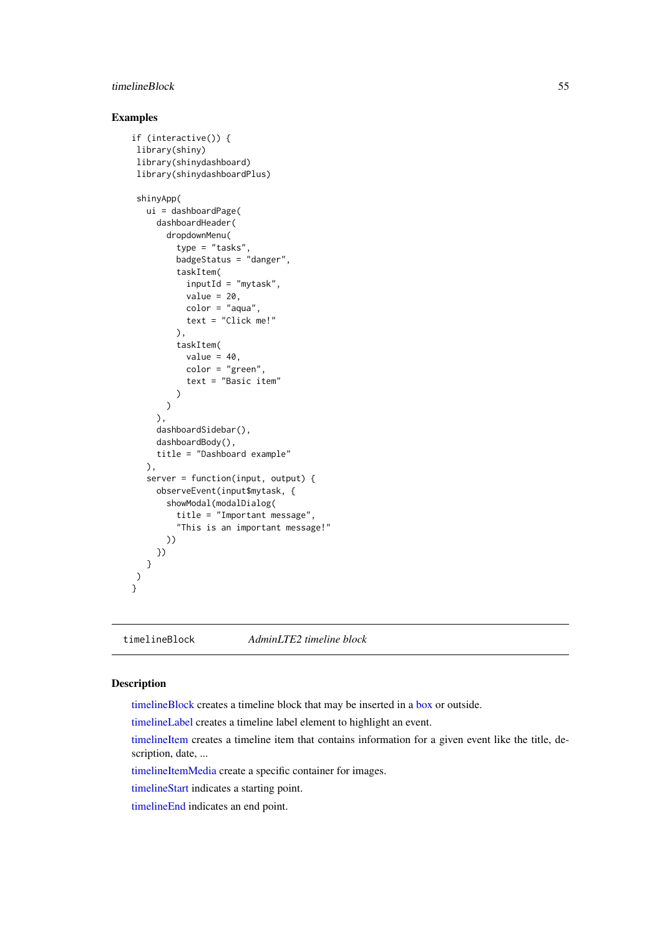#### <span id="page-54-2"></span>timelineBlock 55

## Examples

```
if (interactive()) {
library(shiny)
 library(shinydashboard)
library(shinydashboardPlus)
 shinyApp(
  ui = dashboardPage(
    dashboardHeader(
       dropdownMenu(
         type = "tasks",
         badgeStatus = "danger",
         taskItem(
           inputId = "mytask",value = 20,
           color = "aqua",
           text = "Click me!"
         ),
         taskItem(
           value = 40,
           color = "green",
           text = "Basic item"
         \lambda)
     ),
     dashboardSidebar(),
     dashboardBody(),
     title = "Dashboard example"
   ),
   server = function(input, output) {
     observeEvent(input$mytask, {
       showModal(modalDialog(
         title = "Important message",
         "This is an important message!"
       ))
    })
  }
 )
}
```
<span id="page-54-0"></span>timelineBlock *AdminLTE2 timeline block*

#### <span id="page-54-1"></span>Description

[timelineBlock](#page-54-0) creates a timeline block that may be inserted in a [box](#page-7-0) or outside.

[timelineLabel](#page-54-1) creates a timeline label element to highlight an event.

[timelineItem](#page-54-1) creates a timeline item that contains information for a given event like the title, description, date, ...

[timelineItemMedia](#page-54-1) create a specific container for images.

[timelineStart](#page-54-1) indicates a starting point.

[timelineEnd](#page-54-1) indicates an end point.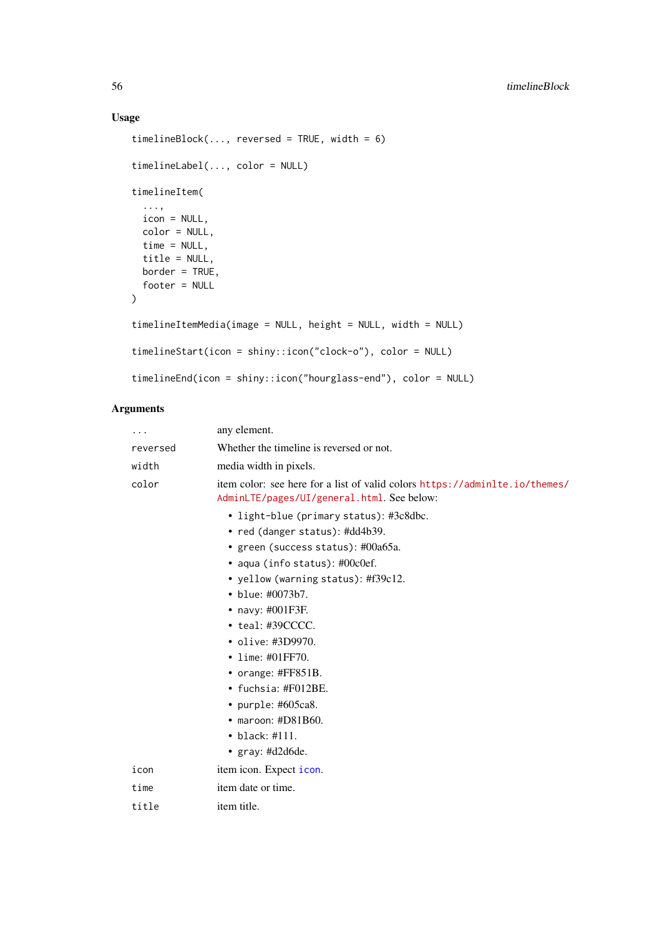## Usage

```
timelineBlock(..., reversed = TRUE, width = 6)
timelineLabel(..., color = NULL)
timelineItem(
 ...,
 icon = NULL,
 color = NULL,
 time = NULL,
 title = NULL,
 border = TRUE,
 footer = NULL
)
timelineItemMedia(image = NULL, height = NULL, width = NULL)
timelineStart(icon = shiny::icon("clock-o"), color = NULL)
timelineEnd(icon = shiny::icon("hourglass-end"), color = NULL)
```

| .        | any element.                                                                                                              |
|----------|---------------------------------------------------------------------------------------------------------------------------|
| reversed | Whether the timeline is reversed or not.                                                                                  |
| width    | media width in pixels.                                                                                                    |
| color    | item color: see here for a list of valid colors https://adminite.io/themes/<br>AdminLTE/pages/UI/general.html. See below: |
|          | • light-blue (primary status): #3c8dbc.                                                                                   |
|          | • red (danger status): #dd4b39.                                                                                           |
|          | • green (success status): #00a65a.                                                                                        |
|          | • aqua (info status): #00c0ef.                                                                                            |
|          | • yellow (warning status): #f39c12.                                                                                       |
|          | • blue: #0073b7.                                                                                                          |
|          | • navy: $\#001F3F$ .                                                                                                      |
|          | $\bullet$ teal: #39CCCC.                                                                                                  |
|          | • olive: #3D9970.                                                                                                         |
|          | • lime: $\#01FF70$ .                                                                                                      |
|          | • orange: $\#FF851B$ .                                                                                                    |
|          | • fuchsia: $\#F012BE$ .                                                                                                   |
|          | • purple: #605ca8.                                                                                                        |
|          | $\bullet$ maroon: #D81B60.                                                                                                |
|          | $\bullet$ black: #111.                                                                                                    |
|          | • $gray: #d2d6de.$                                                                                                        |
| icon     | item icon. Expect icon.                                                                                                   |
| time     | item date or time.                                                                                                        |
| title    | item title.                                                                                                               |

<span id="page-55-0"></span>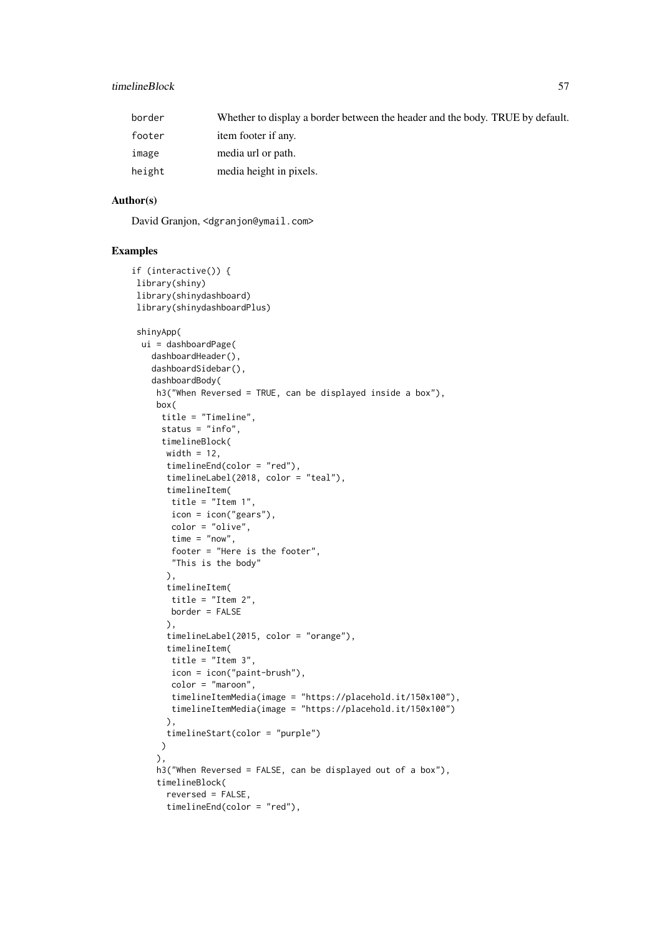#### timelineBlock 57

| border | Whether to display a border between the header and the body. TRUE by default. |
|--------|-------------------------------------------------------------------------------|
| footer | item footer if any.                                                           |
| image  | media url or path.                                                            |
| height | media height in pixels.                                                       |

## Author(s)

David Granjon, <dgranjon@ymail.com>

```
if (interactive()) {
library(shiny)
library(shinydashboard)
library(shinydashboardPlus)
 shinyApp(
 ui = dashboardPage(
   dashboardHeader(),
   dashboardSidebar(),
   dashboardBody(
    h3("When Reversed = TRUE, can be displayed inside a box"),
    box(
     title = "Timeline",
     status = "info",
     timelineBlock(
      width = 12,
      timelineEnd(color = "red"),
      timelineLabel(2018, color = "teal"),
      timelineItem(
       title = "Item 1",
       icon = icon("gears"),
       color = "olive",
       time = "now",
       footer = "Here is the footer",
       "This is the body"
      ),
      timelineItem(
       title = "Item 2",
       border = FALSE
      ),
      timelineLabel(2015, color = "orange"),
      timelineItem(
       title = "Item 3",
       icon = icon("paint-brush"),
       color = "maroon",
       timelineItemMedia(image = "https://placehold.it/150x100"),
       timelineItemMedia(image = "https://placehold.it/150x100")
      ),
      timelineStart(color = "purple")
     )
    ),
    h3("When Reversed = FALSE, can be displayed out of a box"),
    timelineBlock(
      reversed = FALSE,
      timelineEnd(color = "red"),
```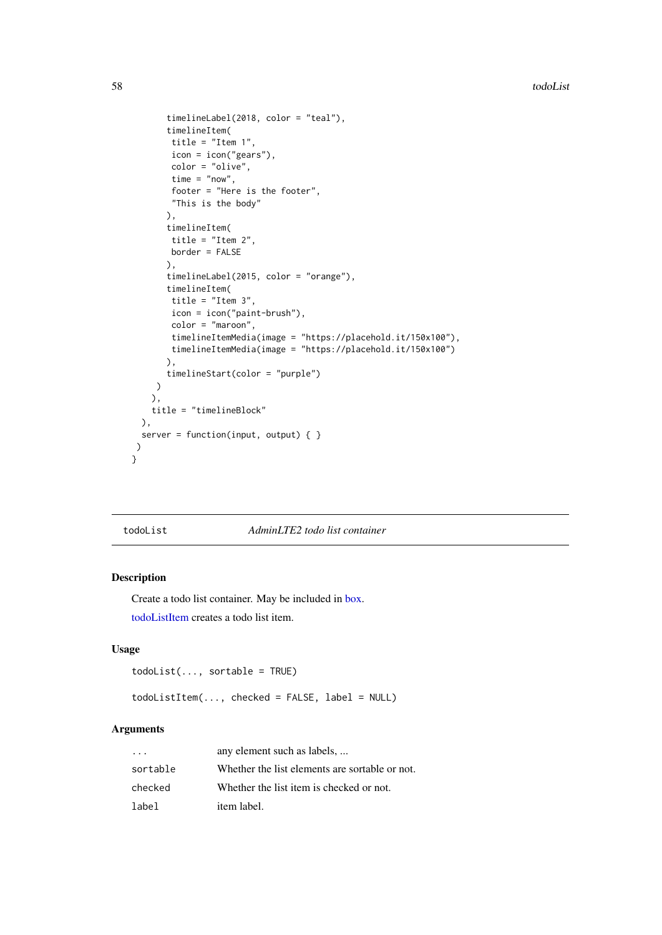```
timelineLabel(2018, color = "teal"),
       timelineItem(
       title = "Item 1",
        icon = icon("gears"),
        color = "olive",time = "now",
        footer = "Here is the footer",
        "This is the body"
       ),
       timelineItem(
       title = "Item 2",
       border = FALSE
       ),
       timelineLabel(2015, color = "orange"),
       timelineItem(
       title = "Item 3",
       icon = icon("paint-brush"),
        color = "maroon",
        timelineItemMedia(image = "https://placehold.it/150x100"),
        timelineItemMedia(image = "https://placehold.it/150x100")
       ),
       timelineStart(color = "purple")
    \lambda),
    title = "timelineBlock"
  ),
  server = function(input, output) { }
)
}
```
#### todoList *AdminLTE2 todo list container*

#### <span id="page-57-0"></span>Description

Create a todo list container. May be included in [box.](#page-7-0) [todoListItem](#page-57-0) creates a todo list item.

## Usage

todoList(..., sortable = TRUE)

todoListItem(..., checked = FALSE, label = NULL)

| $\cdot$  | any element such as labels,                    |
|----------|------------------------------------------------|
| sortable | Whether the list elements are sortable or not. |
| checked  | Whether the list item is checked or not.       |
| label    | item label.                                    |

<span id="page-57-1"></span>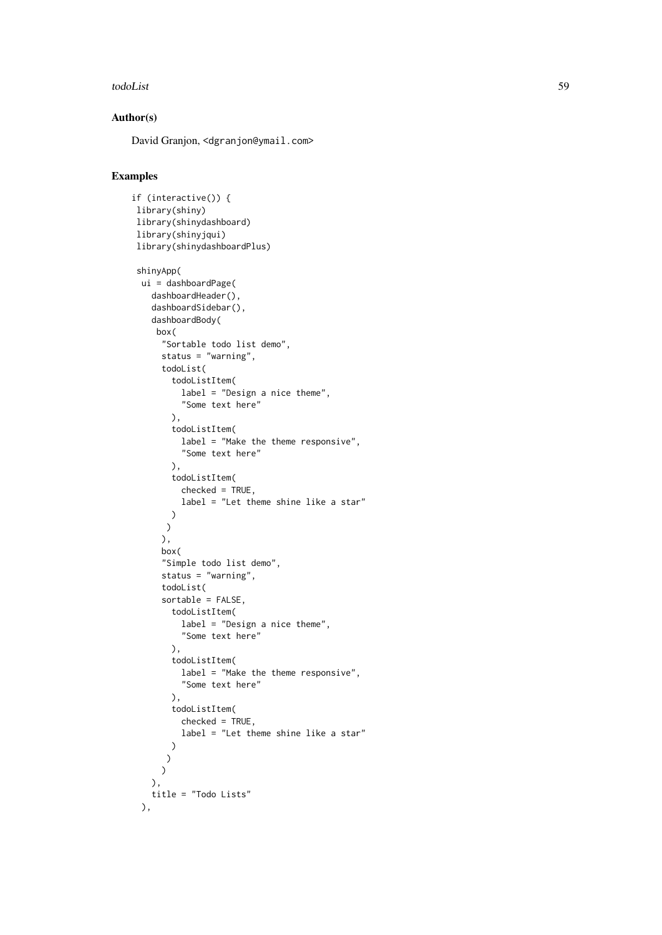#### todoList 59

#### Author(s)

David Granjon, <dgranjon@ymail.com>

```
if (interactive()) {
library(shiny)
library(shinydashboard)
library(shinyjqui)
library(shinydashboardPlus)
 shinyApp(
 ui = dashboardPage(
    dashboardHeader(),
    dashboardSidebar(),
   dashboardBody(
    box(
      "Sortable todo list demo",
      status = "warning",
      todoList(
        todoListItem(
          label = "Design a nice theme",
          "Some text here"
        ),
        todoListItem(
          label = "Make the theme responsive",
          "Some text here"
        ),
        todoListItem(
          checked = TRUE,
         label = "Let theme shine like a star"
        )
       )
      ),
      box(
      "Simple todo list demo",
      status = "warning",
      todoList(
      sortable = FALSE,
       todoListItem(
         label = "Design a nice theme",
          "Some text here"
       ),
        todoListItem(
          label = "Make the theme responsive",
          "Some text here"
        ),
        todoListItem(
          checked = TRUE,
          label = "Let theme shine like a star"
        )
       \lambda)
   ),
    title = "Todo Lists"
  ),
```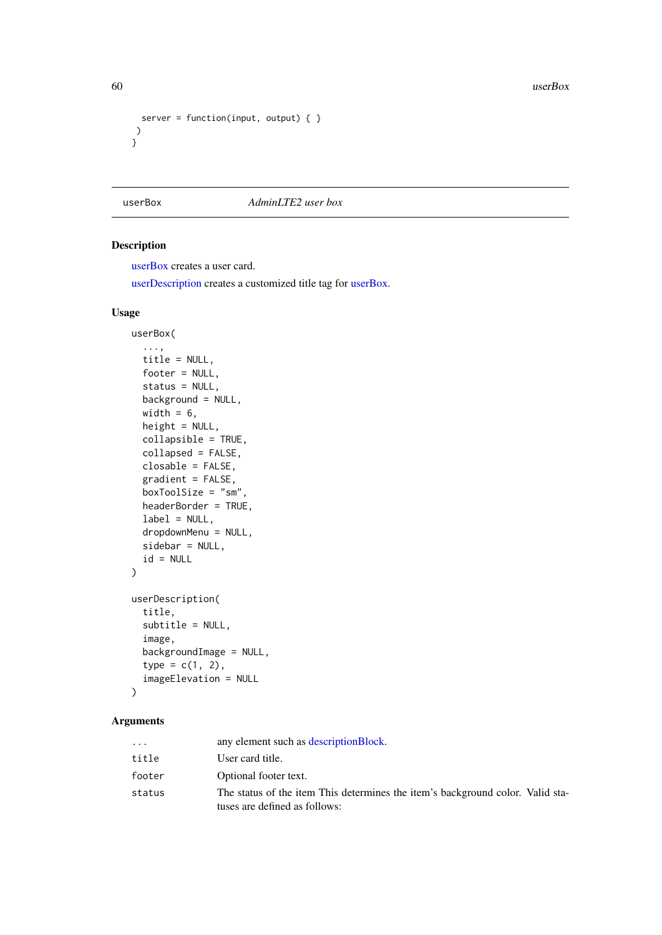```
server = function(input, output) \{ \})
}
```
#### <span id="page-59-0"></span>userBox *AdminLTE2 user box*

#### <span id="page-59-1"></span>Description

[userBox](#page-59-0) creates a user card.

[userDescription](#page-59-1) creates a customized title tag for [userBox.](#page-59-0)

## Usage

```
userBox(
  ...,
  title = NULL,
  footer = NULL,status = NULL,
  background = NULL,
  width = 6,
  height = NULL,collapsible = TRUE,
  collapsed = FALSE,
  closable = FALSE,
  gradient = FALSE,
  boxToolSize = "sm",
  headerBorder = TRUE,
  label = NULL,dropdownMenu = NULL,
  sidebar = NULL,
  id = NULL)
userDescription(
  title,
  subtitle = NULL,
  image,
  backgroundImage = NULL,
  type = c(1, 2),imageElevation = NULL
)
```

| $\cdots$ | any element such as description Block.                                                                          |
|----------|-----------------------------------------------------------------------------------------------------------------|
| title    | User card title.                                                                                                |
| footer   | Optional footer text.                                                                                           |
| status   | The status of the item This determines the item's background color. Valid sta-<br>tuses are defined as follows: |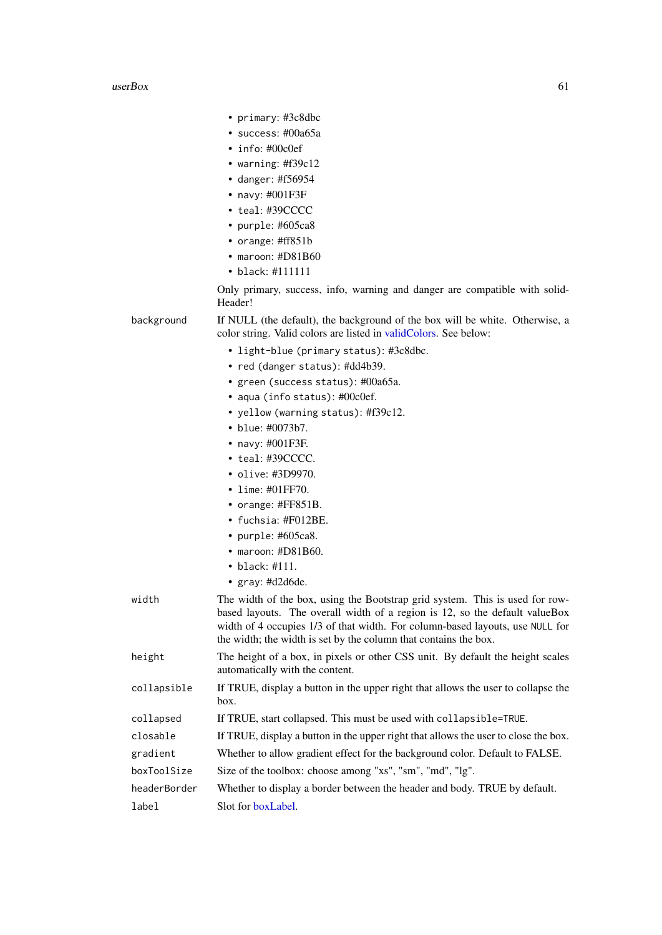#### <span id="page-60-0"></span> $userBox$  61

- primary: #3c8dbc
- success: #00a65a
- info: #00c0ef
- warning: #f39c12
- danger: #f56954
- navy: #001F3F
- teal: #39CCCC
- purple: #605ca8
- orange: #ff851b
- maroon: #D81B60
- black: #111111

Only primary, success, info, warning and danger are compatible with solid-Header!

background If NULL (the default), the background of the box will be white. Otherwise, a color string. Valid colors are listed in [validColors.](#page-0-0) See below:

- light-blue (primary status): #3c8dbc.
- red (danger status): #dd4b39.
- green (success status): #00a65a.
- aqua (info status): #00c0ef.
- yellow (warning status): #f39c12.
- blue: #0073b7.
- navy: #001F3F.
- teal: #39CCCC.
- olive: #3D9970.
- lime: #01FF70.
- orange: #FF851B.
- fuchsia: #F012BE.
- purple: #605ca8.
- maroon: #D81B60.
- black: #111.
- gray: #d2d6de.

width The width of the box, using the Bootstrap grid system. This is used for rowbased layouts. The overall width of a region is 12, so the default valueBox width of 4 occupies 1/3 of that width. For column-based layouts, use NULL for the width; the width is set by the column that contains the box.

- height The height of a box, in pixels or other CSS unit. By default the height scales automatically with the content.
- collapsible If TRUE, display a button in the upper right that allows the user to collapse the box.
- collapsed If TRUE, start collapsed. This must be used with collapsible=TRUE.
- closable If TRUE, display a button in the upper right that allows the user to close the box.
- gradient Whether to allow gradient effect for the background color. Default to FALSE.
- boxToolSize Size of the toolbox: choose among "xs", "sm", "md", "lg".

headerBorder Whether to display a border between the header and body. TRUE by default. label Slot for [boxLabel.](#page-16-0)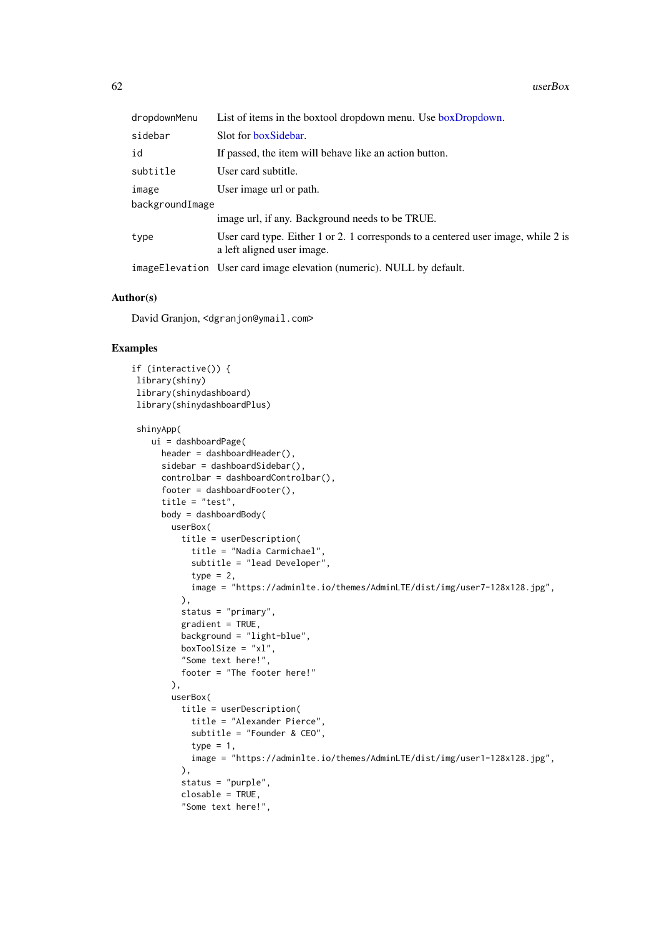<span id="page-61-0"></span> $62$  userBox

| dropdownMenu    | List of items in the boxtool dropdown menu. Use boxDropdown.                                                    |
|-----------------|-----------------------------------------------------------------------------------------------------------------|
| sidebar         | Slot for boxSidebar.                                                                                            |
| id              | If passed, the item will behave like an action button.                                                          |
| subtitle        | User card subtitle.                                                                                             |
| image           | User image url or path.                                                                                         |
| backgroundImage |                                                                                                                 |
|                 | image url, if any. Background needs to be TRUE.                                                                 |
| type            | User card type. Either 1 or 2. 1 corresponds to a centered user image, while 2 is<br>a left aligned user image. |
|                 | imageElevation User card image elevation (numeric). NULL by default.                                            |

## Author(s)

David Granjon, <dgranjon@ymail.com>

```
if (interactive()) {
library(shiny)
 library(shinydashboard)
library(shinydashboardPlus)
 shinyApp(
   ui = dashboardPage(
     header = dashboardHeader(),
     sidebar = dashboardSidebar(),
     controlbar = dashboardControlbar(),
     footer = dashboardFooter(),
     title = "test",
     body = dashboardBody(
       userBox(
         title = userDescription(
           title = "Nadia Carmichael",
           subtitle = "lead Developer",
           type = 2,
           image = "https://adminlte.io/themes/AdminLTE/dist/img/user7-128x128.jpg",
         ),
          status = "primary",
          gradient = TRUE,
         background = "light-blue",
         boxToolSize = "xl",
          "Some text here!",
          footer = "The footer here!"
       ),
       userBox(
         title = userDescription(
           title = "Alexander Pierce",
           subtitle = "Founder & CEO",
           type = 1,
           image = "https://adminlte.io/themes/AdminLTE/dist/img/user1-128x128.jpg",
          ),
          status = "purple",
          closable = TRUE,
          "Some text here!",
```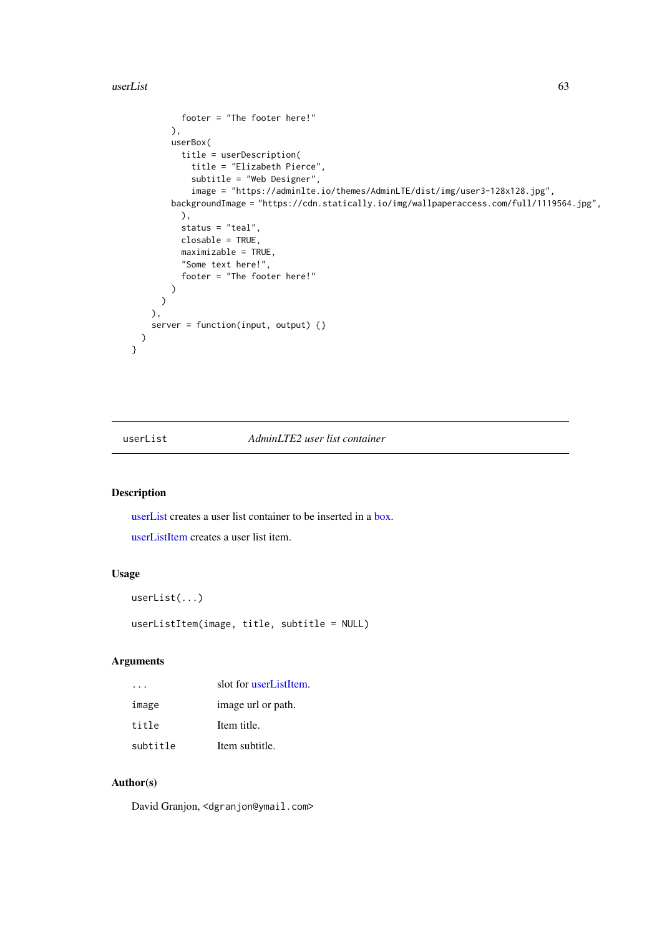#### <span id="page-62-2"></span> $userList$  63

```
footer = "The footer here!"
        ),
        userBox(
          title = userDescription(
            title = "Elizabeth Pierce",
            subtitle = "Web Designer",
            image = "https://adminlte.io/themes/AdminLTE/dist/img/user3-128x128.jpg",
        backgroundImage = "https://cdn.statically.io/img/wallpaperaccess.com/full/1119564.jpg",
          ),
          status = "teal",
          closable = TRUE,
          maximizable = TRUE,
          "Some text here!",
          footer = "The footer here!"
        )
     )
    ),
    server = function(input, output) \{\}\lambda}
```
<span id="page-62-0"></span>userList *AdminLTE2 user list container*

## <span id="page-62-1"></span>Description

[userList](#page-62-0) creates a user list container to be inserted in a [box.](#page-7-0) [userListItem](#page-62-1) creates a user list item.

## Usage

```
userList(...)
```
userListItem(image, title, subtitle = NULL)

## Arguments

|          | slot for userListItem. |
|----------|------------------------|
| image    | image url or path.     |
| title    | Item title.            |
| subtitle | Item subtitle.         |

## Author(s)

David Granjon, <dgranjon@ymail.com>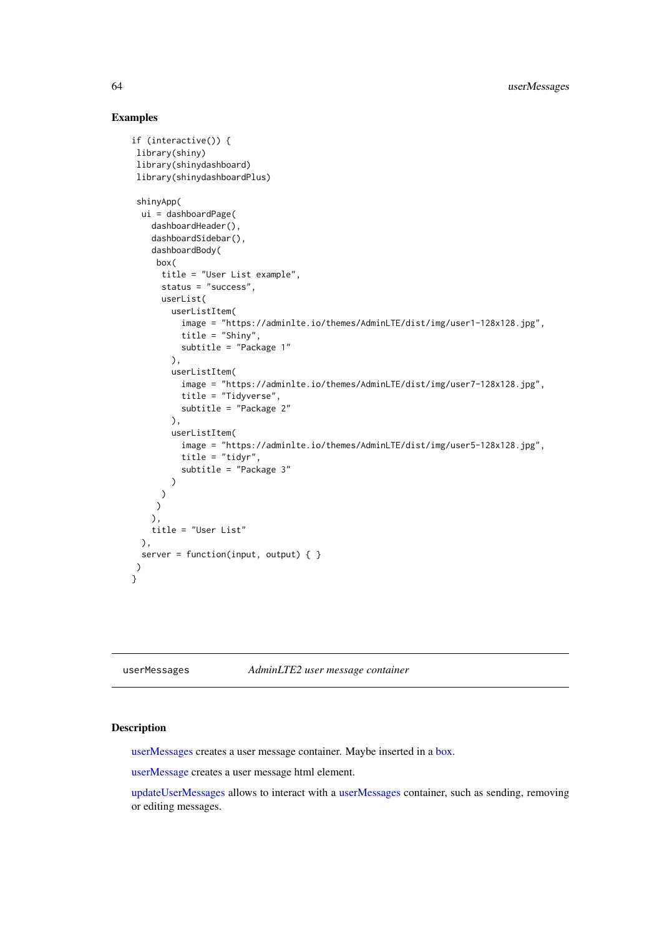## Examples

```
if (interactive()) {
library(shiny)
library(shinydashboard)
library(shinydashboardPlus)
 shinyApp(
 ui = dashboardPage(
   dashboardHeader(),
   dashboardSidebar(),
   dashboardBody(
    box(
      title = "User List example",
      status = "success",
      userList(
       userListItem(
          image = "https://adminlte.io/themes/AdminLTE/dist/img/user1-128x128.jpg",
          title = "Shiny",
          subtitle = "Package 1"
        ),
        userListItem(
          image = "https://adminlte.io/themes/AdminLTE/dist/img/user7-128x128.jpg",
          title = "Tidyverse",
          subtitle = "Package 2"
        ),
        userListItem(
          image = "https://adminlte.io/themes/AdminLTE/dist/img/user5-128x128.jpg",
          title = "tidyr",
          subtitle = "Package 3"
        )
      )
    \lambda),
   title = "User List"
  ),
 server = function(input, output) \{ \}\lambda}
```
<span id="page-63-0"></span>userMessages *AdminLTE2 user message container*

#### <span id="page-63-1"></span>Description

[userMessages](#page-63-0) creates a user message container. Maybe inserted in a [box.](#page-7-0)

[userMessage](#page-63-1) creates a user message html element.

[updateUserMessages](#page-63-1) allows to interact with a [userMessages](#page-63-0) container, such as sending, removing or editing messages.

<span id="page-63-2"></span>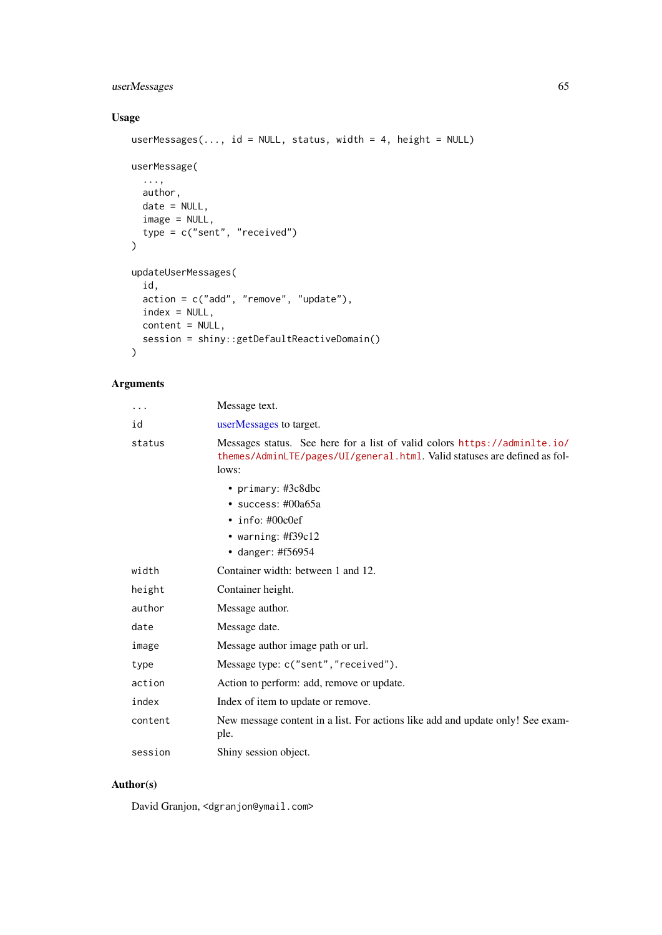## userMessages 65

# Usage

```
userMessages(..., id = NULL, status, width = 4, height = NULL)
userMessage(
  ...,
  author,
 date = NULL,
 image = NULL,
  type = c("sent", "received")
)
updateUserMessages(
  id,
  action = c("add", "remove", "update"),
  index = NULL,
 content = NULL,
  session = shiny::getDefaultReactiveDomain()
\lambda
```
# Arguments

| $\cdots$ | Message text.                                                                                                                                                   |
|----------|-----------------------------------------------------------------------------------------------------------------------------------------------------------------|
| id       | userMessages to target.                                                                                                                                         |
| status   | Messages status. See here for a list of valid colors https://adminlte.io/<br>themes/AdminLTE/pages/UI/general.html. Valid statuses are defined as fol-<br>lows: |
|          | • primary: $\#3c8dbc$                                                                                                                                           |
|          | • success: $\#00a65a$                                                                                                                                           |
|          | $\cdot$ info: #00 $c$ 0ef                                                                                                                                       |
|          | • warning: $\text{\#f39c12}$                                                                                                                                    |
|          | • danger: #f56954                                                                                                                                               |
| width    | Container width: between 1 and 12.                                                                                                                              |
| height   | Container height.                                                                                                                                               |
| author   | Message author.                                                                                                                                                 |
| date     | Message date.                                                                                                                                                   |
| image    | Message author image path or url.                                                                                                                               |
| type     | Message type: c("sent", "received").                                                                                                                            |
| action   | Action to perform: add, remove or update.                                                                                                                       |
| index    | Index of item to update or remove.                                                                                                                              |
| content  | New message content in a list. For actions like add and update only! See exam-<br>ple.                                                                          |
| session  | Shiny session object.                                                                                                                                           |

# Author(s)

David Granjon, <dgranjon@ymail.com>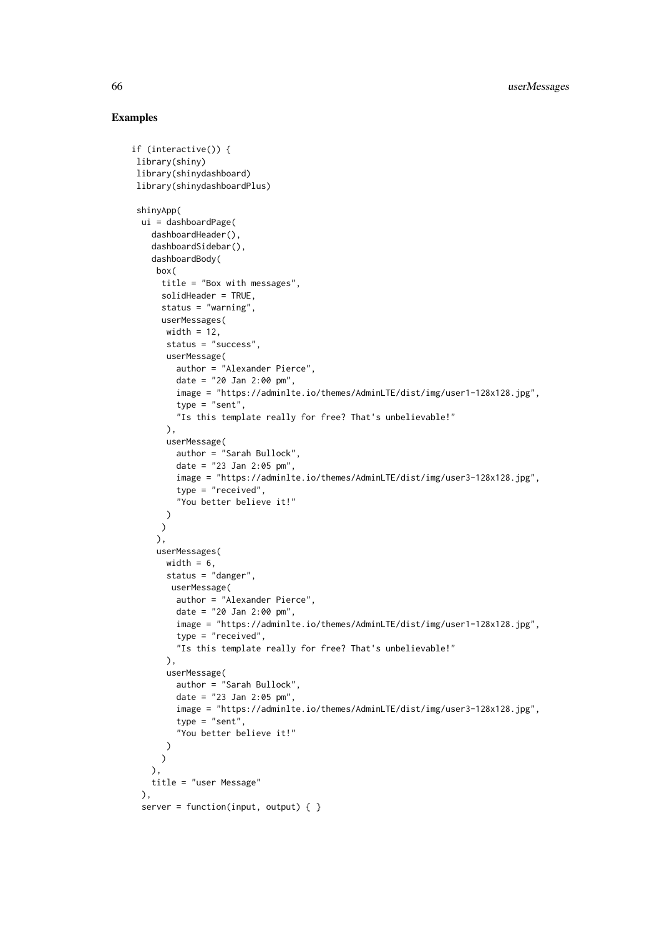```
if (interactive()) {
library(shiny)
library(shinydashboard)
library(shinydashboardPlus)
 shinyApp(
 ui = dashboardPage(
   dashboardHeader(),
   dashboardSidebar(),
   dashboardBody(
    box(
     title = "Box with messages",
     solidHeader = TRUE,
     status = "warning",
     userMessages(
      width = 12,
      status = "success",
       userMessage(
         author = "Alexander Pierce",
         date = "20 Jan 2:00 pm",
        image = "https://adminlte.io/themes/AdminLTE/dist/img/user1-128x128.jpg",
         type = "sent",
         "Is this template really for free? That's unbelievable!"
       ),
       userMessage(
         author = "Sarah Bullock",
         date = "23 Jan 2:05 pm",
        image = "https://adminlte.io/themes/AdminLTE/dist/img/user3-128x128.jpg",
         type = "received",
         "You better believe it!"
      )
     \lambda),
    userMessages(
      width = 6,
       status = "danger",
       userMessage(
        author = "Alexander Pierce",
         date = "20 Jan 2:00 pm",
         image = "https://adminlte.io/themes/AdminLTE/dist/img/user1-128x128.jpg",
         type = "received",
         "Is this template really for free? That's unbelievable!"
       ),
       userMessage(
         author = "Sarah Bullock",
         date = "23 Jan 2:05 pm",
         image = "https://adminlte.io/themes/AdminLTE/dist/img/user3-128x128.jpg",
         type = "sent","You better believe it!"
      )
     )
   ),
   title = "user Message"
  ),
  server = function(input, output) \{ \}
```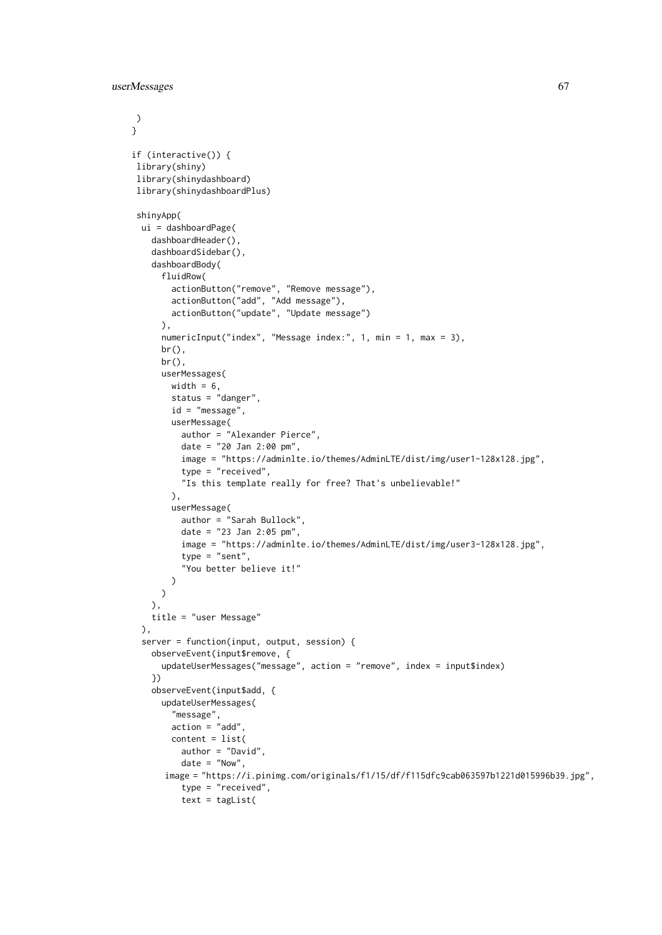userMessages 67

```
)
}
if (interactive()) {
library(shiny)
library(shinydashboard)
library(shinydashboardPlus)
 shinyApp(
 ui = dashboardPage(
    dashboardHeader(),
    dashboardSidebar(),
    dashboardBody(
      fluidRow(
        actionButton("remove", "Remove message"),
        actionButton("add", "Add message"),
        actionButton("update", "Update message")
      ),
      numericInput("index", "Message index:", 1, min = 1, max = 3),
      br(),
      br().
      userMessages(
        width = 6.
        status = "danger",
        id = "message",
        userMessage(
          author = "Alexander Pierce",
          date = "20 Jan 2:00 pm",
          image = "https://adminlte.io/themes/AdminLTE/dist/img/user1-128x128.jpg",
          type = "received",
          "Is this template really for free? That's unbelievable!"
        ),
        userMessage(
          author = "Sarah Bullock",
          date = "23 Jan 2:05 pm",
          image = "https://adminlte.io/themes/AdminLTE/dist/img/user3-128x128.jpg",
          type = "sent",
          "You better believe it!"
        \rightarrow)
    ),
    title = "user Message"
  ),
  server = function(input, output, session) {
    observeEvent(input$remove, {
      updateUserMessages("message", action = "remove", index = input$index)
    })
    observeEvent(input$add, {
      updateUserMessages(
        "message",
        action = "add",
        content = list(
         author = "David",
         date = "Now",
       image = "https://i.pinimg.com/originals/f1/15/df/f115dfc9cab063597b1221d015996b39.jpg",
         type = "received",
         text = tagList(
```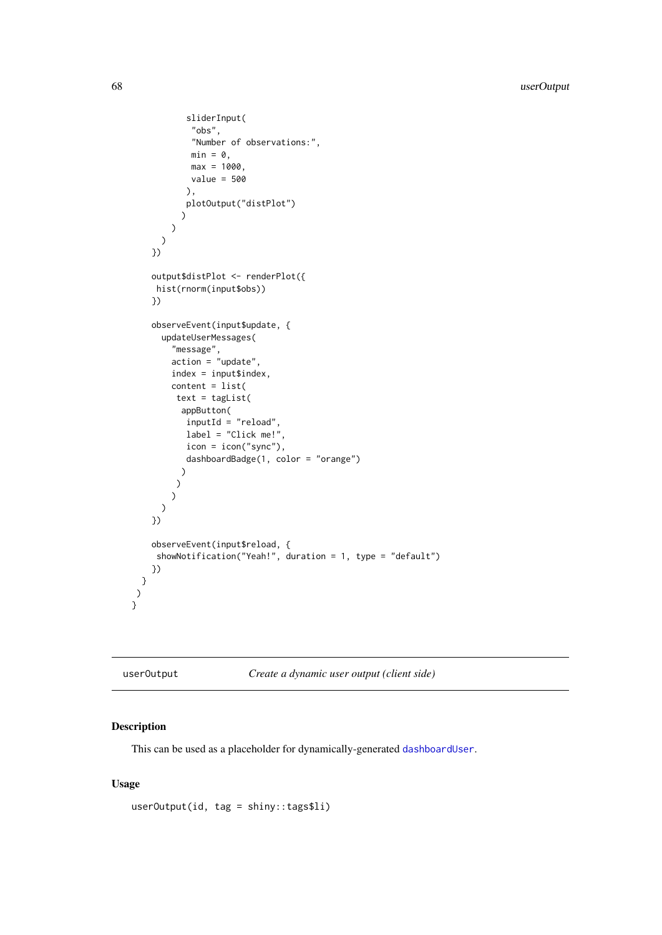```
sliderInput(
            "obs",
            "Number of observations:",
            min = 0,
            max = 1000,value = 500
           ),
           plotOutput("distPlot")
          \lambda)
     )
    })
    output$distPlot <- renderPlot({
    hist(rnorm(input$obs))
    })
    observeEvent(input$update, {
      updateUserMessages(
        "message",
        action = "update",
        index = input$index,
        content = list(text = tagList(appButton(
          inputId = "reload",
          label = "Click me!",
           icon = icon("sync"),
          dashboardBadge(1, color = "orange")
          )
         \lambda)
      )
    })
    observeEvent(input$reload, {
     showNotification("Yeah!", duration = 1, type = "default")
    })
 }
)
}
```
<span id="page-67-0"></span>

| user0utput | Create a dynamic user output (client side) |  |
|------------|--------------------------------------------|--|
|------------|--------------------------------------------|--|

## Description

This can be used as a placeholder for dynamically-generated [dashboardUser](#page-33-0).

# Usage

```
userOutput(id, tag = shiny::tags$li)
```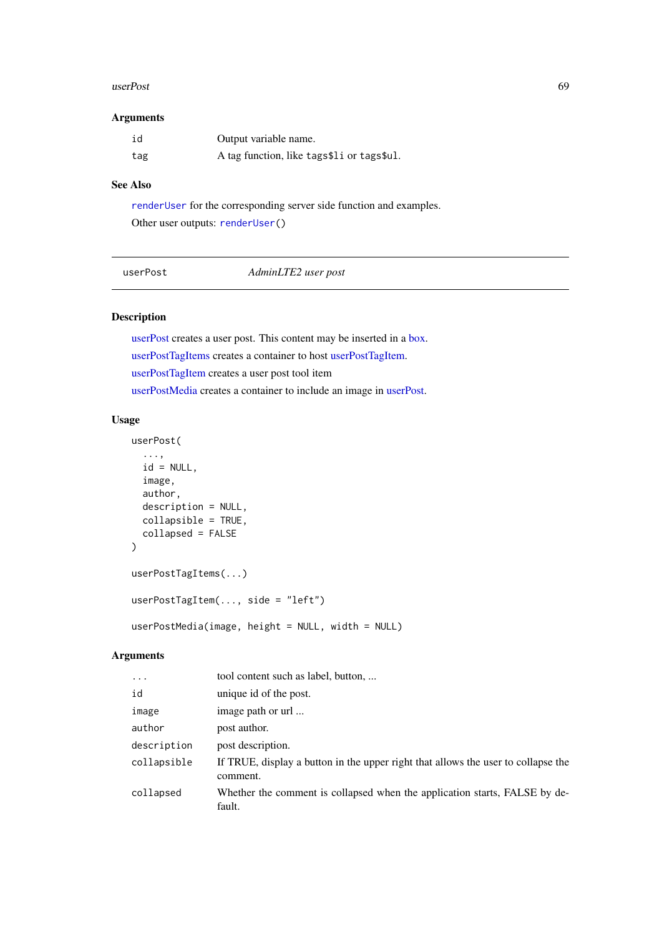#### <span id="page-68-2"></span>userPost 69

#### Arguments

| id  | Output variable name.                      |
|-----|--------------------------------------------|
| tag | A tag function, like tags\$11 or tags\$ul. |

## See Also

[renderUser](#page-46-0) for the corresponding server side function and examples. Other user outputs: [renderUser\(](#page-46-0))

<span id="page-68-0"></span>userPost *AdminLTE2 user post*

## <span id="page-68-1"></span>Description

[userPost](#page-68-0) creates a user post. This content may be inserted in a [box.](#page-7-0) [userPostTagItems](#page-68-1) creates a container to host [userPostTagItem.](#page-68-1) [userPostTagItem](#page-68-1) creates a user post tool item [userPostMedia](#page-68-1) creates a container to include an image in [userPost.](#page-68-0)

## Usage

```
userPost(
  ...,
  id = NULL,image,
  author,
  description = NULL,
  collapsible = TRUE,
  collapsed = FALSE
\lambdauserPostTagItems(...)
userPostTagItem(..., side = "left")
userPostMedia(image, height = NULL, width = NULL)
```

| tool content such as label, button,                                                           |
|-----------------------------------------------------------------------------------------------|
| unique id of the post.                                                                        |
| image path or url                                                                             |
| post author.                                                                                  |
| post description.                                                                             |
| If TRUE, display a button in the upper right that allows the user to collapse the<br>comment. |
| Whether the comment is collapsed when the application starts, FALSE by de-<br>fault.          |
|                                                                                               |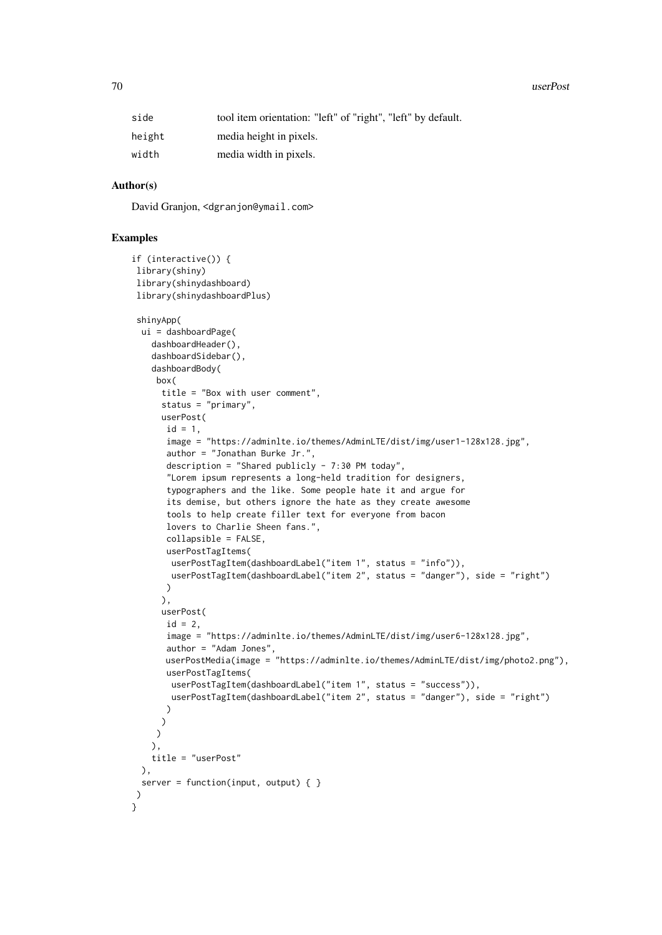70 userPost and the contract of the contract of the contract of the contract of the contract of the contract of the contract of the contract of the contract of the contract of the contract of the contract of the contract o

| side   | tool item orientation: "left" of "right", "left" by default. |
|--------|--------------------------------------------------------------|
| height | media height in pixels.                                      |
| width  | media width in pixels.                                       |

#### Author(s)

David Granjon, <dgranjon@ymail.com>

```
if (interactive()) {
library(shiny)
library(shinydashboard)
library(shinydashboardPlus)
 shinyApp(
 ui = dashboardPage(
   dashboardHeader(),
   dashboardSidebar(),
   dashboardBody(
    box(
     title = "Box with user comment",
     status = "primary",
     userPost(
      id = 1,
      image = "https://adminlte.io/themes/AdminLTE/dist/img/user1-128x128.jpg",
      author = "Jonathan Burke Jr.",
      description = "Shared publicly - 7:30 PM today",
      "Lorem ipsum represents a long-held tradition for designers,
      typographers and the like. Some people hate it and argue for
      its demise, but others ignore the hate as they create awesome
      tools to help create filler text for everyone from bacon
      lovers to Charlie Sheen fans.",
      collapsible = FALSE,
      userPostTagItems(
       userPostTagItem(dashboardLabel("item 1", status = "info")),
       userPostTagItem(dashboardLabel("item 2", status = "danger"), side = "right")
      \lambda),
     userPost(
      id = 2.
      image = "https://adminlte.io/themes/AdminLTE/dist/img/user6-128x128.jpg",
      author = "Adam Jones",
      userPostMedia(image = "https://adminlte.io/themes/AdminLTE/dist/img/photo2.png"),
      userPostTagItems(
       userPostTagItem(dashboardLabel("item 1", status = "success")),
       userPostTagItem(dashboardLabel("item 2", status = "danger"), side = "right")
      )
     )
    )
   ),
   title = "userPost"
 ),
 server = function(input, output) \{ \})
}
```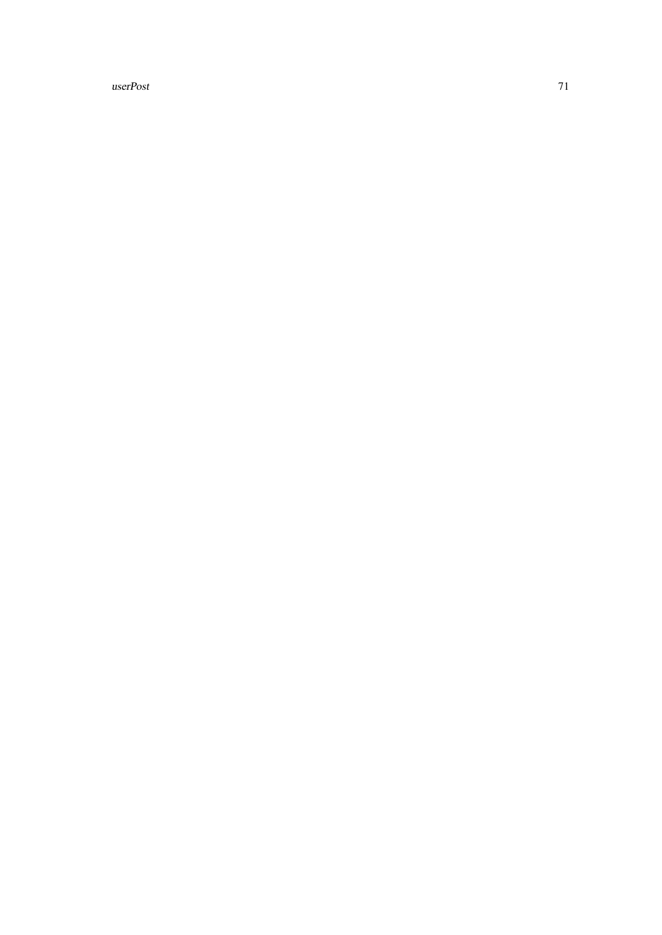userPost 71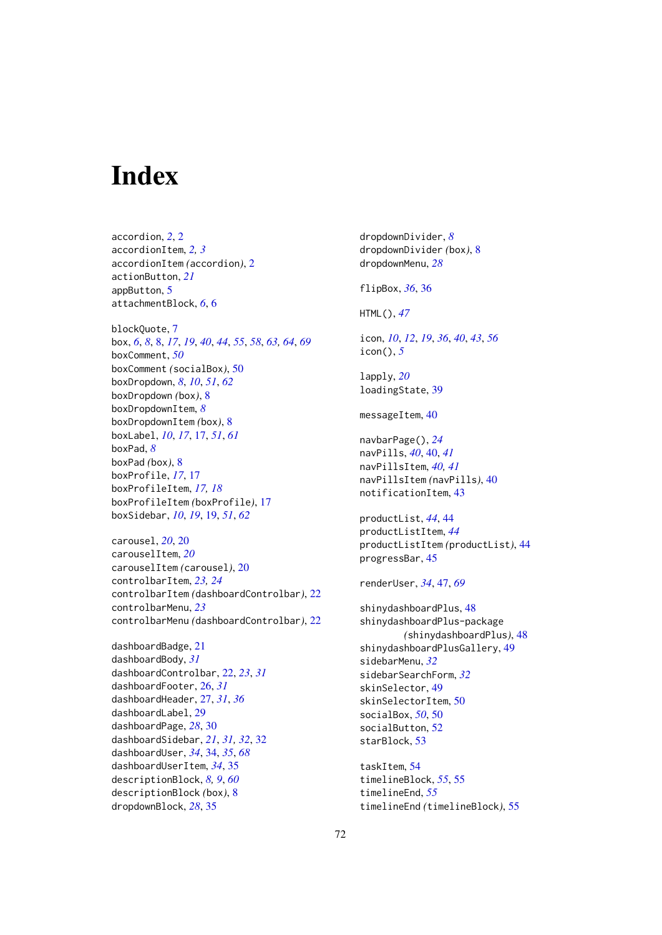# Index

accordion, *[2](#page-1-0)*, [2](#page-1-0) accordionItem, *[2,](#page-1-0) [3](#page-2-0)* accordionItem *(*accordion*)*, [2](#page-1-0) actionButton, *[21](#page-20-0)* appButton, [5](#page-4-0) attachmentBlock, *[6](#page-5-0)*, [6](#page-5-0)

blockQuote, [7](#page-6-0) box, *[6](#page-5-0)*, *[8](#page-7-2)*, [8,](#page-7-2) *[17](#page-16-1)*, *[19](#page-18-1)*, *[40](#page-39-2)*, *[44](#page-43-2)*, *[55](#page-54-2)*, *[58](#page-57-1)*, *[63,](#page-62-2) [64](#page-63-2)*, *[69](#page-68-2)* boxComment, *[50](#page-49-2)* boxComment *(*socialBox*)*, [50](#page-49-2) boxDropdown, *[8](#page-7-2)*, *[10](#page-9-0)*, *[51](#page-50-0)*, *[62](#page-61-0)* boxDropdown *(*box*)*, [8](#page-7-2) boxDropdownItem, *[8](#page-7-2)* boxDropdownItem *(*box*)*, [8](#page-7-2) boxLabel, *[10](#page-9-0)*, *[17](#page-16-1)*, [17,](#page-16-1) *[51](#page-50-0)*, *[61](#page-60-0)* boxPad, *[8](#page-7-2)* boxPad *(*box*)*, [8](#page-7-2) boxProfile, *[17](#page-16-1)*, [17](#page-16-1) boxProfileItem, *[17,](#page-16-1) [18](#page-17-0)* boxProfileItem *(*boxProfile*)*, [17](#page-16-1) boxSidebar, *[10](#page-9-0)*, *[19](#page-18-1)*, [19,](#page-18-1) *[51](#page-50-0)*, *[62](#page-61-0)*

carousel, *[20](#page-19-0)*, [20](#page-19-0) carouselItem, *[20](#page-19-0)* carouselItem *(*carousel*)*, [20](#page-19-0) controlbarItem, *[23,](#page-22-0) [24](#page-23-0)* controlbarItem *(*dashboardControlbar*)*, [22](#page-21-0) controlbarMenu, *[23](#page-22-0)* controlbarMenu *(*dashboardControlbar*)*, [22](#page-21-0)

dashboardBadge, [21](#page-20-0) dashboardBody, *[31](#page-30-0)* dashboardControlbar, [22,](#page-21-0) *[23](#page-22-0)*, *[31](#page-30-0)* dashboardFooter, [26,](#page-25-0) *[31](#page-30-0)* dashboardHeader, [27,](#page-26-0) *[31](#page-30-0)*, *[36](#page-35-0)* dashboardLabel, [29](#page-28-0) dashboardPage, *[28](#page-27-0)*, [30](#page-29-0) dashboardSidebar, *[21](#page-20-0)*, *[31,](#page-30-0) [32](#page-31-0)*, [32](#page-31-0) dashboardUser, *[34](#page-33-1)*, [34,](#page-33-1) *[35](#page-34-0)*, *[68](#page-67-1)* dashboardUserItem, *[34](#page-33-1)*, [35](#page-34-0) descriptionBlock, *[8,](#page-7-2) [9](#page-8-0)*, *[60](#page-59-2)* descriptionBlock *(*box*)*, [8](#page-7-2) dropdownBlock, *[28](#page-27-0)*, [35](#page-34-0)

dropdownDivider, *[8](#page-7-2)* dropdownDivider *(*box*)*, [8](#page-7-2) dropdownMenu, *[28](#page-27-0)* flipBox, *[36](#page-35-0)*, [36](#page-35-0) HTML(), *[47](#page-46-1)* icon, *[10](#page-9-0)*, *[12](#page-11-0)*, *[19](#page-18-1)*, *[36](#page-35-0)*, *[40](#page-39-2)*, *[43](#page-42-0)*, *[56](#page-55-0)* icon(), *[5](#page-4-0)* lapply, *[20](#page-19-0)* loadingState, [39](#page-38-0) messageItem, [40](#page-39-2) navbarPage(), *[24](#page-23-0)* navPills, *[40](#page-39-2)*, [40,](#page-39-2) *[41](#page-40-0)* navPillsItem, *[40,](#page-39-2) [41](#page-40-0)* navPillsItem *(*navPills*)*, [40](#page-39-2) notificationItem, [43](#page-42-0) productList, *[44](#page-43-2)*, [44](#page-43-2) productListItem, *[44](#page-43-2)* productListItem *(*productList*)*, [44](#page-43-2) progressBar, [45](#page-44-0) renderUser, *[34](#page-33-1)*, [47,](#page-46-1) *[69](#page-68-2)* shinydashboardPlus, [48](#page-47-0) shinydashboardPlus-package *(*shinydashboardPlus*)*, [48](#page-47-0) shinydashboardPlusGallery, [49](#page-48-0) sidebarMenu, *[32](#page-31-0)* sidebarSearchForm, *[32](#page-31-0)* skinSelector, [49](#page-48-0) skinSelectorItem, [50](#page-49-2) socialBox, *[50](#page-49-2)*, [50](#page-49-2) socialButton, [52](#page-51-0) starBlock, [53](#page-52-0) taskItem, [54](#page-53-0) timelineBlock, *[55](#page-54-2)*, [55](#page-54-2) timelineEnd, *[55](#page-54-2)*

timelineEnd *(*timelineBlock*)*, [55](#page-54-2)